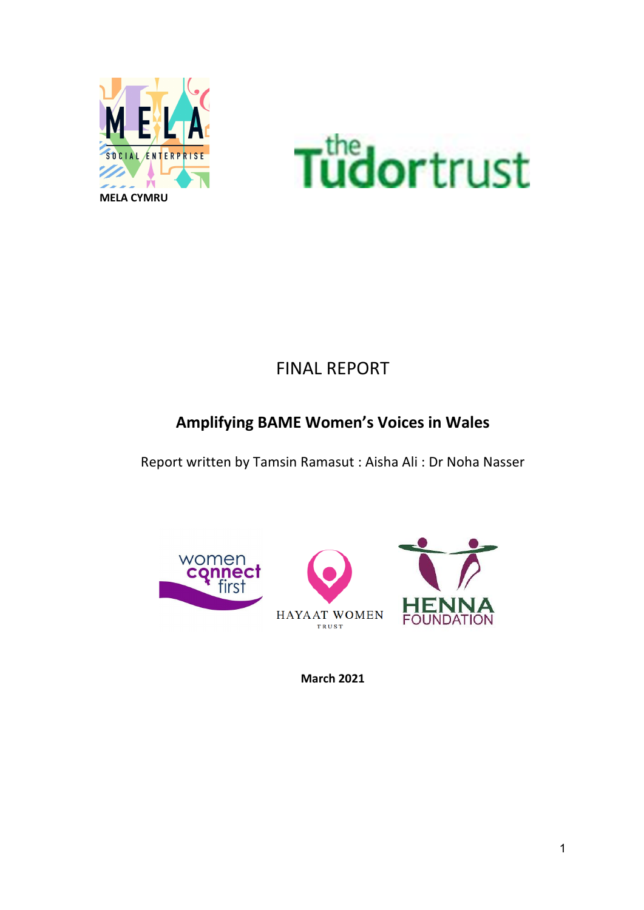



## FINAL REPORT

### **Amplifying BAME Women's Voices in Wales**

Report written by Tamsin Ramasut : Aisha Ali : Dr Noha Nasser



**March 2021**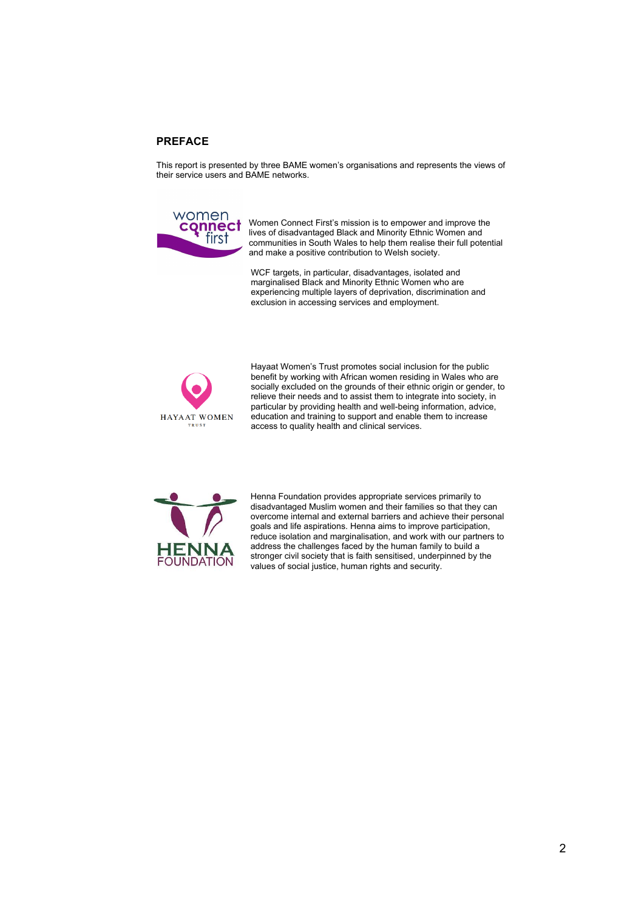#### **PREFACE**

This report is presented by three BAME women's organisations and represents the views of their service users and BAME networks.



Women Connect First's mission is to empower and improve the lives of disadvantaged Black and Minority Ethnic Women and communities in South Wales to help them realise their full potential and make a positive contribution to Welsh society.

WCF targets, in particular, disadvantages, isolated and marginalised Black and Minority Ethnic Women who are experiencing multiple layers of deprivation, discrimination and exclusion in accessing services and employment.



Hayaat Women's Trust promotes social inclusion for the public benefit by working with African women residing in Wales who are socially excluded on the grounds of their ethnic origin or gender, to relieve their needs and to assist them to integrate into society, in particular by providing health and well-being information, advice, education and training to support and enable them to increase access to quality health and clinical services.



Henna Foundation provides appropriate services primarily to disadvantaged Muslim women and their families so that they can overcome internal and external barriers and achieve their personal goals and life aspirations. Henna aims to improve participation, reduce isolation and marginalisation, and work with our partners to address the challenges faced by the human family to build a stronger civil society that is faith sensitised, underpinned by the values of social justice, human rights and security.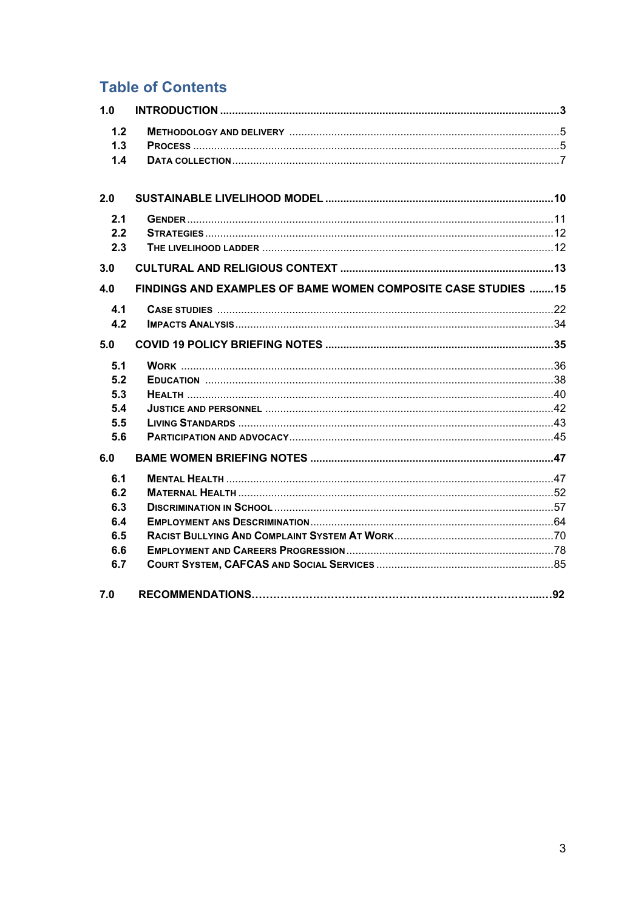### **Table of Contents**

| 1.0 |                                                               |
|-----|---------------------------------------------------------------|
| 1.2 |                                                               |
| 1.3 |                                                               |
| 1.4 |                                                               |
| 2.0 |                                                               |
|     |                                                               |
| 2.1 |                                                               |
| 2.2 |                                                               |
| 2.3 |                                                               |
| 3.0 |                                                               |
| 4.0 | FINDINGS AND EXAMPLES OF BAME WOMEN COMPOSITE CASE STUDIES 15 |
| 4.1 |                                                               |
| 4.2 |                                                               |
| 5.0 |                                                               |
| 5.1 |                                                               |
| 5.2 |                                                               |
| 5.3 |                                                               |
| 5.4 |                                                               |
| 5.5 |                                                               |
| 5.6 |                                                               |
| 6.0 |                                                               |
| 6.1 |                                                               |
| 6.2 |                                                               |
| 6.3 |                                                               |
| 6.4 |                                                               |
| 6.5 |                                                               |
| 6.6 |                                                               |
| 6.7 |                                                               |
| 7.0 |                                                               |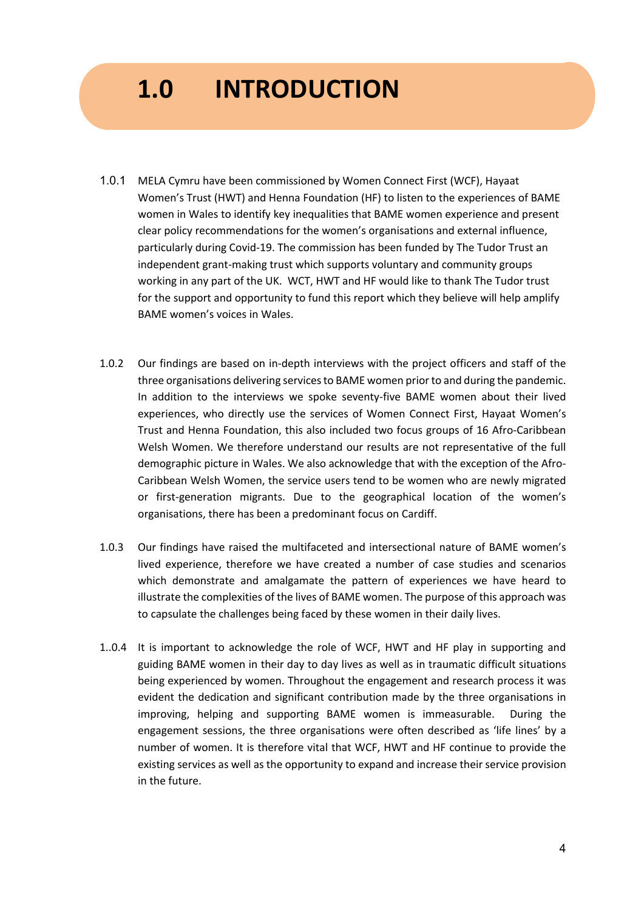# **1.0 INTRODUCTION**

- 1.0.1 MELA Cymru have been commissioned by Women Connect First (WCF), Hayaat Women's Trust (HWT) and Henna Foundation (HF) to listen to the experiences of BAME women in Wales to identify key inequalities that BAME women experience and present clear policy recommendations for the women's organisations and external influence, particularly during Covid-19. The commission has been funded by The Tudor Trust an independent grant-making trust which supports voluntary and community groups working in any part of the UK. WCT, HWT and HF would like to thank The Tudor trust for the support and opportunity to fund this report which they believe will help amplify BAME women's voices in Wales.
- 1.0.2 Our findings are based on in-depth interviews with the project officers and staff of the three organisations delivering services to BAME women prior to and during the pandemic. In addition to the interviews we spoke seventy-five BAME women about their lived experiences, who directly use the services of Women Connect First, Hayaat Women's Trust and Henna Foundation, this also included two focus groups of 16 Afro-Caribbean Welsh Women. We therefore understand our results are not representative of the full demographic picture in Wales. We also acknowledge that with the exception of the Afro-Caribbean Welsh Women, the service users tend to be women who are newly migrated or first-generation migrants. Due to the geographical location of the women's organisations, there has been a predominant focus on Cardiff.
- 1.0.3 Our findings have raised the multifaceted and intersectional nature of BAME women's lived experience, therefore we have created a number of case studies and scenarios which demonstrate and amalgamate the pattern of experiences we have heard to illustrate the complexities of the lives of BAME women. The purpose of this approach was to capsulate the challenges being faced by these women in their daily lives.
- 1..0.4 It is important to acknowledge the role of WCF, HWT and HF play in supporting and guiding BAME women in their day to day lives as well as in traumatic difficult situations being experienced by women. Throughout the engagement and research process it was evident the dedication and significant contribution made by the three organisations in improving, helping and supporting BAME women is immeasurable. During the engagement sessions, the three organisations were often described as 'life lines' by a number of women. It is therefore vital that WCF, HWT and HF continue to provide the existing services as well as the opportunity to expand and increase their service provision in the future.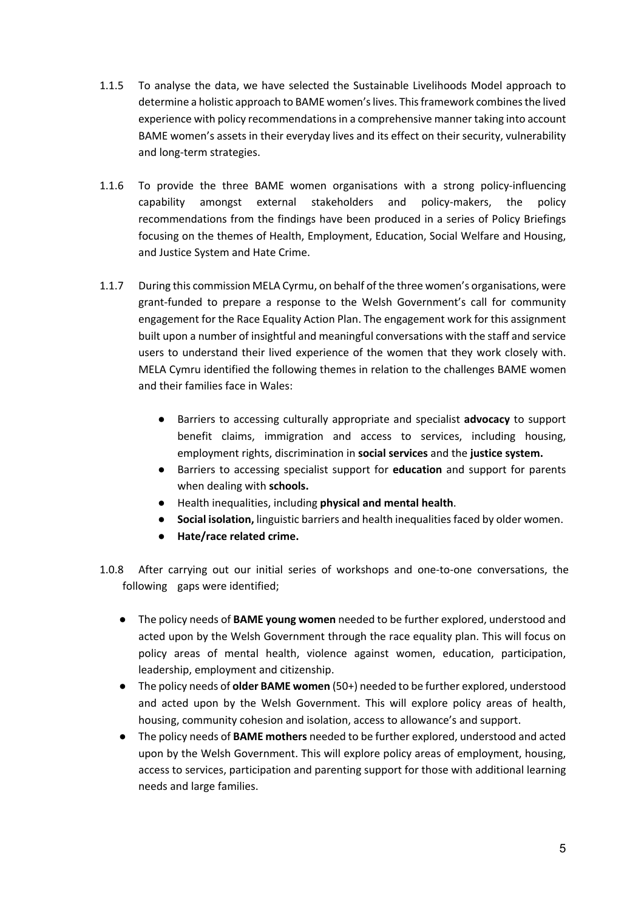- 1.1.5 To analyse the data, we have selected the Sustainable Livelihoods Model approach to determine a holistic approach to BAME women's lives. This framework combines the lived experience with policy recommendations in a comprehensive manner taking into account BAME women's assets in their everyday lives and its effect on their security, vulnerability and long-term strategies.
- 1.1.6 To provide the three BAME women organisations with a strong policy-influencing capability amongst external stakeholders and policy-makers, the policy recommendations from the findings have been produced in a series of Policy Briefings focusing on the themes of Health, Employment, Education, Social Welfare and Housing, and Justice System and Hate Crime.
- 1.1.7 During this commission MELA Cyrmu, on behalf of the three women's organisations, were grant-funded to prepare a response to the Welsh Government's call for community engagement for the Race Equality Action Plan. The engagement work for this assignment built upon a number of insightful and meaningful conversations with the staff and service users to understand their lived experience of the women that they work closely with. MELA Cymru identified the following themes in relation to the challenges BAME women and their families face in Wales:
	- Barriers to accessing culturally appropriate and specialist **advocacy** to support benefit claims, immigration and access to services, including housing, employment rights, discrimination in **social services** and the **justice system.**
	- Barriers to accessing specialist support for **education** and support for parents when dealing with **schools.**
	- Health inequalities, including **physical and mental health**.
	- Social isolation, linguistic barriers and health inequalities faced by older women.
	- **Hate/race related crime.**
- 1.0.8 After carrying out our initial series of workshops and one-to-one conversations, the following gaps were identified;
	- The policy needs of **BAME young women** needed to be further explored, understood and acted upon by the Welsh Government through the race equality plan. This will focus on policy areas of mental health, violence against women, education, participation, leadership, employment and citizenship.
	- The policy needs of **older BAME women** (50+) needed to be further explored, understood and acted upon by the Welsh Government. This will explore policy areas of health, housing, community cohesion and isolation, access to allowance's and support.
	- The policy needs of **BAME mothers** needed to be further explored, understood and acted upon by the Welsh Government. This will explore policy areas of employment, housing, access to services, participation and parenting support for those with additional learning needs and large families.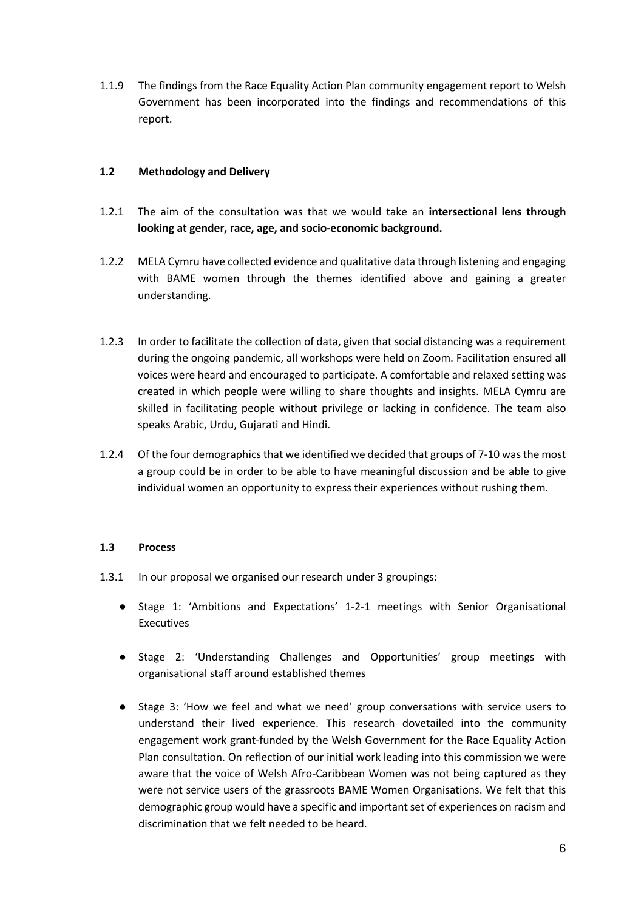1.1.9 The findings from the Race Equality Action Plan community engagement report to Welsh Government has been incorporated into the findings and recommendations of this report.

### **1.2 Methodology and Delivery**

- 1.2.1 The aim of the consultation was that we would take an **intersectional lens through looking at gender, race, age, and socio-economic background.**
- 1.2.2 MELA Cymru have collected evidence and qualitative data through listening and engaging with BAME women through the themes identified above and gaining a greater understanding.
- 1.2.3 In order to facilitate the collection of data, given that social distancing was a requirement during the ongoing pandemic, all workshops were held on Zoom. Facilitation ensured all voices were heard and encouraged to participate. A comfortable and relaxed setting was created in which people were willing to share thoughts and insights. MELA Cymru are skilled in facilitating people without privilege or lacking in confidence. The team also speaks Arabic, Urdu, Gujarati and Hindi.
- 1.2.4 Of the four demographics that we identified we decided that groups of 7-10 was the most a group could be in order to be able to have meaningful discussion and be able to give individual women an opportunity to express their experiences without rushing them.

### **1.3 Process**

- 1.3.1 In our proposal we organised our research under 3 groupings:
	- Stage 1: 'Ambitions and Expectations' 1-2-1 meetings with Senior Organisational Executives
	- Stage 2: 'Understanding Challenges and Opportunities' group meetings with organisational staff around established themes
	- Stage 3: 'How we feel and what we need' group conversations with service users to understand their lived experience. This research dovetailed into the community engagement work grant-funded by the Welsh Government for the Race Equality Action Plan consultation. On reflection of our initial work leading into this commission we were aware that the voice of Welsh Afro-Caribbean Women was not being captured as they were not service users of the grassroots BAME Women Organisations. We felt that this demographic group would have a specific and important set of experiences on racism and discrimination that we felt needed to be heard.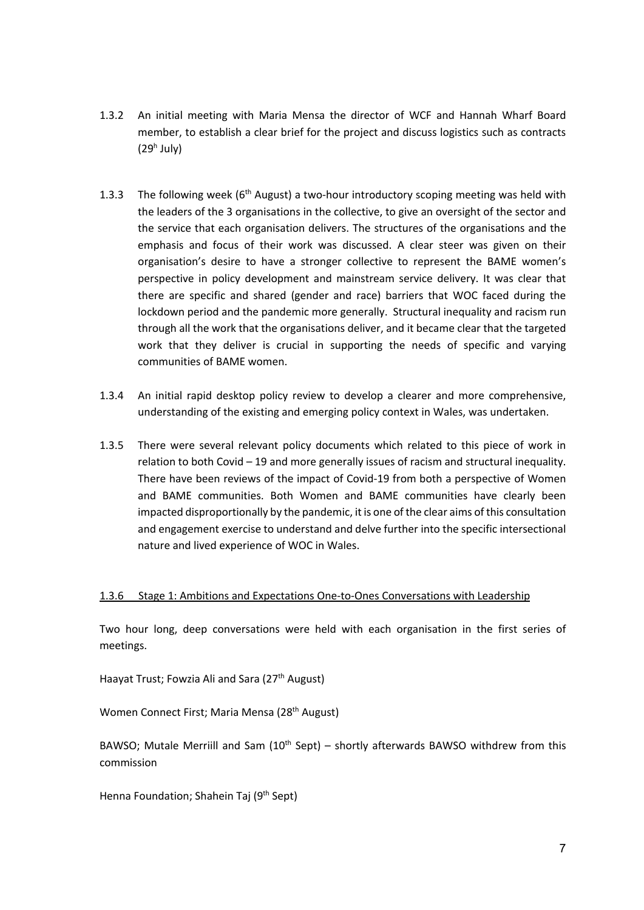- 1.3.2 An initial meeting with Maria Mensa the director of WCF and Hannah Wharf Board member, to establish a clear brief for the project and discuss logistics such as contracts  $(29<sup>h</sup>$  July)
- 1.3.3 The following week ( $6<sup>th</sup>$  August) a two-hour introductory scoping meeting was held with the leaders of the 3 organisations in the collective, to give an oversight of the sector and the service that each organisation delivers. The structures of the organisations and the emphasis and focus of their work was discussed. A clear steer was given on their organisation's desire to have a stronger collective to represent the BAME women's perspective in policy development and mainstream service delivery. It was clear that there are specific and shared (gender and race) barriers that WOC faced during the lockdown period and the pandemic more generally. Structural inequality and racism run through all the work that the organisations deliver, and it became clear that the targeted work that they deliver is crucial in supporting the needs of specific and varying communities of BAME women.
- 1.3.4 An initial rapid desktop policy review to develop a clearer and more comprehensive, understanding of the existing and emerging policy context in Wales, was undertaken.
- 1.3.5 There were several relevant policy documents which related to this piece of work in relation to both Covid – 19 and more generally issues of racism and structural inequality. There have been reviews of the impact of Covid-19 from both a perspective of Women and BAME communities. Both Women and BAME communities have clearly been impacted disproportionally by the pandemic, it is one of the clear aims of this consultation and engagement exercise to understand and delve further into the specific intersectional nature and lived experience of WOC in Wales.

### 1.3.6 Stage 1: Ambitions and Expectations One-to-Ones Conversations with Leadership

Two hour long, deep conversations were held with each organisation in the first series of meetings.

Haayat Trust; Fowzia Ali and Sara (27<sup>th</sup> August)

Women Connect First; Maria Mensa (28<sup>th</sup> August)

BAWSO; Mutale Merriill and Sam  $(10^{th}$  Sept) – shortly afterwards BAWSO withdrew from this commission

Henna Foundation; Shahein Taj (9<sup>th</sup> Sept)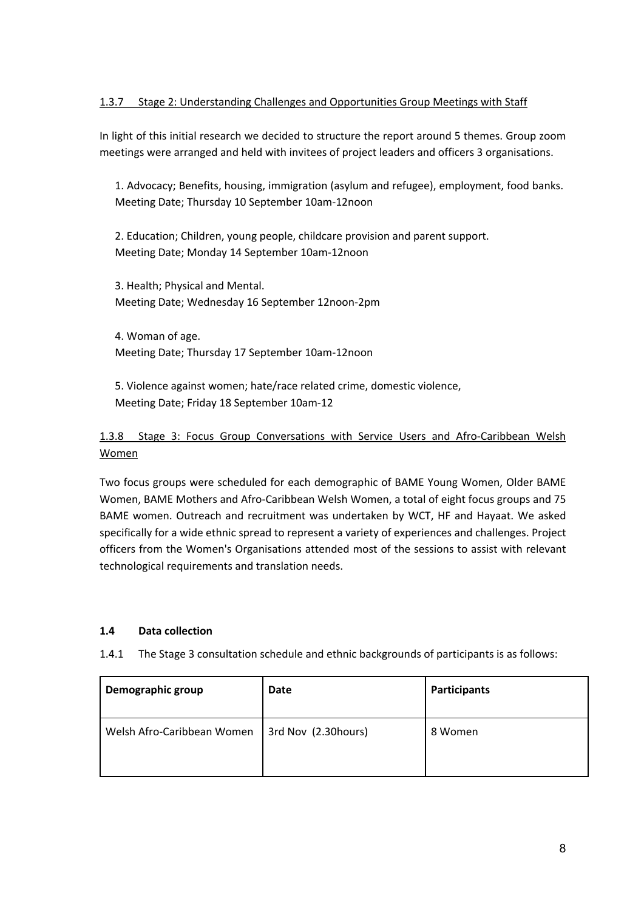### 1.3.7 Stage 2: Understanding Challenges and Opportunities Group Meetings with Staff

In light of this initial research we decided to structure the report around 5 themes. Group zoom meetings were arranged and held with invitees of project leaders and officers 3 organisations.

1. Advocacy; Benefits, housing, immigration (asylum and refugee), employment, food banks. Meeting Date; Thursday 10 September 10am-12noon

2. Education; Children, young people, childcare provision and parent support. Meeting Date; Monday 14 September 10am-12noon

3. Health; Physical and Mental. Meeting Date; Wednesday 16 September 12noon-2pm

4. Woman of age. Meeting Date; Thursday 17 September 10am-12noon

5. Violence against women; hate/race related crime, domestic violence, Meeting Date; Friday 18 September 10am-12

### 1.3.8 Stage 3: Focus Group Conversations with Service Users and Afro-Caribbean Welsh Women

Two focus groups were scheduled for each demographic of BAME Young Women, Older BAME Women, BAME Mothers and Afro-Caribbean Welsh Women, a total of eight focus groups and 75 BAME women. Outreach and recruitment was undertaken by WCT, HF and Hayaat. We asked specifically for a wide ethnic spread to represent a variety of experiences and challenges. Project officers from the Women's Organisations attended most of the sessions to assist with relevant technological requirements and translation needs.

### **1.4 Data collection**

1.4.1 The Stage 3 consultation schedule and ethnic backgrounds of participants is as follows:

| Demographic group          | Date                | <b>Participants</b> |
|----------------------------|---------------------|---------------------|
| Welsh Afro-Caribbean Women | 3rd Nov (2.30hours) | 8 Women             |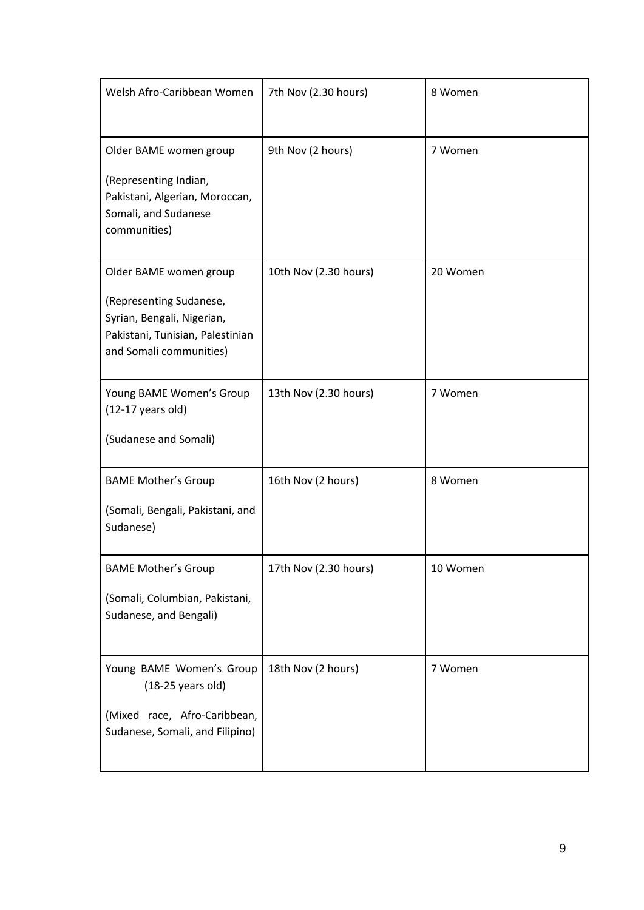| Welsh Afro-Caribbean Women                                                                                                                     | 7th Nov (2.30 hours)  | 8 Women  |
|------------------------------------------------------------------------------------------------------------------------------------------------|-----------------------|----------|
| Older BAME women group<br>(Representing Indian,<br>Pakistani, Algerian, Moroccan,<br>Somali, and Sudanese<br>communities)                      | 9th Nov (2 hours)     | 7 Women  |
| Older BAME women group<br>(Representing Sudanese,<br>Syrian, Bengali, Nigerian,<br>Pakistani, Tunisian, Palestinian<br>and Somali communities) | 10th Nov (2.30 hours) | 20 Women |
| Young BAME Women's Group<br>$(12-17 \text{ years old})$<br>(Sudanese and Somali)                                                               | 13th Nov (2.30 hours) | 7 Women  |
| <b>BAME Mother's Group</b><br>(Somali, Bengali, Pakistani, and<br>Sudanese)                                                                    | 16th Nov (2 hours)    | 8 Women  |
| <b>BAME Mother's Group</b><br>(Somali, Columbian, Pakistani,<br>Sudanese, and Bengali)                                                         | 17th Nov (2.30 hours) | 10 Women |
| Young BAME Women's Group<br>$(18-25 \text{ years old})$<br>(Mixed race, Afro-Caribbean,<br>Sudanese, Somali, and Filipino)                     | 18th Nov (2 hours)    | 7 Women  |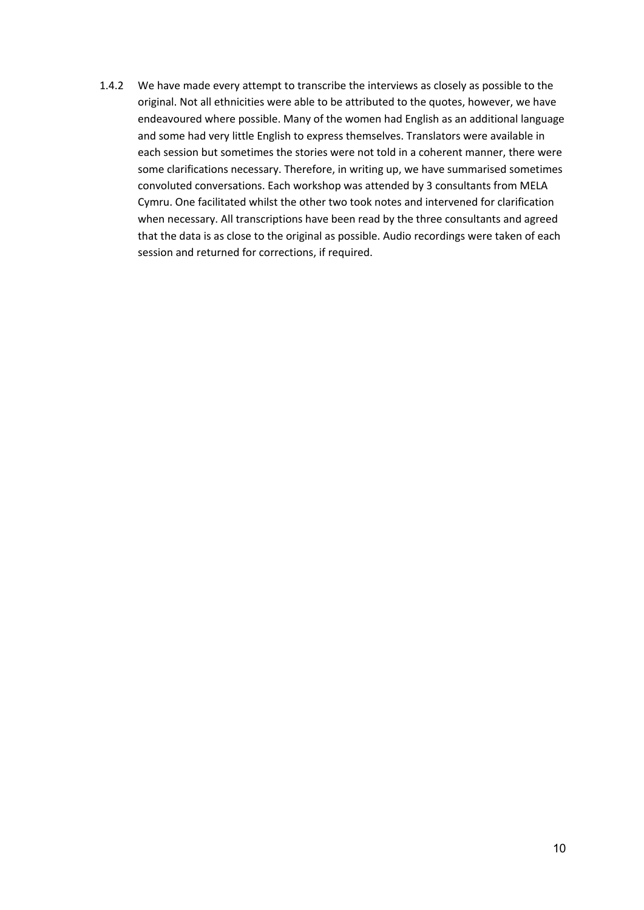1.4.2 We have made every attempt to transcribe the interviews as closely as possible to the original. Not all ethnicities were able to be attributed to the quotes, however, we have endeavoured where possible. Many of the women had English as an additional language and some had very little English to express themselves. Translators were available in each session but sometimes the stories were not told in a coherent manner, there were some clarifications necessary. Therefore, in writing up, we have summarised sometimes convoluted conversations. Each workshop was attended by 3 consultants from MELA Cymru. One facilitated whilst the other two took notes and intervened for clarification when necessary. All transcriptions have been read by the three consultants and agreed that the data is as close to the original as possible. Audio recordings were taken of each session and returned for corrections, if required.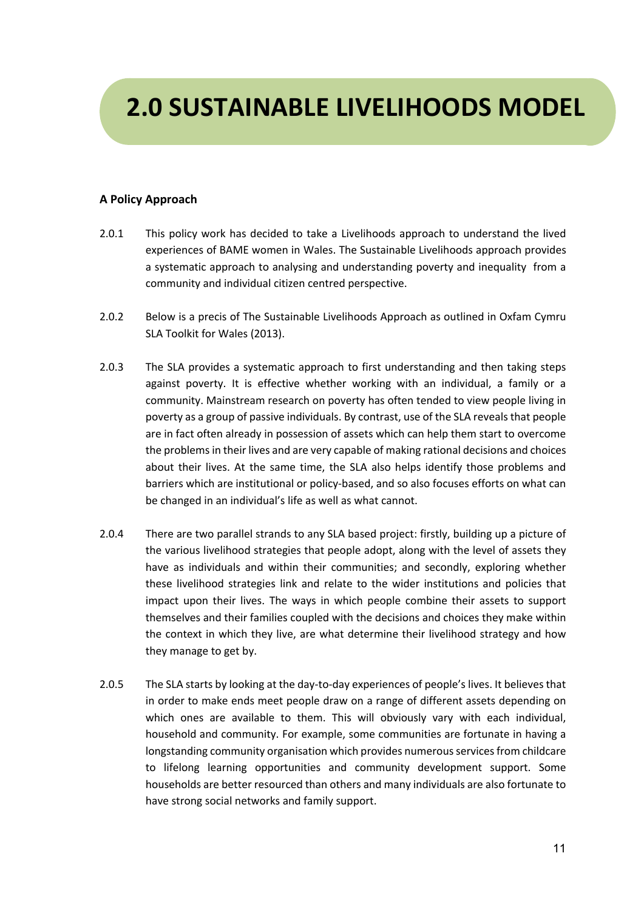# **2.0 SUSTAINABLE LIVELIHOODS MODEL**

### **A Policy Approach**

- 2.0.1 This policy work has decided to take a Livelihoods approach to understand the lived experiences of BAME women in Wales. The Sustainable Livelihoods approach provides a systematic approach to analysing and understanding poverty and inequality from a community and individual citizen centred perspective.
- 2.0.2 Below is a precis of The Sustainable Livelihoods Approach as outlined in Oxfam Cymru SLA Toolkit for Wales (2013).
- 2.0.3 The SLA provides a systematic approach to first understanding and then taking steps against poverty. It is effective whether working with an individual, a family or a community. Mainstream research on poverty has often tended to view people living in poverty as a group of passive individuals. By contrast, use of the SLA reveals that people are in fact often already in possession of assets which can help them start to overcome the problems in their lives and are very capable of making rational decisions and choices about their lives. At the same time, the SLA also helps identify those problems and barriers which are institutional or policy-based, and so also focuses efforts on what can be changed in an individual's life as well as what cannot.
- 2.0.4 There are two parallel strands to any SLA based project: firstly, building up a picture of the various livelihood strategies that people adopt, along with the level of assets they have as individuals and within their communities; and secondly, exploring whether these livelihood strategies link and relate to the wider institutions and policies that impact upon their lives. The ways in which people combine their assets to support themselves and their families coupled with the decisions and choices they make within the context in which they live, are what determine their livelihood strategy and how they manage to get by.
- 2.0.5 The SLA starts by looking at the day-to-day experiences of people's lives. It believes that in order to make ends meet people draw on a range of different assets depending on which ones are available to them. This will obviously vary with each individual, household and community. For example, some communities are fortunate in having a longstanding community organisation which provides numerous services from childcare to lifelong learning opportunities and community development support. Some households are better resourced than others and many individuals are also fortunate to have strong social networks and family support.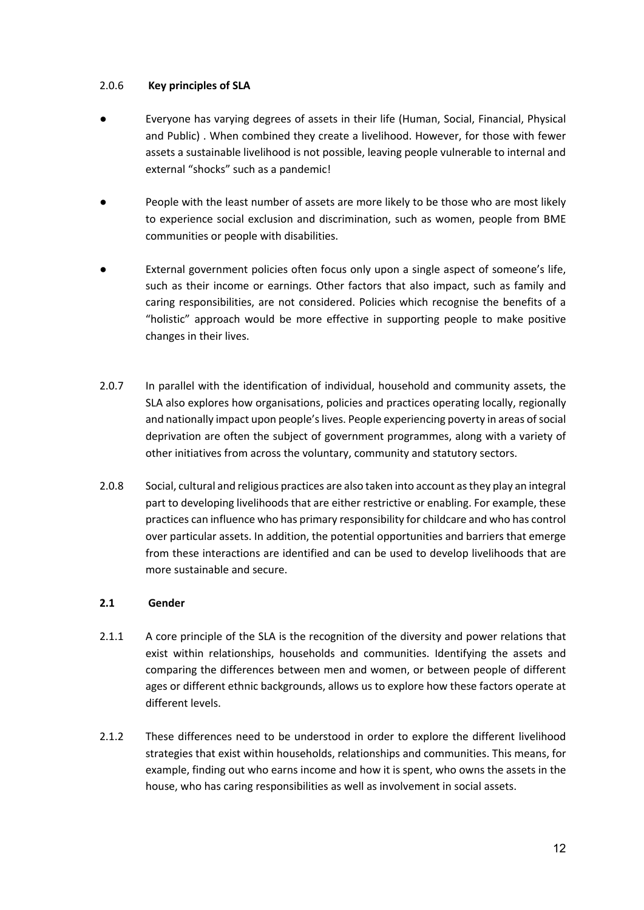### 2.0.6 **Key principles of SLA**

- Everyone has varying degrees of assets in their life (Human, Social, Financial, Physical and Public) . When combined they create a livelihood. However, for those with fewer assets a sustainable livelihood is not possible, leaving people vulnerable to internal and external "shocks" such as a pandemic!
- People with the least number of assets are more likely to be those who are most likely to experience social exclusion and discrimination, such as women, people from BME communities or people with disabilities.
- External government policies often focus only upon a single aspect of someone's life, such as their income or earnings. Other factors that also impact, such as family and caring responsibilities, are not considered. Policies which recognise the benefits of a "holistic" approach would be more effective in supporting people to make positive changes in their lives.
- 2.0.7 In parallel with the identification of individual, household and community assets, the SLA also explores how organisations, policies and practices operating locally, regionally and nationally impact upon people's lives. People experiencing poverty in areas of social deprivation are often the subject of government programmes, along with a variety of other initiatives from across the voluntary, community and statutory sectors.
- 2.0.8 Social, cultural and religious practices are also taken into account as they play an integral part to developing livelihoods that are either restrictive or enabling. For example, these practices can influence who has primary responsibility for childcare and who has control over particular assets. In addition, the potential opportunities and barriers that emerge from these interactions are identified and can be used to develop livelihoods that are more sustainable and secure.

### **2.1 Gender**

- 2.1.1 A core principle of the SLA is the recognition of the diversity and power relations that exist within relationships, households and communities. Identifying the assets and comparing the differences between men and women, or between people of different ages or different ethnic backgrounds, allows us to explore how these factors operate at different levels.
- 2.1.2 These differences need to be understood in order to explore the different livelihood strategies that exist within households, relationships and communities. This means, for example, finding out who earns income and how it is spent, who owns the assets in the house, who has caring responsibilities as well as involvement in social assets.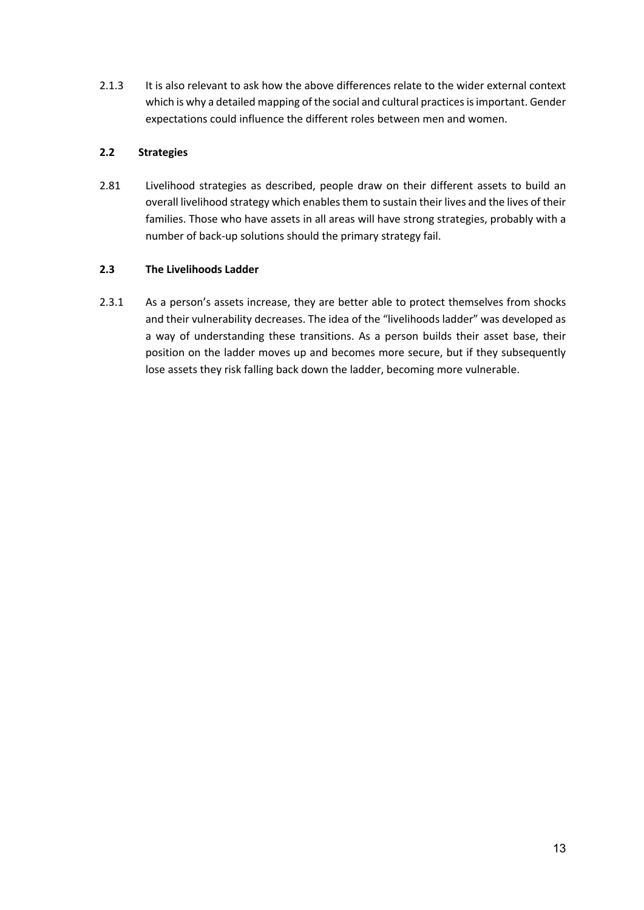2.1.3 It is also relevant to ask how the above differences relate to the wider external context which is why a detailed mapping of the social and cultural practices is important. Gender expectations could influence the different roles between men and women.

### **2.2 Strategies**

2.81 Livelihood strategies as described, people draw on their different assets to build an overall livelihood strategy which enables them to sustain their lives and the lives of their families. Those who have assets in all areas will have strong strategies, probably with a number of back-up solutions should the primary strategy fail.

### **2.3 The Livelihoods Ladder**

2.3.1 As a person's assets increase, they are better able to protect themselves from shocks and their vulnerability decreases. The idea of the "livelihoods ladder" was developed as a way of understanding these transitions. As a person builds their asset base, their position on the ladder moves up and becomes more secure, but if they subsequently lose assets they risk falling back down the ladder, becoming more vulnerable.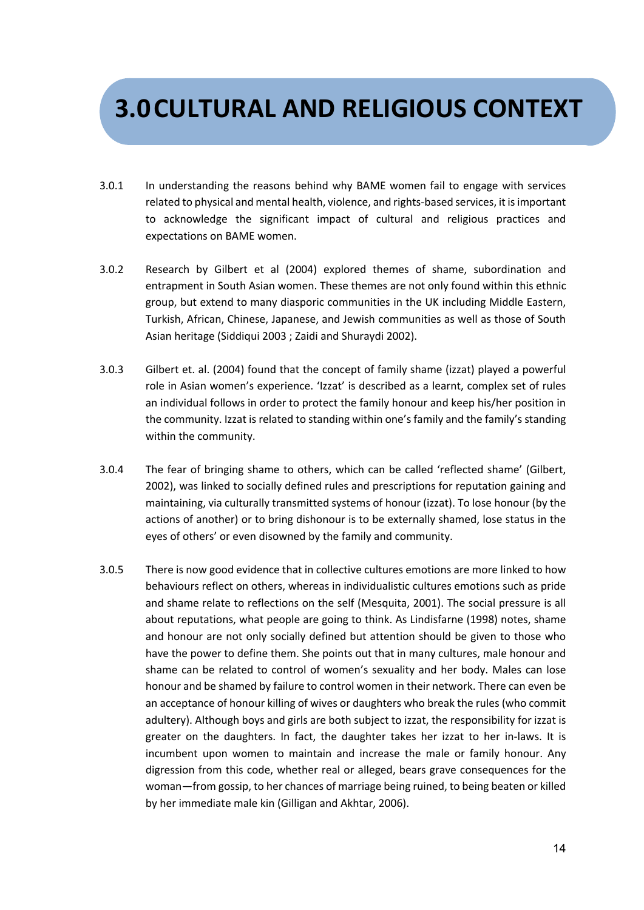## **3.0CULTURAL AND RELIGIOUS CONTEXT**

- 3.0.1 In understanding the reasons behind why BAME women fail to engage with services related to physical and mental health, violence, and rights-based services, it is important to acknowledge the significant impact of cultural and religious practices and expectations on BAME women.
- 3.0.2 Research by Gilbert et al (2004) explored themes of shame, subordination and entrapment in South Asian women. These themes are not only found within this ethnic group, but extend to many diasporic communities in the UK including Middle Eastern, Turkish, African, Chinese, Japanese, and Jewish communities as well as those of South Asian heritage (Siddiqui 2003 ; Zaidi and Shuraydi 2002).
- 3.0.3 Gilbert et. al. (2004) found that the concept of family shame (izzat) played a powerful role in Asian women's experience. 'Izzat' is described as a learnt, complex set of rules an individual follows in order to protect the family honour and keep his/her position in the community. Izzat is related to standing within one's family and the family's standing within the community.
- 3.0.4 The fear of bringing shame to others, which can be called 'reflected shame' (Gilbert, 2002), was linked to socially defined rules and prescriptions for reputation gaining and maintaining, via culturally transmitted systems of honour (izzat). To lose honour (by the actions of another) or to bring dishonour is to be externally shamed, lose status in the eyes of others' or even disowned by the family and community.
- 3.0.5 There is now good evidence that in collective cultures emotions are more linked to how behaviours reflect on others, whereas in individualistic cultures emotions such as pride and shame relate to reflections on the self (Mesquita, 2001). The social pressure is all about reputations, what people are going to think. As Lindisfarne (1998) notes, shame and honour are not only socially defined but attention should be given to those who have the power to define them. She points out that in many cultures, male honour and shame can be related to control of women's sexuality and her body. Males can lose honour and be shamed by failure to control women in their network. There can even be an acceptance of honour killing of wives or daughters who break the rules (who commit adultery). Although boys and girls are both subject to izzat, the responsibility for izzat is greater on the daughters. In fact, the daughter takes her izzat to her in-laws. It is incumbent upon women to maintain and increase the male or family honour. Any digression from this code, whether real or alleged, bears grave consequences for the woman—from gossip, to her chances of marriage being ruined, to being beaten or killed by her immediate male kin (Gilligan and Akhtar, 2006).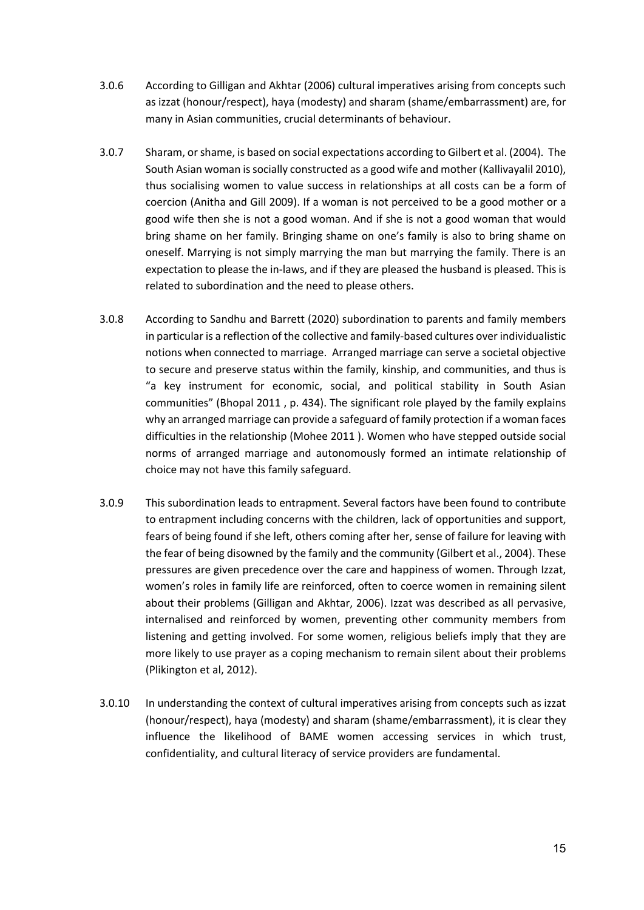- 3.0.6 According to Gilligan and Akhtar (2006) cultural imperatives arising from concepts such as izzat (honour/respect), haya (modesty) and sharam (shame/embarrassment) are, for many in Asian communities, crucial determinants of behaviour.
- 3.0.7 Sharam, or shame, is based on social expectations according to Gilbert et al. (2004). The South Asian woman is socially constructed as a good wife and mother (Kallivayalil 2010), thus socialising women to value success in relationships at all costs can be a form of coercion (Anitha and Gill 2009). If a woman is not perceived to be a good mother or a good wife then she is not a good woman. And if she is not a good woman that would bring shame on her family. Bringing shame on one's family is also to bring shame on oneself. Marrying is not simply marrying the man but marrying the family. There is an expectation to please the in-laws, and if they are pleased the husband is pleased. This is related to subordination and the need to please others.
- 3.0.8 According to Sandhu and Barrett (2020) subordination to parents and family members in particular is a reflection of the collective and family-based cultures over individualistic notions when connected to marriage. Arranged marriage can serve a societal objective to secure and preserve status within the family, kinship, and communities, and thus is "a key instrument for economic, social, and political stability in South Asian communities" (Bhopal 2011 , p. 434). The significant role played by the family explains why an arranged marriage can provide a safeguard of family protection if a woman faces difficulties in the relationship (Mohee 2011 ). Women who have stepped outside social norms of arranged marriage and autonomously formed an intimate relationship of choice may not have this family safeguard.
- 3.0.9 This subordination leads to entrapment. Several factors have been found to contribute to entrapment including concerns with the children, lack of opportunities and support, fears of being found if she left, others coming after her, sense of failure for leaving with the fear of being disowned by the family and the community (Gilbert et al., 2004). These pressures are given precedence over the care and happiness of women. Through Izzat, women's roles in family life are reinforced, often to coerce women in remaining silent about their problems (Gilligan and Akhtar, 2006). Izzat was described as all pervasive, internalised and reinforced by women, preventing other community members from listening and getting involved. For some women, religious beliefs imply that they are more likely to use prayer as a coping mechanism to remain silent about their problems (Plikington et al, 2012).
- 3.0.10 In understanding the context of cultural imperatives arising from concepts such as izzat (honour/respect), haya (modesty) and sharam (shame/embarrassment), it is clear they influence the likelihood of BAME women accessing services in which trust, confidentiality, and cultural literacy of service providers are fundamental.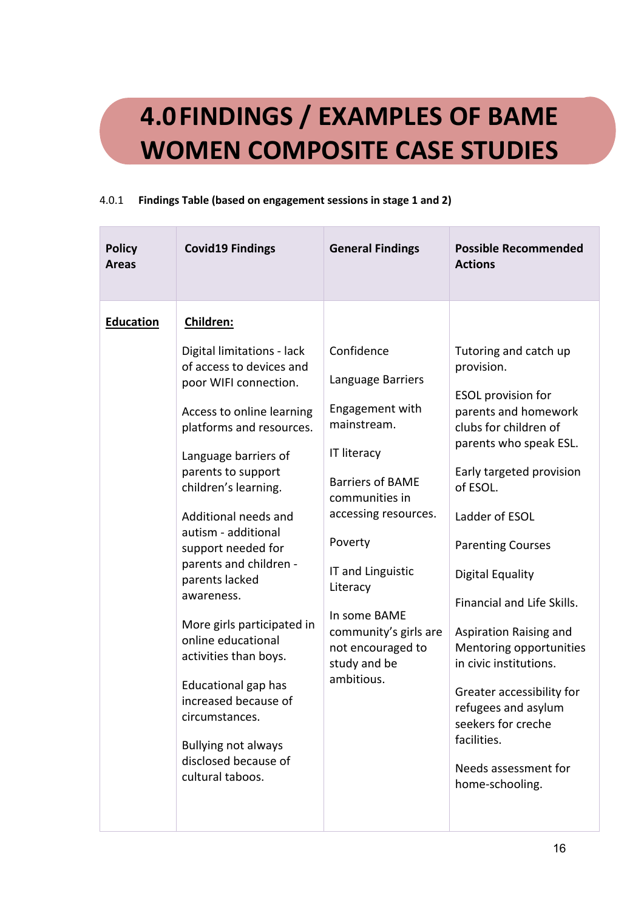# **4.0FINDINGS / EXAMPLES OF BAME WOMEN COMPOSITE CASE STUDIES**

### 4.0.1 **Findings Table (based on engagement sessions in stage 1 and 2)**

| <b>Policy</b><br><b>Areas</b> | <b>Covid19 Findings</b>                                                                                                                                                                                                                                                                                                           | <b>General Findings</b>                                                                                                                                                 | <b>Possible Recommended</b><br><b>Actions</b>                                                                                                                                                                                                                            |
|-------------------------------|-----------------------------------------------------------------------------------------------------------------------------------------------------------------------------------------------------------------------------------------------------------------------------------------------------------------------------------|-------------------------------------------------------------------------------------------------------------------------------------------------------------------------|--------------------------------------------------------------------------------------------------------------------------------------------------------------------------------------------------------------------------------------------------------------------------|
| <b>Education</b>              | <b>Children:</b><br>Digital limitations - lack<br>of access to devices and<br>poor WIFI connection.<br>Access to online learning<br>platforms and resources.<br>Language barriers of<br>parents to support<br>children's learning.<br>Additional needs and<br>autism - additional<br>support needed for<br>parents and children - | Confidence<br>Language Barriers<br>Engagement with<br>mainstream.<br><b>IT literacy</b><br><b>Barriers of BAME</b><br>communities in<br>accessing resources.<br>Poverty | Tutoring and catch up<br>provision.<br><b>ESOL</b> provision for<br>parents and homework<br>clubs for children of<br>parents who speak ESL.<br>Early targeted provision<br>of ESOL.<br>Ladder of ESOL<br><b>Parenting Courses</b>                                        |
|                               | parents lacked<br>awareness.<br>More girls participated in<br>online educational<br>activities than boys.<br>Educational gap has<br>increased because of<br>circumstances.<br><b>Bullying not always</b><br>disclosed because of<br>cultural taboos.                                                                              | IT and Linguistic<br>Literacy<br>In some BAME<br>community's girls are<br>not encouraged to<br>study and be<br>ambitious.                                               | <b>Digital Equality</b><br>Financial and Life Skills.<br>Aspiration Raising and<br>Mentoring opportunities<br>in civic institutions.<br>Greater accessibility for<br>refugees and asylum<br>seekers for creche<br>facilities.<br>Needs assessment for<br>home-schooling. |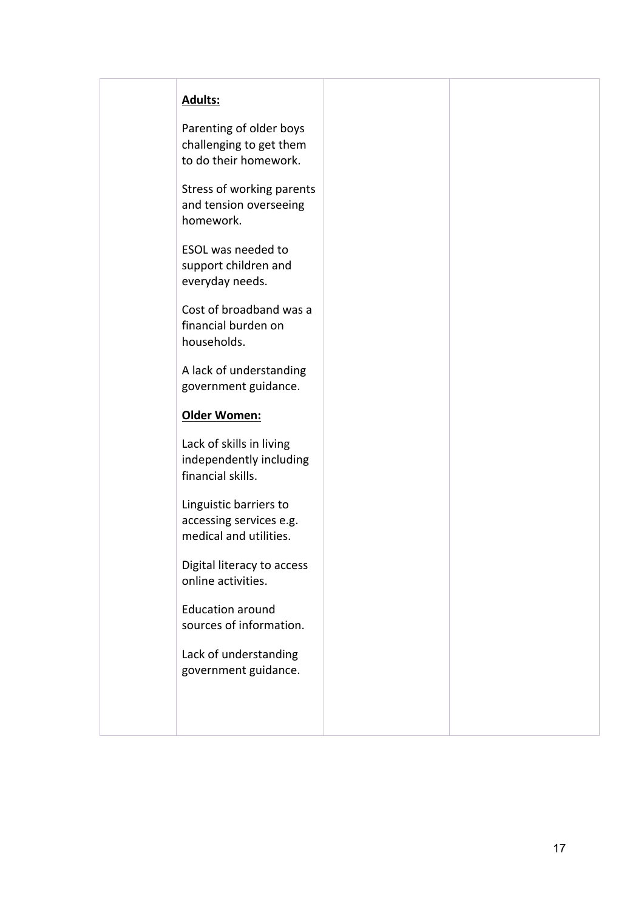### **Adults:**

Parenting of older boys challenging to get them to do their homework.

Stress of working parents and tension overseeing homework.

ESOL was needed to support children and everyday needs.

Cost of broadband was a financial burden on households.

A lack of understanding government guidance.

### **Older Women:**

Lack of skills in living independently including financial skills.

Linguistic barriers to accessing services e.g. medical and utilities.

Digital literacy to access online activities.

Education around sources of information.

Lack of understanding government guidance.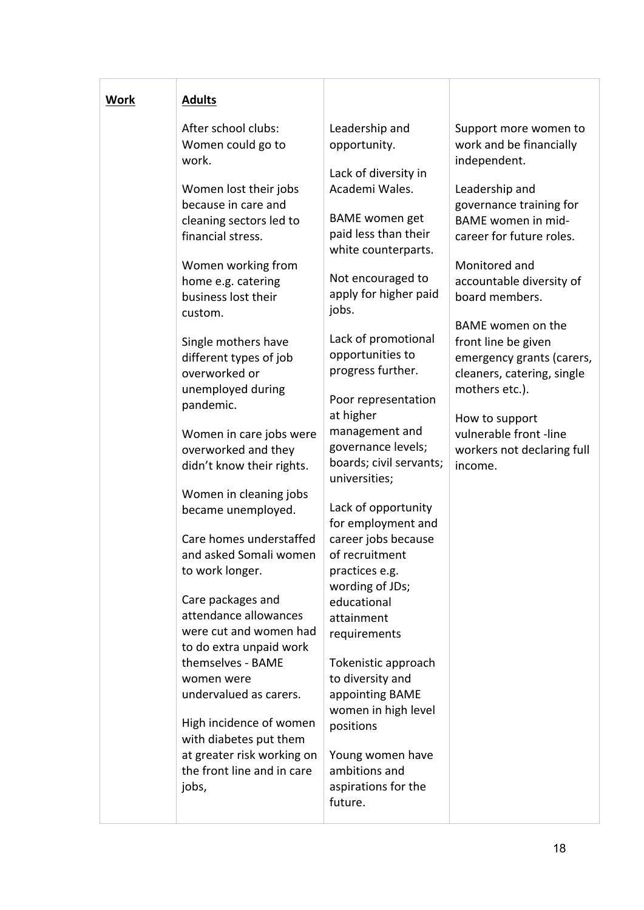| <b>Work</b> | <b>Adults</b>                                                                                                                                                                                                                                                                                                                                                                                                                                                                                                                                                                                                                                                                    |                                                                                                                                                                                                                                                                                                                                                                                                                                                                                                                                                                                                                                         |                                                                                                                                                                                                                                                                                                                                                                          |
|-------------|----------------------------------------------------------------------------------------------------------------------------------------------------------------------------------------------------------------------------------------------------------------------------------------------------------------------------------------------------------------------------------------------------------------------------------------------------------------------------------------------------------------------------------------------------------------------------------------------------------------------------------------------------------------------------------|-----------------------------------------------------------------------------------------------------------------------------------------------------------------------------------------------------------------------------------------------------------------------------------------------------------------------------------------------------------------------------------------------------------------------------------------------------------------------------------------------------------------------------------------------------------------------------------------------------------------------------------------|--------------------------------------------------------------------------------------------------------------------------------------------------------------------------------------------------------------------------------------------------------------------------------------------------------------------------------------------------------------------------|
|             | After school clubs:<br>Women could go to<br>work.                                                                                                                                                                                                                                                                                                                                                                                                                                                                                                                                                                                                                                | Leadership and<br>opportunity.                                                                                                                                                                                                                                                                                                                                                                                                                                                                                                                                                                                                          | Support more women to<br>work and be financially<br>independent.                                                                                                                                                                                                                                                                                                         |
|             | Women lost their jobs<br>because in care and<br>cleaning sectors led to<br>financial stress.<br>Women working from<br>home e.g. catering<br>business lost their<br>custom.<br>Single mothers have<br>different types of job<br>overworked or<br>unemployed during<br>pandemic.<br>Women in care jobs were<br>overworked and they<br>didn't know their rights.<br>Women in cleaning jobs<br>became unemployed.<br>Care homes understaffed<br>and asked Somali women<br>to work longer.<br>Care packages and<br>attendance allowances<br>were cut and women had<br>to do extra unpaid work<br>themselves - BAME<br>women were<br>undervalued as carers.<br>High incidence of women | Lack of diversity in<br>Academi Wales.<br><b>BAME</b> women get<br>paid less than their<br>white counterparts.<br>Not encouraged to<br>apply for higher paid<br>jobs.<br>Lack of promotional<br>opportunities to<br>progress further.<br>Poor representation<br>at higher<br>management and<br>governance levels;<br>boards; civil servants;<br>universities;<br>Lack of opportunity<br>for employment and<br>career jobs because<br>of recruitment<br>practices e.g.<br>wording of JDs;<br>educational<br>attainment<br>requirements<br>Tokenistic approach<br>to diversity and<br>appointing BAME<br>women in high level<br>positions | Leadership and<br>governance training for<br>BAME women in mid-<br>career for future roles.<br>Monitored and<br>accountable diversity of<br>board members.<br>BAME women on the<br>front line be given<br>emergency grants (carers,<br>cleaners, catering, single<br>mothers etc.).<br>How to support<br>vulnerable front -line<br>workers not declaring full<br>income. |
|             | with diabetes put them<br>at greater risk working on<br>the front line and in care<br>jobs,                                                                                                                                                                                                                                                                                                                                                                                                                                                                                                                                                                                      | Young women have<br>ambitions and<br>aspirations for the<br>future.                                                                                                                                                                                                                                                                                                                                                                                                                                                                                                                                                                     |                                                                                                                                                                                                                                                                                                                                                                          |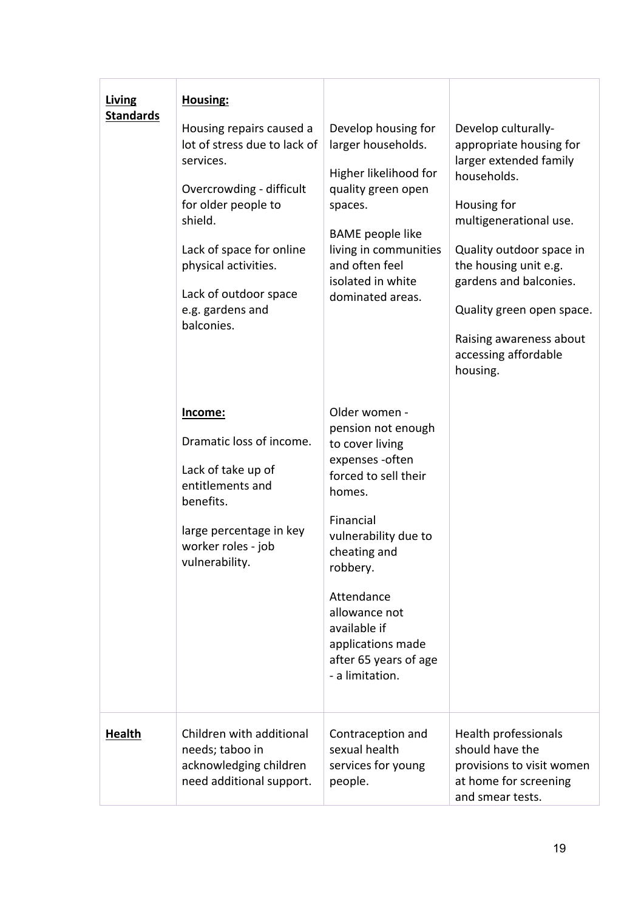| Living<br><b>Standards</b> | Housing:<br>Housing repairs caused a<br>lot of stress due to lack of<br>services.<br>Overcrowding - difficult<br>for older people to<br>shield.<br>Lack of space for online<br>physical activities.<br>Lack of outdoor space<br>e.g. gardens and<br>balconies. | Develop housing for<br>larger households.<br>Higher likelihood for<br>quality green open<br>spaces.<br><b>BAME</b> people like<br>living in communities<br>and often feel<br>isolated in white<br>dominated areas.                                                                            | Develop culturally-<br>appropriate housing for<br>larger extended family<br>households.<br>Housing for<br>multigenerational use.<br>Quality outdoor space in<br>the housing unit e.g.<br>gardens and balconies.<br>Quality green open space.<br>Raising awareness about<br>accessing affordable<br>housing. |
|----------------------------|----------------------------------------------------------------------------------------------------------------------------------------------------------------------------------------------------------------------------------------------------------------|-----------------------------------------------------------------------------------------------------------------------------------------------------------------------------------------------------------------------------------------------------------------------------------------------|-------------------------------------------------------------------------------------------------------------------------------------------------------------------------------------------------------------------------------------------------------------------------------------------------------------|
|                            | Income:<br>Dramatic loss of income.<br>Lack of take up of<br>entitlements and<br>benefits.<br>large percentage in key<br>worker roles - job<br>vulnerability.                                                                                                  | Older women -<br>pension not enough<br>to cover living<br>expenses - often<br>forced to sell their<br>homes.<br>Financial<br>vulnerability due to<br>cheating and<br>robbery.<br>Attendance<br>allowance not<br>available if<br>applications made<br>after 65 years of age<br>- a limitation. |                                                                                                                                                                                                                                                                                                             |
| <b>Health</b>              | Children with additional<br>needs; taboo in<br>acknowledging children<br>need additional support.                                                                                                                                                              | Contraception and<br>sexual health<br>services for young<br>people.                                                                                                                                                                                                                           | Health professionals<br>should have the<br>provisions to visit women<br>at home for screening<br>and smear tests.                                                                                                                                                                                           |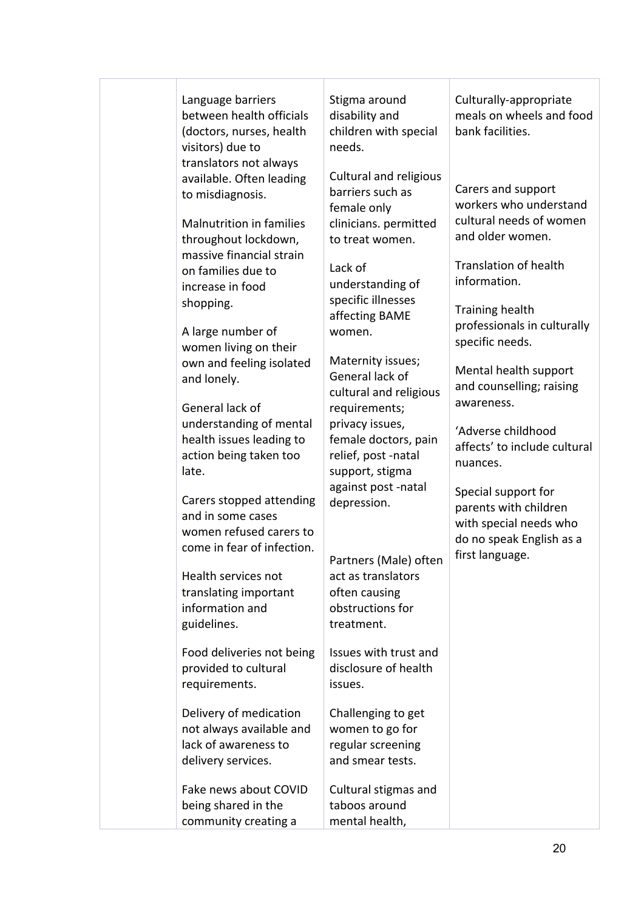| Language barriers<br>between health officials<br>(doctors, nurses, health<br>visitors) due to<br>translators not always             | Stigma around<br>disability and<br>children with special<br>needs.                                           | Culturally-appropriate<br>meals on wheels and food<br>bank facilities.                                                |
|-------------------------------------------------------------------------------------------------------------------------------------|--------------------------------------------------------------------------------------------------------------|-----------------------------------------------------------------------------------------------------------------------|
| available. Often leading<br>to misdiagnosis.<br><b>Malnutrition in families</b><br>throughout lockdown,<br>massive financial strain | <b>Cultural and religious</b><br>barriers such as<br>female only<br>clinicians. permitted<br>to treat women. | Carers and support<br>workers who understand<br>cultural needs of women<br>and older women.                           |
| on families due to<br>increase in food                                                                                              | Lack of<br>understanding of                                                                                  | <b>Translation of health</b><br>information.                                                                          |
| shopping.<br>A large number of                                                                                                      | specific illnesses<br>affecting BAME<br>women.                                                               | Training health<br>professionals in culturally<br>specific needs.                                                     |
| women living on their<br>own and feeling isolated<br>and lonely.                                                                    | Maternity issues;<br>General lack of<br>cultural and religious                                               | Mental health support<br>and counselling; raising<br>awareness.                                                       |
| General lack of<br>understanding of mental<br>health issues leading to<br>action being taken too<br>late.                           | requirements;<br>privacy issues,<br>female doctors, pain<br>relief, post -natal<br>support, stigma           | 'Adverse childhood<br>affects' to include cultural<br>nuances.                                                        |
| Carers stopped attending<br>and in some cases<br>women refused carers to<br>come in fear of infection.                              | against post -natal<br>depression.                                                                           | Special support for<br>parents with children<br>with special needs who<br>do no speak English as a<br>first language. |
| Health services not<br>translating important<br>information and<br>guidelines.                                                      | Partners (Male) often<br>act as translators<br>often causing<br>obstructions for<br>treatment.               |                                                                                                                       |
| Food deliveries not being<br>provided to cultural<br>requirements.                                                                  | Issues with trust and<br>disclosure of health<br>issues.                                                     |                                                                                                                       |
| Delivery of medication<br>not always available and<br>lack of awareness to<br>delivery services.                                    | Challenging to get<br>women to go for<br>regular screening<br>and smear tests.                               |                                                                                                                       |
| Fake news about COVID<br>being shared in the<br>community creating a                                                                | Cultural stigmas and<br>taboos around<br>mental health,                                                      |                                                                                                                       |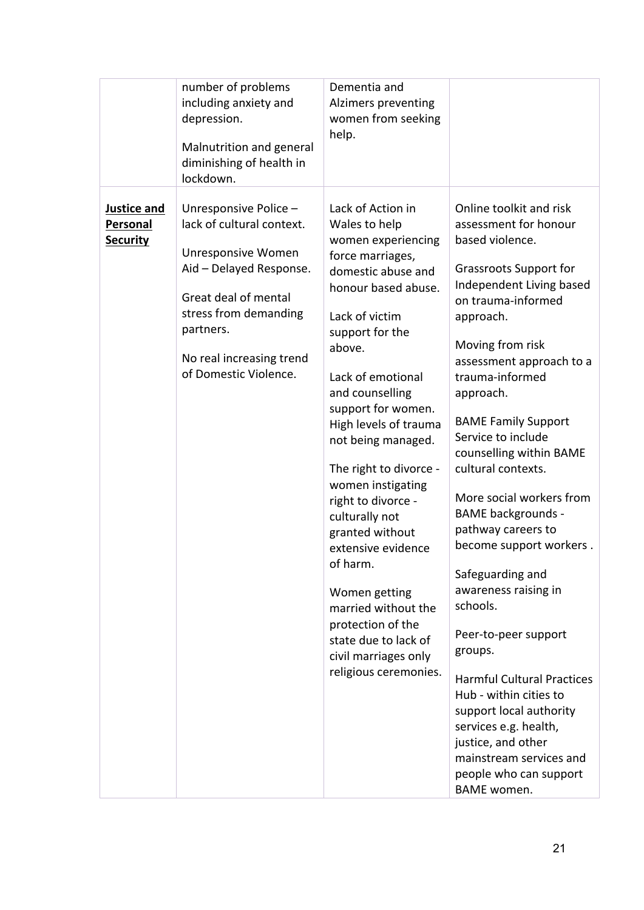|                                                   | number of problems<br>including anxiety and<br>depression.<br>Malnutrition and general<br>diminishing of health in<br>lockdown.                                                                                        | Dementia and<br>Alzimers preventing<br>women from seeking<br>help.                                                                                                                                                                                                                                                                                                                                                                                                                                                                                                      |                                                                                                                                                                                                                                                                                                                                                                                                                                                                                                                                                                                                                                                                                                                                                                                   |
|---------------------------------------------------|------------------------------------------------------------------------------------------------------------------------------------------------------------------------------------------------------------------------|-------------------------------------------------------------------------------------------------------------------------------------------------------------------------------------------------------------------------------------------------------------------------------------------------------------------------------------------------------------------------------------------------------------------------------------------------------------------------------------------------------------------------------------------------------------------------|-----------------------------------------------------------------------------------------------------------------------------------------------------------------------------------------------------------------------------------------------------------------------------------------------------------------------------------------------------------------------------------------------------------------------------------------------------------------------------------------------------------------------------------------------------------------------------------------------------------------------------------------------------------------------------------------------------------------------------------------------------------------------------------|
| <b>Justice and</b><br>Personal<br><b>Security</b> | Unresponsive Police -<br>lack of cultural context.<br>Unresponsive Women<br>Aid - Delayed Response.<br>Great deal of mental<br>stress from demanding<br>partners.<br>No real increasing trend<br>of Domestic Violence. | Lack of Action in<br>Wales to help<br>women experiencing<br>force marriages,<br>domestic abuse and<br>honour based abuse.<br>Lack of victim<br>support for the<br>above.<br>Lack of emotional<br>and counselling<br>support for women.<br>High levels of trauma<br>not being managed.<br>The right to divorce -<br>women instigating<br>right to divorce -<br>culturally not<br>granted without<br>extensive evidence<br>of harm.<br>Women getting<br>married without the<br>protection of the<br>state due to lack of<br>civil marriages only<br>religious ceremonies. | Online toolkit and risk<br>assessment for honour<br>based violence.<br><b>Grassroots Support for</b><br>Independent Living based<br>on trauma-informed<br>approach.<br>Moving from risk<br>assessment approach to a<br>trauma-informed<br>approach.<br><b>BAME Family Support</b><br>Service to include<br>counselling within BAME<br>cultural contexts.<br>More social workers from<br><b>BAME backgrounds -</b><br>pathway careers to<br>become support workers.<br>Safeguarding and<br>awareness raising in<br>schools.<br>Peer-to-peer support<br>groups.<br><b>Harmful Cultural Practices</b><br>Hub - within cities to<br>support local authority<br>services e.g. health,<br>justice, and other<br>mainstream services and<br>people who can support<br><b>BAME</b> women. |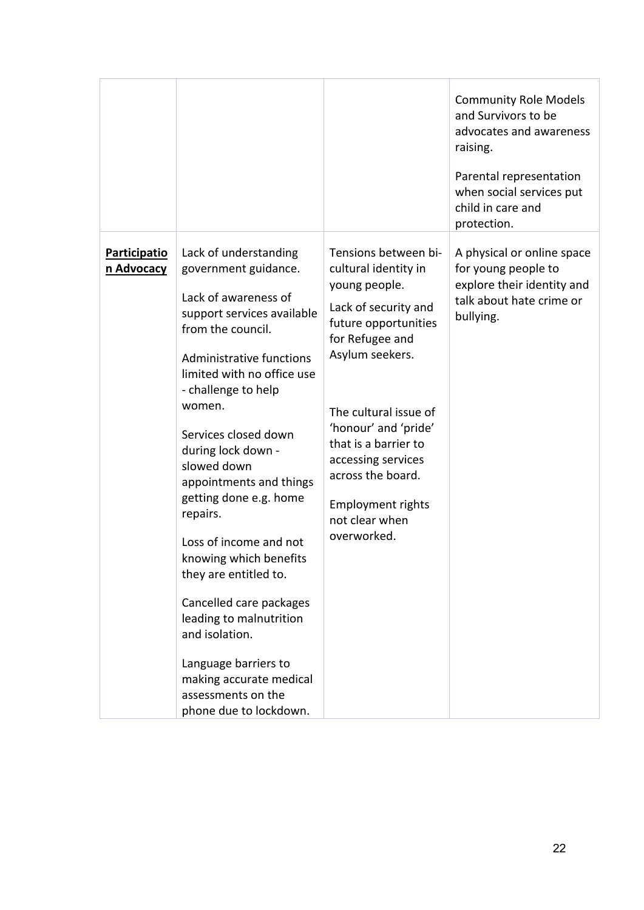|                                   |                                                                                                                                                                                                                                                                                                                                                                                                                                                                                                                                                                                                           |                                                                                                                                                                                                                                                                                                                                      | <b>Community Role Models</b><br>and Survivors to be<br>advocates and awareness<br>raising.<br>Parental representation<br>when social services put<br>child in care and<br>protection. |
|-----------------------------------|-----------------------------------------------------------------------------------------------------------------------------------------------------------------------------------------------------------------------------------------------------------------------------------------------------------------------------------------------------------------------------------------------------------------------------------------------------------------------------------------------------------------------------------------------------------------------------------------------------------|--------------------------------------------------------------------------------------------------------------------------------------------------------------------------------------------------------------------------------------------------------------------------------------------------------------------------------------|---------------------------------------------------------------------------------------------------------------------------------------------------------------------------------------|
| <b>Participatio</b><br>n Advocacy | Lack of understanding<br>government guidance.<br>Lack of awareness of<br>support services available<br>from the council.<br>Administrative functions<br>limited with no office use<br>- challenge to help<br>women.<br>Services closed down<br>during lock down -<br>slowed down<br>appointments and things<br>getting done e.g. home<br>repairs.<br>Loss of income and not<br>knowing which benefits<br>they are entitled to.<br>Cancelled care packages<br>leading to malnutrition<br>and isolation.<br>Language barriers to<br>making accurate medical<br>assessments on the<br>phone due to lockdown. | Tensions between bi-<br>cultural identity in<br>young people.<br>Lack of security and<br>future opportunities<br>for Refugee and<br>Asylum seekers.<br>The cultural issue of<br>'honour' and 'pride'<br>that is a barrier to<br>accessing services<br>across the board.<br><b>Employment rights</b><br>not clear when<br>overworked. | A physical or online space<br>for young people to<br>explore their identity and<br>talk about hate crime or<br>bullying.                                                              |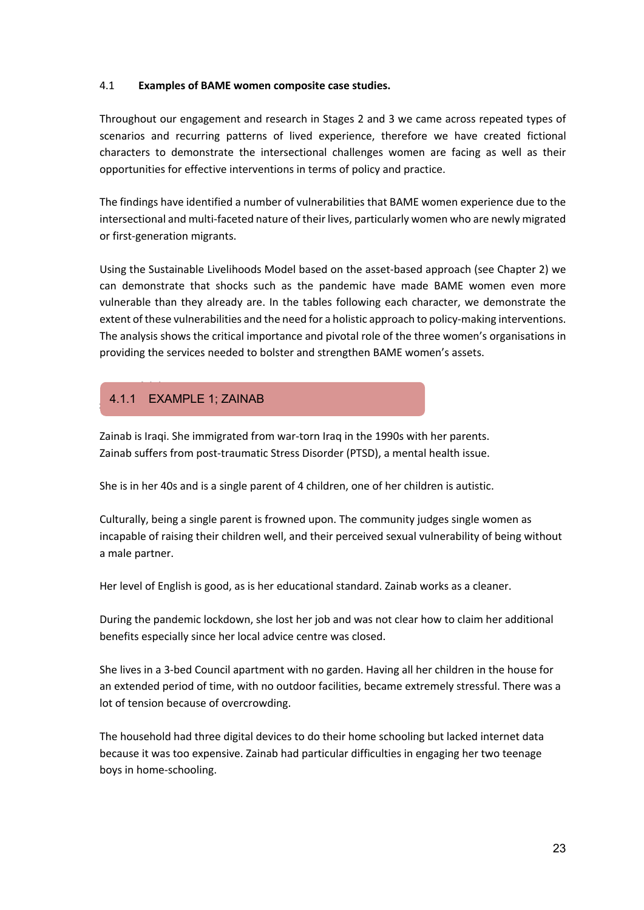### 4.1 **Examples of BAME women composite case studies.**

Throughout our engagement and research in Stages 2 and 3 we came across repeated types of scenarios and recurring patterns of lived experience, therefore we have created fictional characters to demonstrate the intersectional challenges women are facing as well as their opportunities for effective interventions in terms of policy and practice.

The findings have identified a number of vulnerabilities that BAME women experience due to the intersectional and multi-faceted nature of their lives, particularly women who are newly migrated or first-generation migrants.

Using the Sustainable Livelihoods Model based on the asset-based approach (see Chapter 2) we can demonstrate that shocks such as the pandemic have made BAME women even more vulnerable than they already are. In the tables following each character, we demonstrate the extent of these vulnerabilities and the need for a holistic approach to policy-making interventions. The analysis shows the critical importance and pivotal role of the three women's organisations in providing the services needed to bolster and strengthen BAME women's assets.

#### 4.1.1 4 4.1.1 EXAMPLE 1; ZAINAB

Zainab is Iraqi. She immigrated from war-torn Iraq in the 1990s with her parents. Zainab suffers from post-traumatic Stress Disorder (PTSD), a mental health issue.

She is in her 40s and is a single parent of 4 children, one of her children is autistic.

Culturally, being a single parent is frowned upon. The community judges single women as incapable of raising their children well, and their perceived sexual vulnerability of being without a male partner.

Her level of English is good, as is her educational standard. Zainab works as a cleaner.

During the pandemic lockdown, she lost her job and was not clear how to claim her additional benefits especially since her local advice centre was closed.

She lives in a 3-bed Council apartment with no garden. Having all her children in the house for an extended period of time, with no outdoor facilities, became extremely stressful. There was a lot of tension because of overcrowding.

The household had three digital devices to do their home schooling but lacked internet data because it was too expensive. Zainab had particular difficulties in engaging her two teenage boys in home-schooling.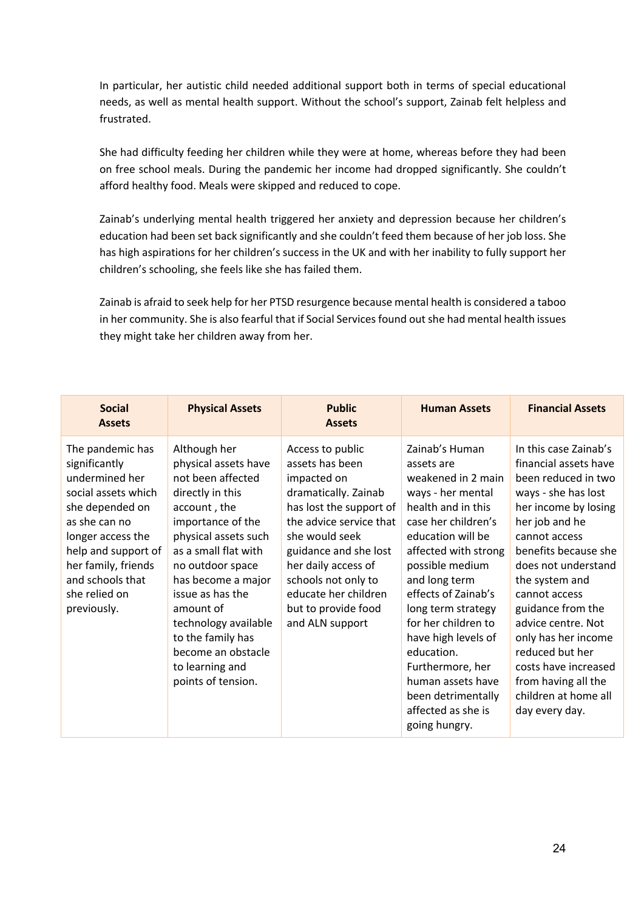In particular, her autistic child needed additional support both in terms of special educational needs, as well as mental health support. Without the school's support, Zainab felt helpless and frustrated.

She had difficulty feeding her children while they were at home, whereas before they had been on free school meals. During the pandemic her income had dropped significantly. She couldn't afford healthy food. Meals were skipped and reduced to cope.

Zainab's underlying mental health triggered her anxiety and depression because her children's education had been set back significantly and she couldn't feed them because of her job loss. She has high aspirations for her children's success in the UK and with her inability to fully support her children's schooling, she feels like she has failed them.

Zainab is afraid to seek help for her PTSD resurgence because mental health is considered a taboo in her community. She is also fearful that if Social Services found out she had mental health issues they might take her children away from her.

| <b>Social</b><br><b>Assets</b>                                                                                                                                                                                                        | <b>Physical Assets</b>                                                                                                                                                                                                                                                                                                                                    | <b>Public</b><br><b>Assets</b>                                                                                                                                                                                                                                                              | <b>Human Assets</b>                                                                                                                                                                                                                                                                                                                                                                                                  | <b>Financial Assets</b>                                                                                                                                                                                                                                                                                                                                                                                                 |
|---------------------------------------------------------------------------------------------------------------------------------------------------------------------------------------------------------------------------------------|-----------------------------------------------------------------------------------------------------------------------------------------------------------------------------------------------------------------------------------------------------------------------------------------------------------------------------------------------------------|---------------------------------------------------------------------------------------------------------------------------------------------------------------------------------------------------------------------------------------------------------------------------------------------|----------------------------------------------------------------------------------------------------------------------------------------------------------------------------------------------------------------------------------------------------------------------------------------------------------------------------------------------------------------------------------------------------------------------|-------------------------------------------------------------------------------------------------------------------------------------------------------------------------------------------------------------------------------------------------------------------------------------------------------------------------------------------------------------------------------------------------------------------------|
| The pandemic has<br>significantly<br>undermined her<br>social assets which<br>she depended on<br>as she can no<br>longer access the<br>help and support of<br>her family, friends<br>and schools that<br>she relied on<br>previously. | Although her<br>physical assets have<br>not been affected<br>directly in this<br>account, the<br>importance of the<br>physical assets such<br>as a small flat with<br>no outdoor space<br>has become a major<br>issue as has the<br>amount of<br>technology available<br>to the family has<br>become an obstacle<br>to learning and<br>points of tension. | Access to public<br>assets has been<br>impacted on<br>dramatically. Zainab<br>has lost the support of<br>the advice service that<br>she would seek<br>guidance and she lost<br>her daily access of<br>schools not only to<br>educate her children<br>but to provide food<br>and ALN support | Zainab's Human<br>assets are<br>weakened in 2 main<br>ways - her mental<br>health and in this<br>case her children's<br>education will be<br>affected with strong<br>possible medium<br>and long term<br>effects of Zainab's<br>long term strategy<br>for her children to<br>have high levels of<br>education.<br>Furthermore, her<br>human assets have<br>been detrimentally<br>affected as she is<br>going hungry. | In this case Zainab's<br>financial assets have<br>been reduced in two<br>ways - she has lost<br>her income by losing<br>her job and he<br>cannot access<br>benefits because she<br>does not understand<br>the system and<br>cannot access<br>guidance from the<br>advice centre. Not<br>only has her income<br>reduced but her<br>costs have increased<br>from having all the<br>children at home all<br>day every day. |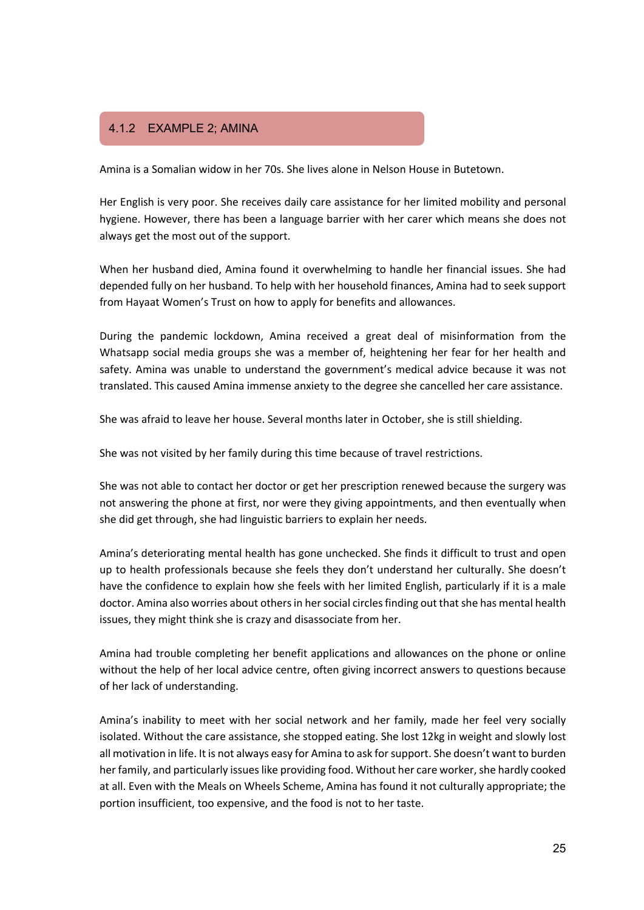## 4.1.2 Example 2: Amina 4.1.2 EXAMPLE 2; AMINA

Amina is a Somalian widow in her 70s. She lives alone in Nelson House in Butetown.

Her English is very poor. She receives daily care assistance for her limited mobility and personal hygiene. However, there has been a language barrier with her carer which means she does not always get the most out of the support.

When her husband died, Amina found it overwhelming to handle her financial issues. She had depended fully on her husband. To help with her household finances, Amina had to seek support from Hayaat Women's Trust on how to apply for benefits and allowances.

During the pandemic lockdown, Amina received a great deal of misinformation from the Whatsapp social media groups she was a member of, heightening her fear for her health and safety. Amina was unable to understand the government's medical advice because it was not translated. This caused Amina immense anxiety to the degree she cancelled her care assistance.

She was afraid to leave her house. Several months later in October, she is still shielding.

She was not visited by her family during this time because of travel restrictions.

She was not able to contact her doctor or get her prescription renewed because the surgery was not answering the phone at first, nor were they giving appointments, and then eventually when she did get through, she had linguistic barriers to explain her needs.

Amina's deteriorating mental health has gone unchecked. She finds it difficult to trust and open up to health professionals because she feels they don't understand her culturally. She doesn't have the confidence to explain how she feels with her limited English, particularly if it is a male doctor. Amina also worries about others in her social circles finding out that she has mental health issues, they might think she is crazy and disassociate from her.

Amina had trouble completing her benefit applications and allowances on the phone or online without the help of her local advice centre, often giving incorrect answers to questions because of her lack of understanding.

Amina's inability to meet with her social network and her family, made her feel very socially isolated. Without the care assistance, she stopped eating. She lost 12kg in weight and slowly lost all motivation in life. It is not always easy for Amina to ask for support. She doesn't want to burden her family, and particularly issues like providing food. Without her care worker, she hardly cooked at all. Even with the Meals on Wheels Scheme, Amina has found it not culturally appropriate; the portion insufficient, too expensive, and the food is not to her taste.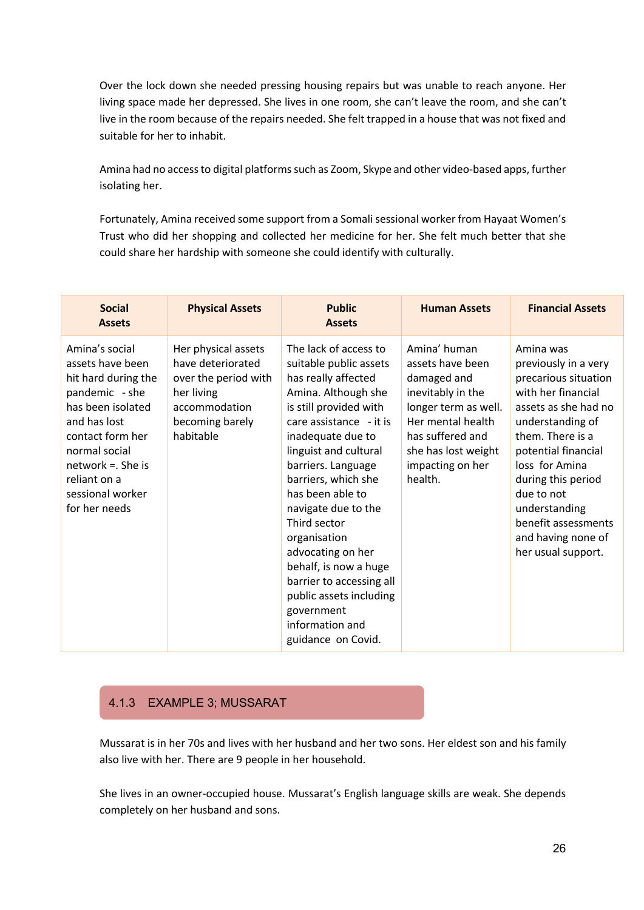Over the lock down she needed pressing housing repairs but was unable to reach anyone. Her living space made her depressed. She lives in one room, she can't leave the room, and she can't live in the room because of the repairs needed. She felt trapped in a house that was not fixed and suitable for her to inhabit.

Amina had no access to digital platforms such as Zoom, Skype and other video-based apps, further isolating her.

Fortunately, Amina received some support from a Somali sessional worker from Hayaat Women's Trust who did her shopping and collected her medicine for her. She felt much better that she could share her hardship with someone she could identify with culturally.

| <b>Social</b><br><b>Assets</b>                                                                                                                                                                                                     | <b>Physical Assets</b>                                                                                                          | <b>Public</b><br><b>Assets</b>                                                                                                                                                                                                                                                                                                                                                                                                                                                       | <b>Human Assets</b>                                                                                                                                                                         | <b>Financial Assets</b>                                                                                                                                                                                                                                                                                          |
|------------------------------------------------------------------------------------------------------------------------------------------------------------------------------------------------------------------------------------|---------------------------------------------------------------------------------------------------------------------------------|--------------------------------------------------------------------------------------------------------------------------------------------------------------------------------------------------------------------------------------------------------------------------------------------------------------------------------------------------------------------------------------------------------------------------------------------------------------------------------------|---------------------------------------------------------------------------------------------------------------------------------------------------------------------------------------------|------------------------------------------------------------------------------------------------------------------------------------------------------------------------------------------------------------------------------------------------------------------------------------------------------------------|
| Amina's social<br>assets have been<br>hit hard during the<br>pandemic - she<br>has been isolated<br>and has lost<br>contact form her<br>normal social<br>$network =$ . She is<br>reliant on a<br>sessional worker<br>for her needs | Her physical assets<br>have deteriorated<br>over the period with<br>her living<br>accommodation<br>becoming barely<br>habitable | The lack of access to<br>suitable public assets<br>has really affected<br>Amina. Although she<br>is still provided with<br>care assistance - it is<br>inadequate due to<br>linguist and cultural<br>barriers. Language<br>barriers, which she<br>has been able to<br>navigate due to the<br>Third sector<br>organisation<br>advocating on her<br>behalf, is now a huge<br>barrier to accessing all<br>public assets including<br>government<br>information and<br>guidance on Covid. | Amina' human<br>assets have been<br>damaged and<br>inevitably in the<br>longer term as well.<br>Her mental health<br>has suffered and<br>she has lost weight<br>impacting on her<br>health. | Amina was<br>previously in a very<br>precarious situation<br>with her financial<br>assets as she had no<br>understanding of<br>them. There is a<br>potential financial<br>loss for Amina<br>during this period<br>due to not<br>understanding<br>benefit assessments<br>and having none of<br>her usual support. |

### 4.1.3 EXAMPLE 3; MUSSARAT

Mussarat is in her 70s and lives with her husband and her two sons. Her eldest son and his family also live with her. There are 9 people in her household.

She lives in an owner-occupied house. Mussarat's English language skills are weak. She depends completely on her husband and sons.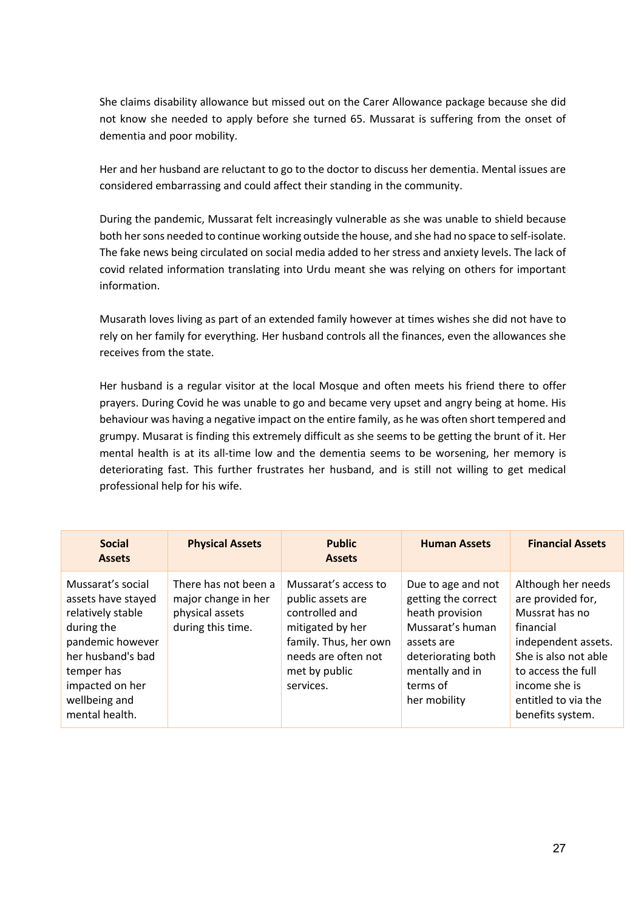She claims disability allowance but missed out on the Carer Allowance package because she did not know she needed to apply before she turned 65. Mussarat is suffering from the onset of dementia and poor mobility.

Her and her husband are reluctant to go to the doctor to discuss her dementia. Mental issues are considered embarrassing and could affect their standing in the community.

During the pandemic, Mussarat felt increasingly vulnerable as she was unable to shield because both her sons needed to continue working outside the house, and she had no space to self-isolate. The fake news being circulated on social media added to her stress and anxiety levels. The lack of covid related information translating into Urdu meant she was relying on others for important information.

Musarath loves living as part of an extended family however at times wishes she did not have to rely on her family for everything. Her husband controls all the finances, even the allowances she receives from the state.

Her husband is a regular visitor at the local Mosque and often meets his friend there to offer prayers. During Covid he was unable to go and became very upset and angry being at home. His behaviour was having a negative impact on the entire family, as he was often short tempered and grumpy. Musarat is finding this extremely difficult as she seems to be getting the brunt of it. Her mental health is at its all-time low and the dementia seems to be worsening, her memory is deteriorating fast. This further frustrates her husband, and is still not willing to get medical professional help for his wife.

| <b>Social</b><br><b>Assets</b>                                                                                                                                                          | <b>Physical Assets</b>                                                              | <b>Public</b><br><b>Assets</b>                                                                                                                                | <b>Human Assets</b>                                                                                                                                                 | <b>Financial Assets</b>                                                                                                                                                                                 |
|-----------------------------------------------------------------------------------------------------------------------------------------------------------------------------------------|-------------------------------------------------------------------------------------|---------------------------------------------------------------------------------------------------------------------------------------------------------------|---------------------------------------------------------------------------------------------------------------------------------------------------------------------|---------------------------------------------------------------------------------------------------------------------------------------------------------------------------------------------------------|
| Mussarat's social<br>assets have stayed<br>relatively stable<br>during the<br>pandemic however<br>her husband's bad<br>temper has<br>impacted on her<br>wellbeing and<br>mental health. | There has not been a<br>major change in her<br>physical assets<br>during this time. | Mussarat's access to<br>public assets are<br>controlled and<br>mitigated by her<br>family. Thus, her own<br>needs are often not<br>met by public<br>services. | Due to age and not<br>getting the correct<br>heath provision<br>Mussarat's human<br>assets are<br>deteriorating both<br>mentally and in<br>terms of<br>her mobility | Although her needs<br>are provided for,<br>Mussrat has no<br>financial<br>independent assets.<br>She is also not able<br>to access the full<br>income she is<br>entitled to via the<br>benefits system. |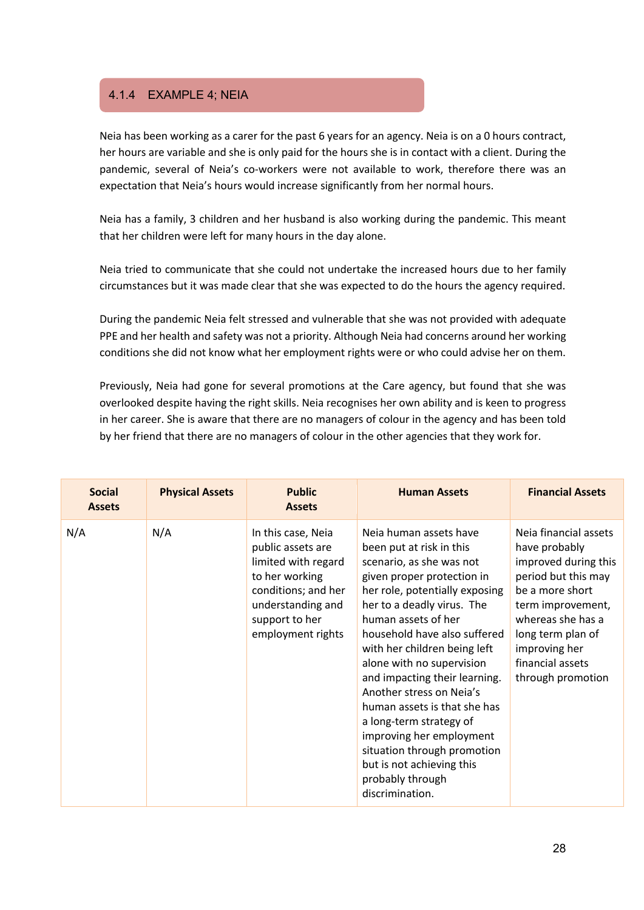### 4.1.4 EXAMPLE 4; NEIA

Neia has been working as a carer for the past 6 years for an agency. Neia is on a 0 hours contract, her hours are variable and she is only paid for the hours she is in contact with a client. During the pandemic, several of Neia's co-workers were not available to work, therefore there was an expectation that Neia's hours would increase significantly from her normal hours.

Neia has a family, 3 children and her husband is also working during the pandemic. This meant that her children were left for many hours in the day alone.

Neia tried to communicate that she could not undertake the increased hours due to her family circumstances but it was made clear that she was expected to do the hours the agency required.

During the pandemic Neia felt stressed and vulnerable that she was not provided with adequate PPE and her health and safety was not a priority. Although Neia had concerns around her working conditions she did not know what her employment rights were or who could advise her on them.

Previously, Neia had gone for several promotions at the Care agency, but found that she was overlooked despite having the right skills. Neia recognises her own ability and is keen to progress in her career. She is aware that there are no managers of colour in the agency and has been told by her friend that there are no managers of colour in the other agencies that they work for.

| <b>Social</b><br><b>Assets</b> | <b>Physical Assets</b> | <b>Public</b><br><b>Assets</b>                                                                                                                                      | <b>Human Assets</b>                                                                                                                                                                                                                                                                                                                                                                                                                                                                                                                                     | <b>Financial Assets</b>                                                                                                                                                                                                           |
|--------------------------------|------------------------|---------------------------------------------------------------------------------------------------------------------------------------------------------------------|---------------------------------------------------------------------------------------------------------------------------------------------------------------------------------------------------------------------------------------------------------------------------------------------------------------------------------------------------------------------------------------------------------------------------------------------------------------------------------------------------------------------------------------------------------|-----------------------------------------------------------------------------------------------------------------------------------------------------------------------------------------------------------------------------------|
| N/A                            | N/A                    | In this case, Neia<br>public assets are<br>limited with regard<br>to her working<br>conditions; and her<br>understanding and<br>support to her<br>employment rights | Neja human assets have<br>been put at risk in this<br>scenario, as she was not<br>given proper protection in<br>her role, potentially exposing<br>her to a deadly virus. The<br>human assets of her<br>household have also suffered<br>with her children being left<br>alone with no supervision<br>and impacting their learning.<br>Another stress on Neja's<br>human assets is that she has<br>a long-term strategy of<br>improving her employment<br>situation through promotion<br>but is not achieving this<br>probably through<br>discrimination. | Neja financial assets<br>have probably<br>improved during this<br>period but this may<br>be a more short<br>term improvement,<br>whereas she has a<br>long term plan of<br>improving her<br>financial assets<br>through promotion |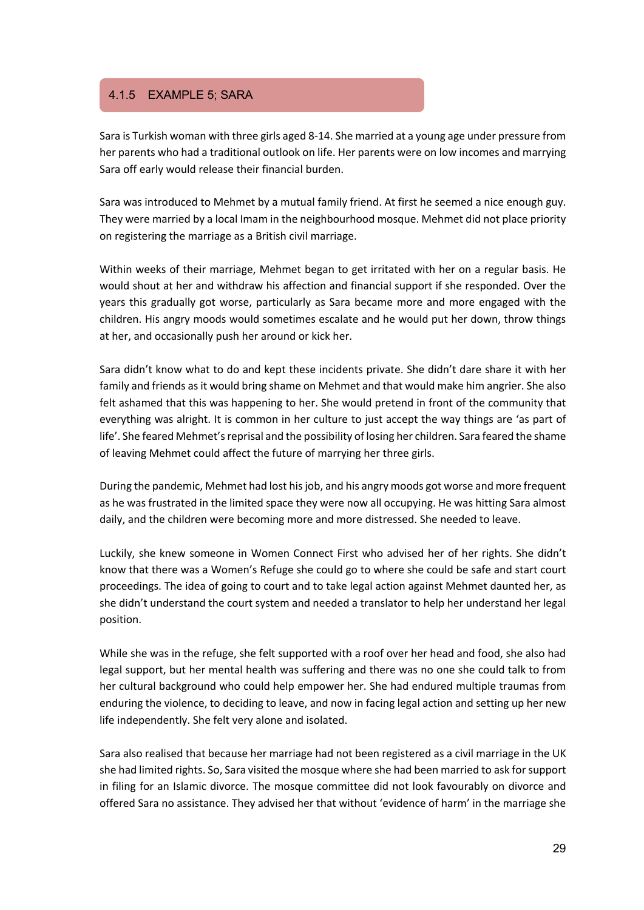### 4.1.5 EXAMPLE 5; SARA

Sara is Turkish woman with three girls aged 8-14. She married at a young age under pressure from her parents who had a traditional outlook on life. Her parents were on low incomes and marrying Sara off early would release their financial burden.

Sara was introduced to Mehmet by a mutual family friend. At first he seemed a nice enough guy. They were married by a local Imam in the neighbourhood mosque. Mehmet did not place priority on registering the marriage as a British civil marriage.

Within weeks of their marriage, Mehmet began to get irritated with her on a regular basis. He would shout at her and withdraw his affection and financial support if she responded. Over the years this gradually got worse, particularly as Sara became more and more engaged with the children. His angry moods would sometimes escalate and he would put her down, throw things at her, and occasionally push her around or kick her.

Sara didn't know what to do and kept these incidents private. She didn't dare share it with her family and friends as it would bring shame on Mehmet and that would make him angrier. She also felt ashamed that this was happening to her. She would pretend in front of the community that everything was alright. It is common in her culture to just accept the way things are 'as part of life'. She feared Mehmet's reprisal and the possibility of losing her children. Sara feared the shame of leaving Mehmet could affect the future of marrying her three girls.

During the pandemic, Mehmet had lost his job, and his angry moods got worse and more frequent as he was frustrated in the limited space they were now all occupying. He was hitting Sara almost daily, and the children were becoming more and more distressed. She needed to leave.

Luckily, she knew someone in Women Connect First who advised her of her rights. She didn't know that there was a Women's Refuge she could go to where she could be safe and start court proceedings. The idea of going to court and to take legal action against Mehmet daunted her, as she didn't understand the court system and needed a translator to help her understand her legal position.

While she was in the refuge, she felt supported with a roof over her head and food, she also had legal support, but her mental health was suffering and there was no one she could talk to from her cultural background who could help empower her. She had endured multiple traumas from enduring the violence, to deciding to leave, and now in facing legal action and setting up her new life independently. She felt very alone and isolated.

Sara also realised that because her marriage had not been registered as a civil marriage in the UK she had limited rights. So, Sara visited the mosque where she had been married to ask for support in filing for an Islamic divorce. The mosque committee did not look favourably on divorce and offered Sara no assistance. They advised her that without 'evidence of harm' in the marriage she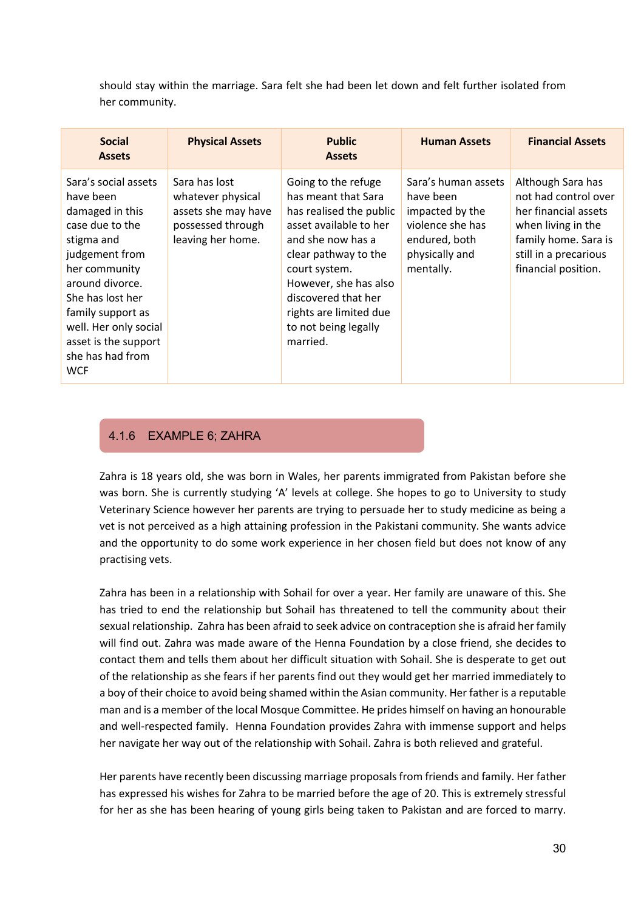should stay within the marriage. Sara felt she had been let down and felt further isolated from her community.

| <b>Social</b><br><b>Assets</b>                                                                                                                                                                                                                                          | <b>Physical Assets</b>                                                                              | <b>Public</b><br><b>Assets</b>                                                                                                                                                                                                                                              | <b>Human Assets</b>                                                                                                     | <b>Financial Assets</b>                                                                                                                                         |
|-------------------------------------------------------------------------------------------------------------------------------------------------------------------------------------------------------------------------------------------------------------------------|-----------------------------------------------------------------------------------------------------|-----------------------------------------------------------------------------------------------------------------------------------------------------------------------------------------------------------------------------------------------------------------------------|-------------------------------------------------------------------------------------------------------------------------|-----------------------------------------------------------------------------------------------------------------------------------------------------------------|
| Sara's social assets<br>have been<br>damaged in this<br>case due to the<br>stigma and<br>judgement from<br>her community<br>around divorce.<br>She has lost her<br>family support as<br>well. Her only social<br>asset is the support<br>she has had from<br><b>WCF</b> | Sara has lost<br>whatever physical<br>assets she may have<br>possessed through<br>leaving her home. | Going to the refuge<br>has meant that Sara<br>has realised the public<br>asset available to her<br>and she now has a<br>clear pathway to the<br>court system.<br>However, she has also<br>discovered that her<br>rights are limited due<br>to not being legally<br>married. | Sara's human assets<br>have been<br>impacted by the<br>violence she has<br>endured, both<br>physically and<br>mentally. | Although Sara has<br>not had control over<br>her financial assets<br>when living in the<br>family home. Sara is<br>still in a precarious<br>financial position. |

### 4.1.6 EXAMPLE 6; ZAHRA

Zahra is 18 years old, she was born in Wales, her parents immigrated from Pakistan before she was born. She is currently studying 'A' levels at college. She hopes to go to University to study Veterinary Science however her parents are trying to persuade her to study medicine as being a vet is not perceived as a high attaining profession in the Pakistani community. She wants advice and the opportunity to do some work experience in her chosen field but does not know of any practising vets.

Zahra has been in a relationship with Sohail for over a year. Her family are unaware of this. She has tried to end the relationship but Sohail has threatened to tell the community about their sexual relationship. Zahra has been afraid to seek advice on contraception she is afraid her family will find out. Zahra was made aware of the Henna Foundation by a close friend, she decides to contact them and tells them about her difficult situation with Sohail. She is desperate to get out of the relationship as she fears if her parents find out they would get her married immediately to a boy of their choice to avoid being shamed within the Asian community. Her father is a reputable man and is a member of the local Mosque Committee. He prides himself on having an honourable and well-respected family. Henna Foundation provides Zahra with immense support and helps her navigate her way out of the relationship with Sohail. Zahra is both relieved and grateful.

Her parents have recently been discussing marriage proposals from friends and family. Her father has expressed his wishes for Zahra to be married before the age of 20. This is extremely stressful for her as she has been hearing of young girls being taken to Pakistan and are forced to marry.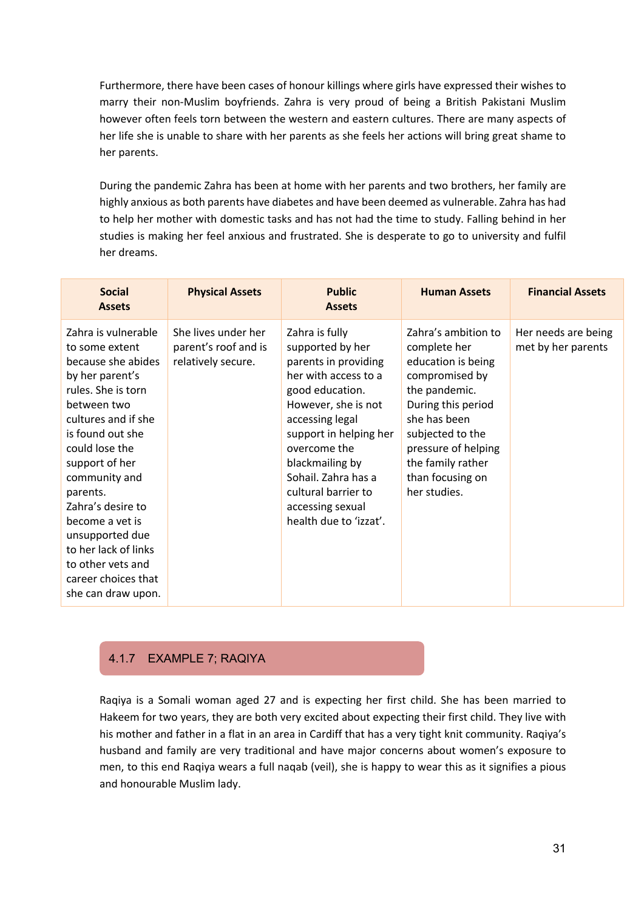Furthermore, there have been cases of honour killings where girls have expressed their wishes to marry their non-Muslim boyfriends. Zahra is very proud of being a British Pakistani Muslim however often feels torn between the western and eastern cultures. There are many aspects of her life she is unable to share with her parents as she feels her actions will bring great shame to her parents.

During the pandemic Zahra has been at home with her parents and two brothers, her family are highly anxious as both parents have diabetes and have been deemed as vulnerable. Zahra has had to help her mother with domestic tasks and has not had the time to study. Falling behind in her studies is making her feel anxious and frustrated. She is desperate to go to university and fulfil her dreams.

| <b>Social</b><br><b>Assets</b>                                                                                                                                                                                                                                                                                                                                                       | <b>Physical Assets</b>                                            | <b>Public</b><br><b>Assets</b>                                                                                                                                                                                                                                                                           | <b>Human Assets</b>                                                                                                                                                                                                                    | <b>Financial Assets</b>                   |
|--------------------------------------------------------------------------------------------------------------------------------------------------------------------------------------------------------------------------------------------------------------------------------------------------------------------------------------------------------------------------------------|-------------------------------------------------------------------|----------------------------------------------------------------------------------------------------------------------------------------------------------------------------------------------------------------------------------------------------------------------------------------------------------|----------------------------------------------------------------------------------------------------------------------------------------------------------------------------------------------------------------------------------------|-------------------------------------------|
| Zahra is vulnerable<br>to some extent<br>because she abides<br>by her parent's<br>rules. She is torn<br>between two<br>cultures and if she<br>is found out she<br>could lose the<br>support of her<br>community and<br>parents.<br>Zahra's desire to<br>become a vet is<br>unsupported due<br>to her lack of links<br>to other vets and<br>career choices that<br>she can draw upon. | She lives under her<br>parent's roof and is<br>relatively secure. | Zahra is fully<br>supported by her<br>parents in providing<br>her with access to a<br>good education.<br>However, she is not<br>accessing legal<br>support in helping her<br>overcome the<br>blackmailing by<br>Sohail, Zahra has a<br>cultural barrier to<br>accessing sexual<br>health due to 'izzat'. | Zahra's ambition to<br>complete her<br>education is being<br>compromised by<br>the pandemic.<br>During this period<br>she has been<br>subjected to the<br>pressure of helping<br>the family rather<br>than focusing on<br>her studies. | Her needs are being<br>met by her parents |

### 4.1.7 EXAMPLE 7; RAQIYA

Raqiya is a Somali woman aged 27 and is expecting her first child. She has been married to Hakeem for two years, they are both very excited about expecting their first child. They live with his mother and father in a flat in an area in Cardiff that has a very tight knit community. Raqiya's husband and family are very traditional and have major concerns about women's exposure to men, to this end Raqiya wears a full naqab (veil), she is happy to wear this as it signifies a pious and honourable Muslim lady.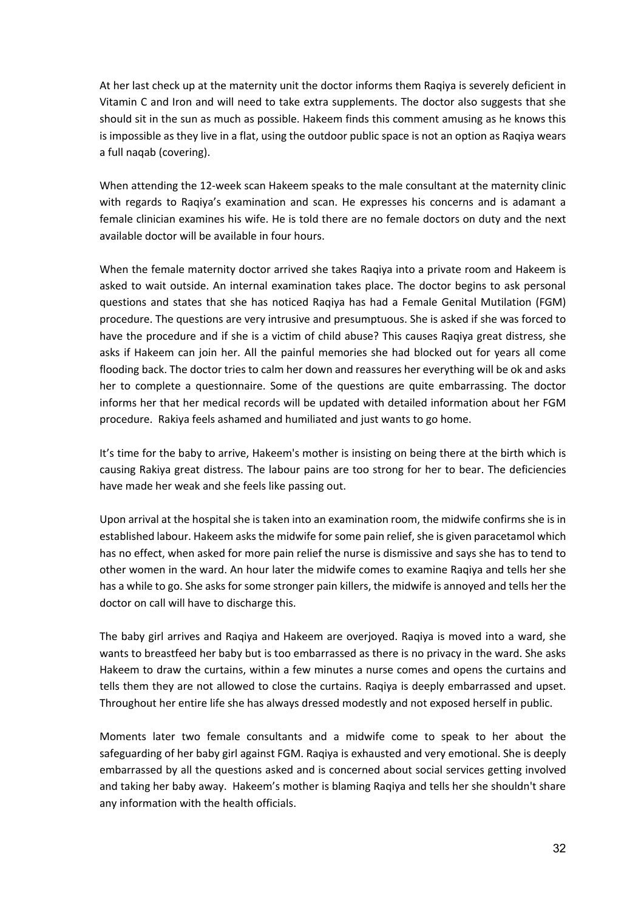At her last check up at the maternity unit the doctor informs them Raqiya is severely deficient in Vitamin C and Iron and will need to take extra supplements. The doctor also suggests that she should sit in the sun as much as possible. Hakeem finds this comment amusing as he knows this is impossible as they live in a flat, using the outdoor public space is not an option as Raqiya wears a full naqab (covering).

When attending the 12-week scan Hakeem speaks to the male consultant at the maternity clinic with regards to Raqiya's examination and scan. He expresses his concerns and is adamant a female clinician examines his wife. He is told there are no female doctors on duty and the next available doctor will be available in four hours.

When the female maternity doctor arrived she takes Raqiya into a private room and Hakeem is asked to wait outside. An internal examination takes place. The doctor begins to ask personal questions and states that she has noticed Raqiya has had a Female Genital Mutilation (FGM) procedure. The questions are very intrusive and presumptuous. She is asked if she was forced to have the procedure and if she is a victim of child abuse? This causes Raqiya great distress, she asks if Hakeem can join her. All the painful memories she had blocked out for years all come flooding back. The doctor tries to calm her down and reassures her everything will be ok and asks her to complete a questionnaire. Some of the questions are quite embarrassing. The doctor informs her that her medical records will be updated with detailed information about her FGM procedure. Rakiya feels ashamed and humiliated and just wants to go home.

It's time for the baby to arrive, Hakeem's mother is insisting on being there at the birth which is causing Rakiya great distress. The labour pains are too strong for her to bear. The deficiencies have made her weak and she feels like passing out.

Upon arrival at the hospital she is taken into an examination room, the midwife confirms she is in established labour. Hakeem asks the midwife for some pain relief, she is given paracetamol which has no effect, when asked for more pain relief the nurse is dismissive and says she has to tend to other women in the ward. An hour later the midwife comes to examine Raqiya and tells her she has a while to go. She asks for some stronger pain killers, the midwife is annoyed and tells her the doctor on call will have to discharge this.

The baby girl arrives and Raqiya and Hakeem are overjoyed. Raqiya is moved into a ward, she wants to breastfeed her baby but is too embarrassed as there is no privacy in the ward. She asks Hakeem to draw the curtains, within a few minutes a nurse comes and opens the curtains and tells them they are not allowed to close the curtains. Raqiya is deeply embarrassed and upset. Throughout her entire life she has always dressed modestly and not exposed herself in public.

Moments later two female consultants and a midwife come to speak to her about the safeguarding of her baby girl against FGM. Raqiya is exhausted and very emotional. She is deeply embarrassed by all the questions asked and is concerned about social services getting involved and taking her baby away. Hakeem's mother is blaming Raqiya and tells her she shouldn't share any information with the health officials.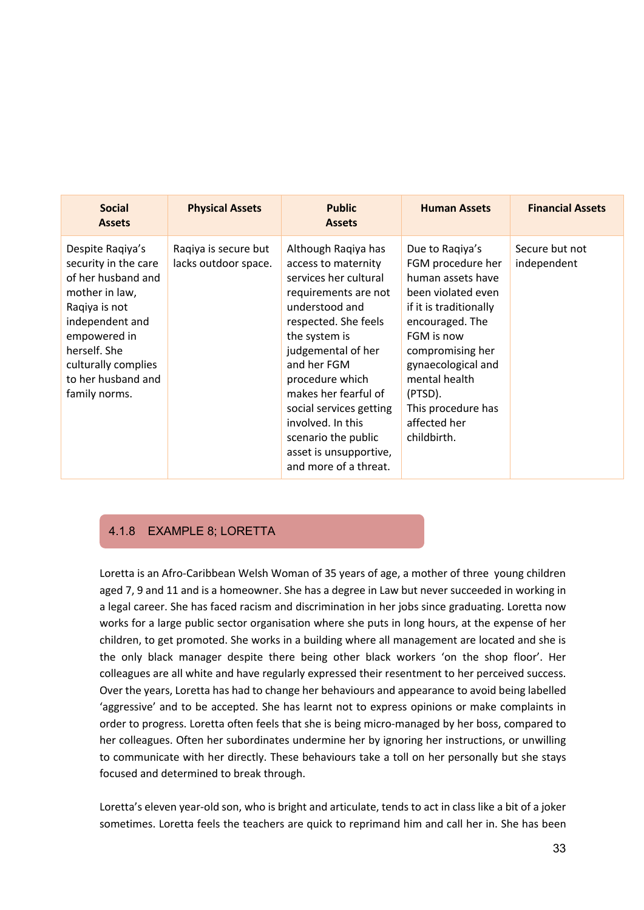| <b>Social</b><br><b>Assets</b>                                                                                                                                                                                     | <b>Physical Assets</b>                       | <b>Public</b><br><b>Assets</b>                                                                                                                                                                                                                                                                                                                                   | <b>Human Assets</b>                                                                                                                                                                                                                                                   | <b>Financial Assets</b>       |
|--------------------------------------------------------------------------------------------------------------------------------------------------------------------------------------------------------------------|----------------------------------------------|------------------------------------------------------------------------------------------------------------------------------------------------------------------------------------------------------------------------------------------------------------------------------------------------------------------------------------------------------------------|-----------------------------------------------------------------------------------------------------------------------------------------------------------------------------------------------------------------------------------------------------------------------|-------------------------------|
| Despite Ragiya's<br>security in the care<br>of her husband and<br>mother in law,<br>Raqiya is not<br>independent and<br>empowered in<br>herself. She<br>culturally complies<br>to her husband and<br>family norms. | Ragiya is secure but<br>lacks outdoor space. | Although Raqiya has<br>access to maternity<br>services her cultural<br>requirements are not<br>understood and<br>respected. She feels<br>the system is<br>judgemental of her<br>and her FGM<br>procedure which<br>makes her fearful of<br>social services getting<br>involved. In this<br>scenario the public<br>asset is unsupportive,<br>and more of a threat. | Due to Ragiya's<br>FGM procedure her<br>human assets have<br>been violated even<br>if it is traditionally<br>encouraged. The<br>FGM is now<br>compromising her<br>gynaecological and<br>mental health<br>(PTSD).<br>This procedure has<br>affected her<br>childbirth. | Secure but not<br>independent |

### 4.1.8 EXAMPLE 8; LORETTA

Loretta is an Afro-Caribbean Welsh Woman of 35 years of age, a mother of three young children aged 7, 9 and 11 and is a homeowner. She has a degree in Law but never succeeded in working in a legal career. She has faced racism and discrimination in her jobs since graduating. Loretta now works for a large public sector organisation where she puts in long hours, at the expense of her children, to get promoted. She works in a building where all management are located and she is the only black manager despite there being other black workers 'on the shop floor'. Her colleagues are all white and have regularly expressed their resentment to her perceived success. Over the years, Loretta has had to change her behaviours and appearance to avoid being labelled 'aggressive' and to be accepted. She has learnt not to express opinions or make complaints in order to progress. Loretta often feels that she is being micro-managed by her boss, compared to her colleagues. Often her subordinates undermine her by ignoring her instructions, or unwilling to communicate with her directly. These behaviours take a toll on her personally but she stays focused and determined to break through.

Loretta's eleven year-old son, who is bright and articulate, tends to act in class like a bit of a joker sometimes. Loretta feels the teachers are quick to reprimand him and call her in. She has been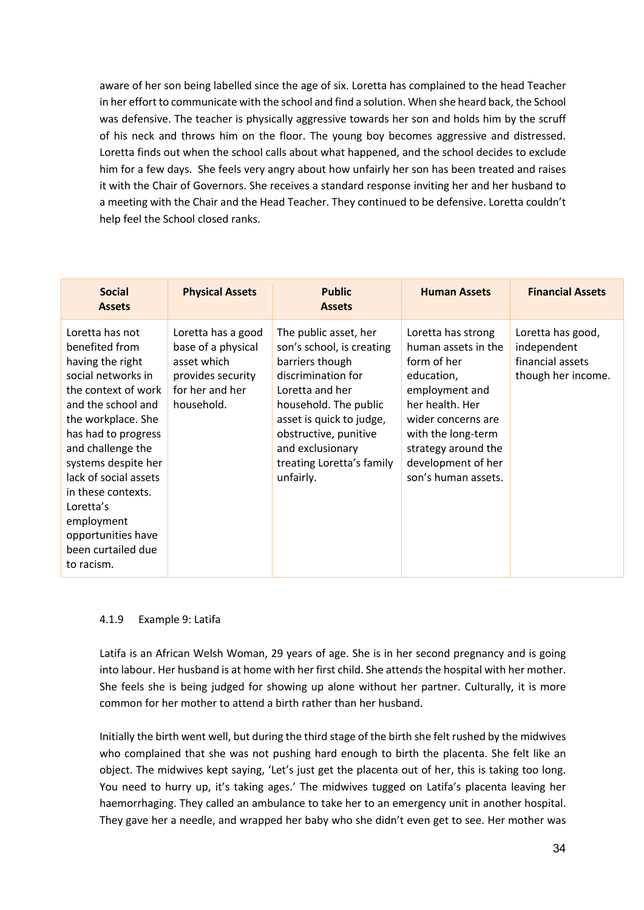aware of her son being labelled since the age of six. Loretta has complained to the head Teacher in her effort to communicate with the school and find a solution. When she heard back, the School was defensive. The teacher is physically aggressive towards her son and holds him by the scruff of his neck and throws him on the floor. The young boy becomes aggressive and distressed. Loretta finds out when the school calls about what happened, and the school decides to exclude him for a few days. She feels very angry about how unfairly her son has been treated and raises it with the Chair of Governors. She receives a standard response inviting her and her husband to a meeting with the Chair and the Head Teacher. They continued to be defensive. Loretta couldn't help feel the School closed ranks.

| <b>Social</b><br><b>Assets</b>                                                                                                                                                                                                                                                                                                                        | <b>Physical Assets</b>                                                                                        | <b>Public</b><br><b>Assets</b>                                                                                                                                                                                                                             | <b>Human Assets</b>                                                                                                                                                                                                         | <b>Financial Assets</b>                                                    |
|-------------------------------------------------------------------------------------------------------------------------------------------------------------------------------------------------------------------------------------------------------------------------------------------------------------------------------------------------------|---------------------------------------------------------------------------------------------------------------|------------------------------------------------------------------------------------------------------------------------------------------------------------------------------------------------------------------------------------------------------------|-----------------------------------------------------------------------------------------------------------------------------------------------------------------------------------------------------------------------------|----------------------------------------------------------------------------|
| Loretta has not<br>benefited from<br>having the right<br>social networks in<br>the context of work<br>and the school and<br>the workplace. She<br>has had to progress<br>and challenge the<br>systems despite her<br>lack of social assets<br>in these contexts.<br>Loretta's<br>employment<br>opportunities have<br>been curtailed due<br>to racism. | Loretta has a good<br>base of a physical<br>asset which<br>provides security<br>for her and her<br>household. | The public asset, her<br>son's school, is creating<br>barriers though<br>discrimination for<br>Loretta and her<br>household. The public<br>asset is quick to judge,<br>obstructive, punitive<br>and exclusionary<br>treating Loretta's family<br>unfairly. | Loretta has strong<br>human assets in the<br>form of her<br>education,<br>employment and<br>her health. Her<br>wider concerns are<br>with the long-term<br>strategy around the<br>development of her<br>son's human assets. | Loretta has good,<br>independent<br>financial assets<br>though her income. |

### 4.1.9 Example 9: Latifa

Latifa is an African Welsh Woman, 29 years of age. She is in her second pregnancy and is going into labour. Her husband is at home with her first child. She attends the hospital with her mother. She feels she is being judged for showing up alone without her partner. Culturally, it is more common for her mother to attend a birth rather than her husband.

Initially the birth went well, but during the third stage of the birth she felt rushed by the midwives who complained that she was not pushing hard enough to birth the placenta. She felt like an object. The midwives kept saying, 'Let's just get the placenta out of her, this is taking too long. You need to hurry up, it's taking ages.' The midwives tugged on Latifa's placenta leaving her haemorrhaging. They called an ambulance to take her to an emergency unit in another hospital. They gave her a needle, and wrapped her baby who she didn't even get to see. Her mother was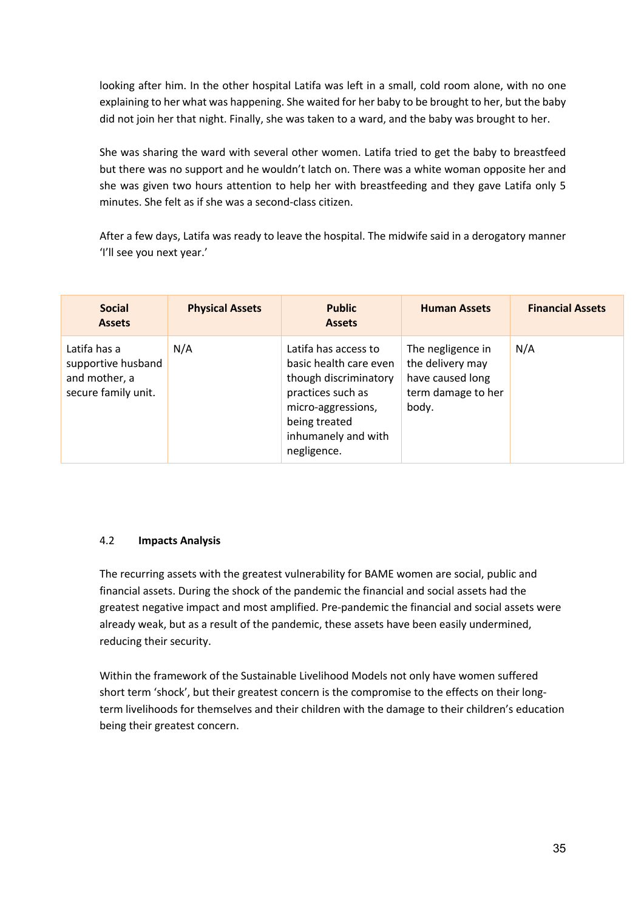looking after him. In the other hospital Latifa was left in a small, cold room alone, with no one explaining to her what was happening. She waited for her baby to be brought to her, but the baby did not join her that night. Finally, she was taken to a ward, and the baby was brought to her.

She was sharing the ward with several other women. Latifa tried to get the baby to breastfeed but there was no support and he wouldn't latch on. There was a white woman opposite her and she was given two hours attention to help her with breastfeeding and they gave Latifa only 5 minutes. She felt as if she was a second-class citizen.

After a few days, Latifa was ready to leave the hospital. The midwife said in a derogatory manner 'I'll see you next year.'

| <b>Social</b><br><b>Assets</b>                                             | <b>Physical Assets</b> | <b>Public</b><br><b>Assets</b>                                                                                                                                            | <b>Human Assets</b>                                                                      | <b>Financial Assets</b> |
|----------------------------------------------------------------------------|------------------------|---------------------------------------------------------------------------------------------------------------------------------------------------------------------------|------------------------------------------------------------------------------------------|-------------------------|
| Latifa has a<br>supportive husband<br>and mother, a<br>secure family unit. | N/A                    | Latifa has access to<br>basic health care even<br>though discriminatory<br>practices such as<br>micro-aggressions,<br>being treated<br>inhumanely and with<br>negligence. | The negligence in<br>the delivery may<br>have caused long<br>term damage to her<br>body. | N/A                     |

### 4.2 **Impacts Analysis**

The recurring assets with the greatest vulnerability for BAME women are social, public and financial assets. During the shock of the pandemic the financial and social assets had the greatest negative impact and most amplified. Pre-pandemic the financial and social assets were already weak, but as a result of the pandemic, these assets have been easily undermined, reducing their security.

Within the framework of the Sustainable Livelihood Models not only have women suffered short term 'shock', but their greatest concern is the compromise to the effects on their longterm livelihoods for themselves and their children with the damage to their children's education being their greatest concern.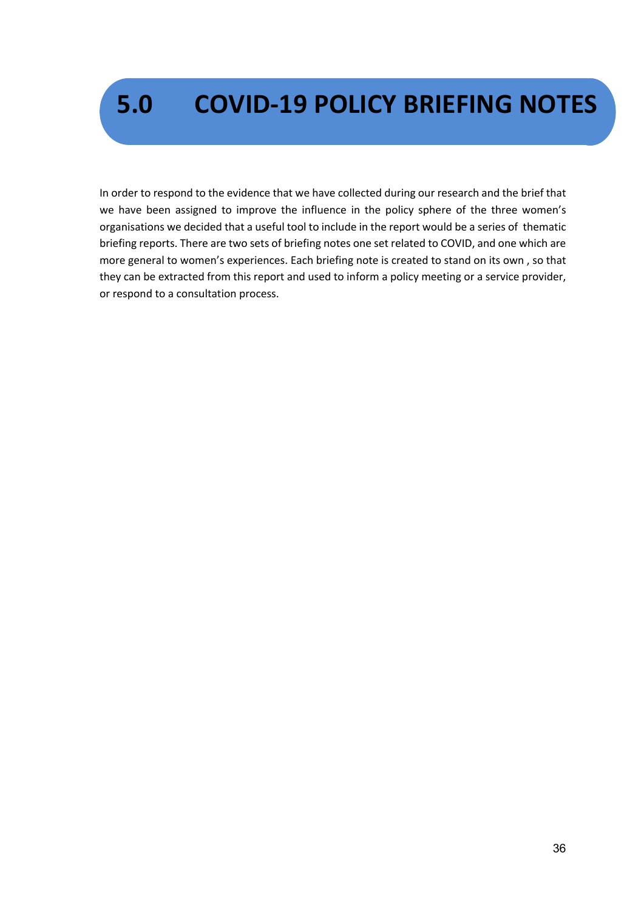## **5.0 COVID-19 POLICY BRIEFING NOTES**

In order to respond to the evidence that we have collected during our research and the brief that we have been assigned to improve the influence in the policy sphere of the three women's organisations we decided that a useful tool to include in the report would be a series of thematic briefing reports. There are two sets of briefing notes one set related to COVID, and one which are more general to women's experiences. Each briefing note is created to stand on its own , so that they can be extracted from this report and used to inform a policy meeting or a service provider, or respond to a consultation process.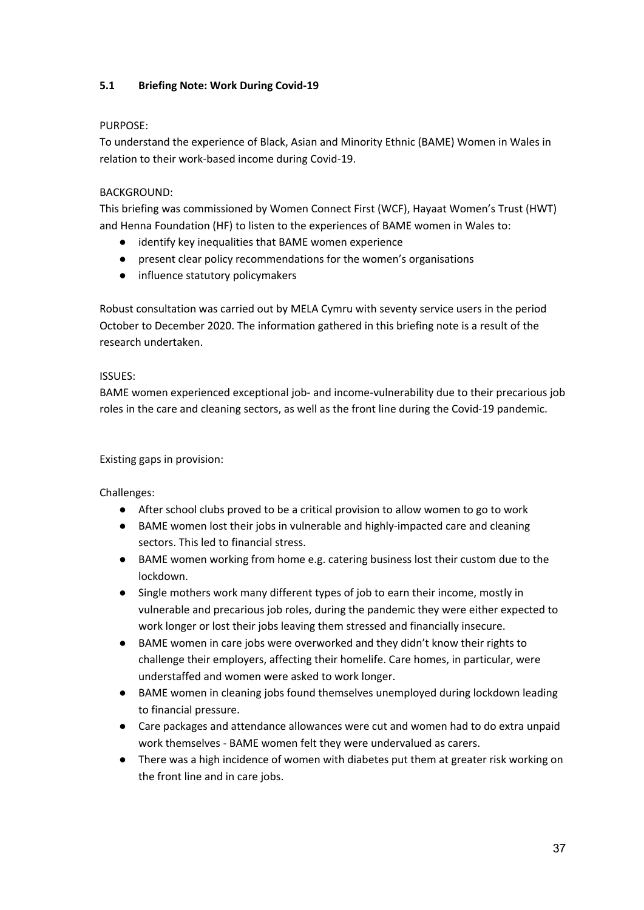# **5.1 Briefing Note: Work During Covid-19**

## PURPOSE:

To understand the experience of Black, Asian and Minority Ethnic (BAME) Women in Wales in relation to their work-based income during Covid-19.

# BACKGROUND:

This briefing was commissioned by Women Connect First (WCF), Hayaat Women's Trust (HWT) and Henna Foundation (HF) to listen to the experiences of BAME women in Wales to:

- identify key inequalities that BAME women experience
- present clear policy recommendations for the women's organisations
- influence statutory policymakers

Robust consultation was carried out by MELA Cymru with seventy service users in the period October to December 2020. The information gathered in this briefing note is a result of the research undertaken.

# ISSUES:

BAME women experienced exceptional job- and income-vulnerability due to their precarious job roles in the care and cleaning sectors, as well as the front line during the Covid-19 pandemic.

# Existing gaps in provision:

Challenges:

- After school clubs proved to be a critical provision to allow women to go to work
- BAME women lost their jobs in vulnerable and highly-impacted care and cleaning sectors. This led to financial stress.
- BAME women working from home e.g. catering business lost their custom due to the lockdown.
- Single mothers work many different types of job to earn their income, mostly in vulnerable and precarious job roles, during the pandemic they were either expected to work longer or lost their jobs leaving them stressed and financially insecure.
- BAME women in care jobs were overworked and they didn't know their rights to challenge their employers, affecting their homelife. Care homes, in particular, were understaffed and women were asked to work longer.
- BAME women in cleaning jobs found themselves unemployed during lockdown leading to financial pressure.
- Care packages and attendance allowances were cut and women had to do extra unpaid work themselves - BAME women felt they were undervalued as carers.
- There was a high incidence of women with diabetes put them at greater risk working on the front line and in care jobs.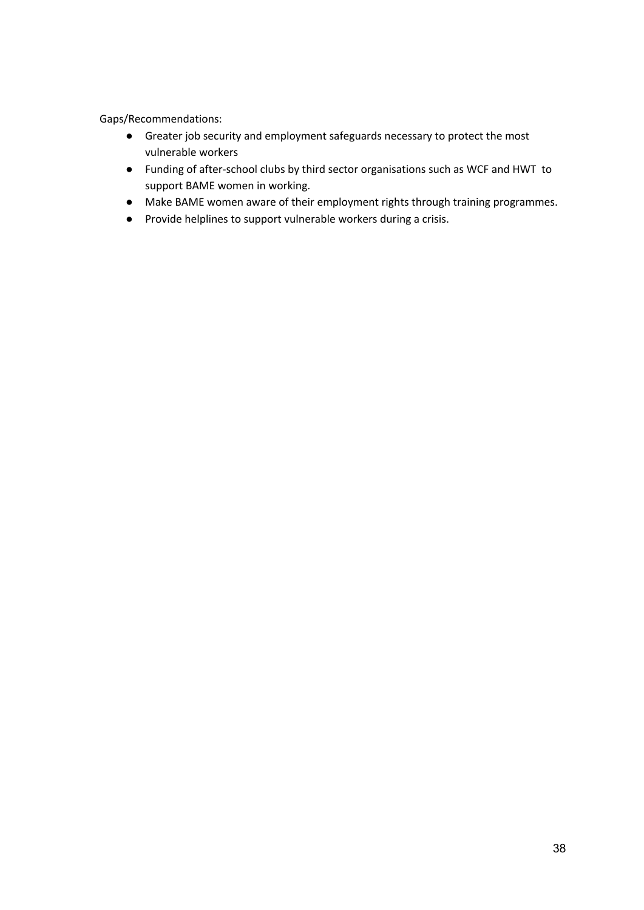Gaps/Recommendations:

- Greater job security and employment safeguards necessary to protect the most vulnerable workers
- Funding of after-school clubs by third sector organisations such as WCF and HWT to support BAME women in working.
- Make BAME women aware of their employment rights through training programmes.
- Provide helplines to support vulnerable workers during a crisis.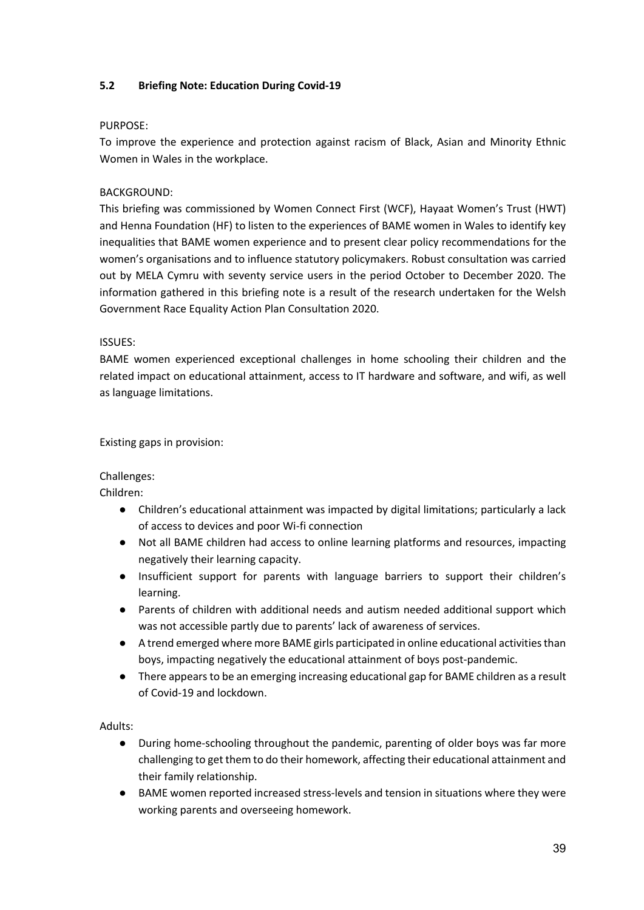# **5.2 Briefing Note: Education During Covid-19**

#### PURPOSE:

To improve the experience and protection against racism of Black, Asian and Minority Ethnic Women in Wales in the workplace.

# BACKGROUND:

This briefing was commissioned by Women Connect First (WCF), Hayaat Women's Trust (HWT) and Henna Foundation (HF) to listen to the experiences of BAME women in Wales to identify key inequalities that BAME women experience and to present clear policy recommendations for the women's organisations and to influence statutory policymakers. Robust consultation was carried out by MELA Cymru with seventy service users in the period October to December 2020. The information gathered in this briefing note is a result of the research undertaken for the Welsh Government Race Equality Action Plan Consultation 2020.

## ISSUES:

BAME women experienced exceptional challenges in home schooling their children and the related impact on educational attainment, access to IT hardware and software, and wifi, as well as language limitations.

Existing gaps in provision:

# Challenges:

Children:

- Children's educational attainment was impacted by digital limitations; particularly a lack of access to devices and poor Wi-fi connection
- Not all BAME children had access to online learning platforms and resources, impacting negatively their learning capacity.
- Insufficient support for parents with language barriers to support their children's learning.
- Parents of children with additional needs and autism needed additional support which was not accessible partly due to parents' lack of awareness of services.
- A trend emerged where more BAME girls participated in online educational activities than boys, impacting negatively the educational attainment of boys post-pandemic.
- There appears to be an emerging increasing educational gap for BAME children as a result of Covid-19 and lockdown.

Adults:

- During home-schooling throughout the pandemic, parenting of older boys was far more challenging to get them to do their homework, affecting their educational attainment and their family relationship.
- BAME women reported increased stress-levels and tension in situations where they were working parents and overseeing homework.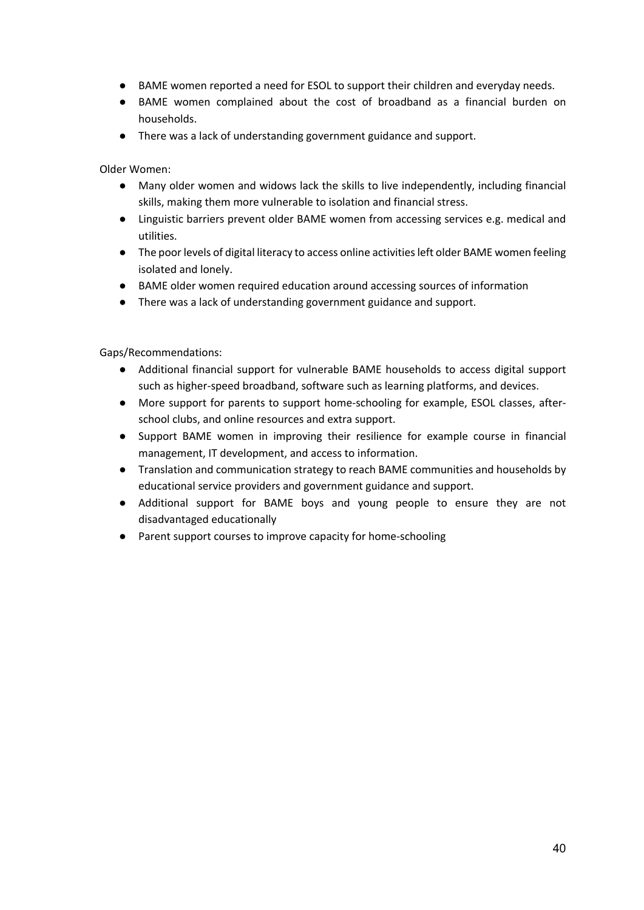- BAME women reported a need for ESOL to support their children and everyday needs.
- BAME women complained about the cost of broadband as a financial burden on households.
- There was a lack of understanding government guidance and support.

Older Women:

- Many older women and widows lack the skills to live independently, including financial skills, making them more vulnerable to isolation and financial stress.
- Linguistic barriers prevent older BAME women from accessing services e.g. medical and utilities.
- The poor levels of digital literacy to access online activities left older BAME women feeling isolated and lonely.
- BAME older women required education around accessing sources of information
- There was a lack of understanding government guidance and support.

Gaps/Recommendations:

- Additional financial support for vulnerable BAME households to access digital support such as higher-speed broadband, software such as learning platforms, and devices.
- More support for parents to support home-schooling for example, ESOL classes, afterschool clubs, and online resources and extra support.
- Support BAME women in improving their resilience for example course in financial management, IT development, and access to information.
- Translation and communication strategy to reach BAME communities and households by educational service providers and government guidance and support.
- Additional support for BAME boys and young people to ensure they are not disadvantaged educationally
- Parent support courses to improve capacity for home-schooling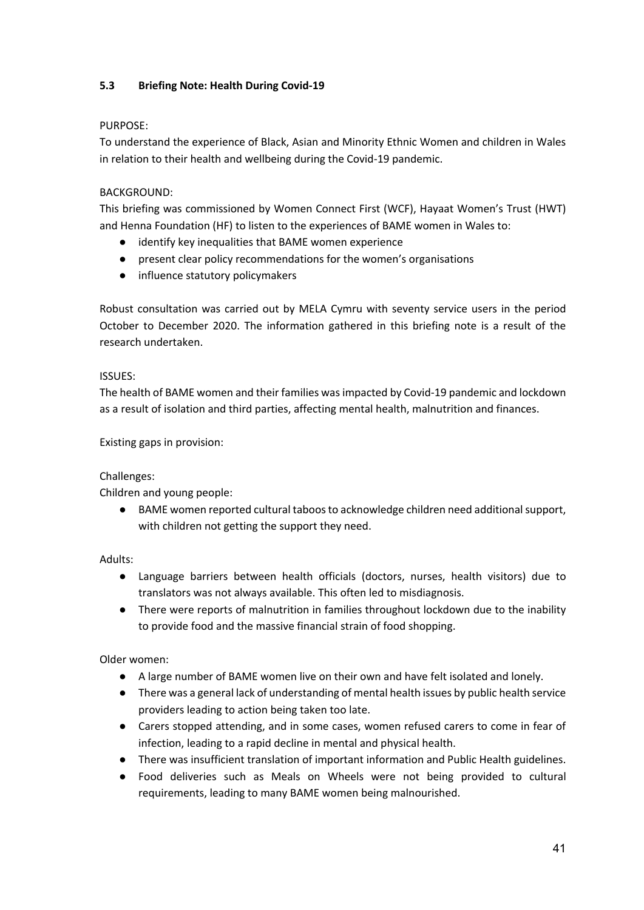# **5.3 Briefing Note: Health During Covid-19**

## PURPOSE:

To understand the experience of Black, Asian and Minority Ethnic Women and children in Wales in relation to their health and wellbeing during the Covid-19 pandemic.

# BACKGROUND:

This briefing was commissioned by Women Connect First (WCF), Hayaat Women's Trust (HWT) and Henna Foundation (HF) to listen to the experiences of BAME women in Wales to:

- identify key inequalities that BAME women experience
- present clear policy recommendations for the women's organisations
- influence statutory policymakers

Robust consultation was carried out by MELA Cymru with seventy service users in the period October to December 2020. The information gathered in this briefing note is a result of the research undertaken.

## ISSUES:

The health of BAME women and their families was impacted by Covid-19 pandemic and lockdown as a result of isolation and third parties, affecting mental health, malnutrition and finances.

Existing gaps in provision:

# Challenges:

Children and young people:

● BAME women reported cultural taboos to acknowledge children need additional support, with children not getting the support they need.

Adults:

- Language barriers between health officials (doctors, nurses, health visitors) due to translators was not always available. This often led to misdiagnosis.
- There were reports of malnutrition in families throughout lockdown due to the inability to provide food and the massive financial strain of food shopping.

Older women:

- A large number of BAME women live on their own and have felt isolated and lonely.
- There was a general lack of understanding of mental health issues by public health service providers leading to action being taken too late.
- Carers stopped attending, and in some cases, women refused carers to come in fear of infection, leading to a rapid decline in mental and physical health.
- There was insufficient translation of important information and Public Health guidelines.
- Food deliveries such as Meals on Wheels were not being provided to cultural requirements, leading to many BAME women being malnourished.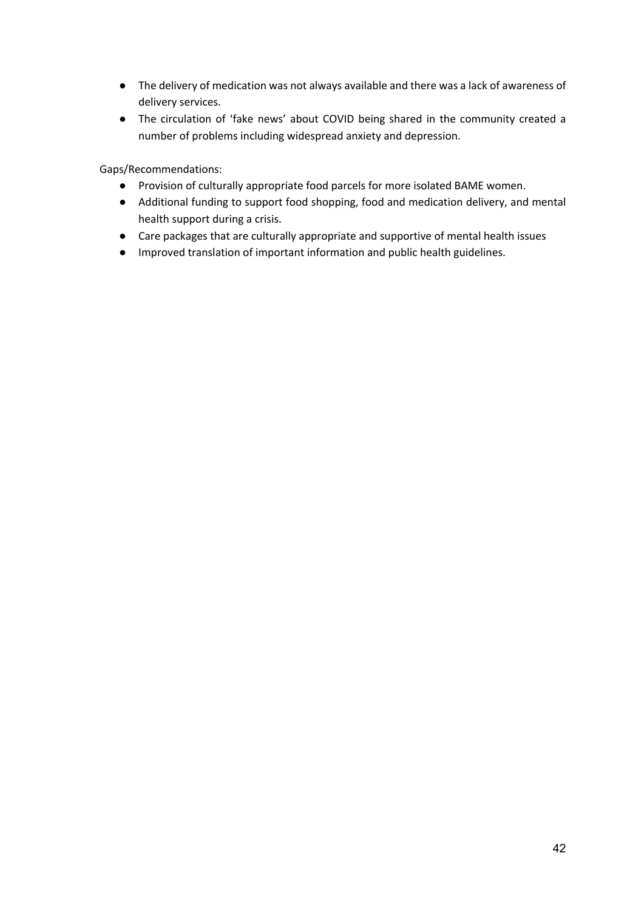- The delivery of medication was not always available and there was a lack of awareness of delivery services.
- The circulation of 'fake news' about COVID being shared in the community created a number of problems including widespread anxiety and depression.

Gaps/Recommendations:

- Provision of culturally appropriate food parcels for more isolated BAME women.
- Additional funding to support food shopping, food and medication delivery, and mental health support during a crisis.
- Care packages that are culturally appropriate and supportive of mental health issues
- Improved translation of important information and public health guidelines.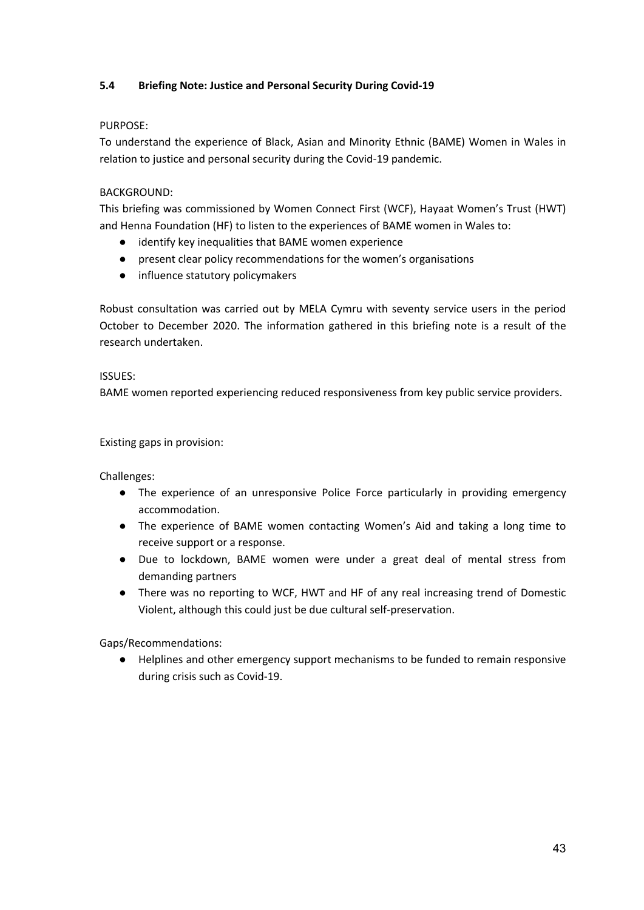# **5.4 Briefing Note: Justice and Personal Security During Covid-19**

# PURPOSE:

To understand the experience of Black, Asian and Minority Ethnic (BAME) Women in Wales in relation to justice and personal security during the Covid-19 pandemic.

# BACKGROUND:

This briefing was commissioned by Women Connect First (WCF), Hayaat Women's Trust (HWT) and Henna Foundation (HF) to listen to the experiences of BAME women in Wales to:

- identify key inequalities that BAME women experience
- present clear policy recommendations for the women's organisations
- influence statutory policymakers

Robust consultation was carried out by MELA Cymru with seventy service users in the period October to December 2020. The information gathered in this briefing note is a result of the research undertaken.

# ISSUES:

BAME women reported experiencing reduced responsiveness from key public service providers.

# Existing gaps in provision:

Challenges:

- The experience of an unresponsive Police Force particularly in providing emergency accommodation.
- The experience of BAME women contacting Women's Aid and taking a long time to receive support or a response.
- Due to lockdown, BAME women were under a great deal of mental stress from demanding partners
- There was no reporting to WCF, HWT and HF of any real increasing trend of Domestic Violent, although this could just be due cultural self-preservation.

Gaps/Recommendations:

● Helplines and other emergency support mechanisms to be funded to remain responsive during crisis such as Covid-19.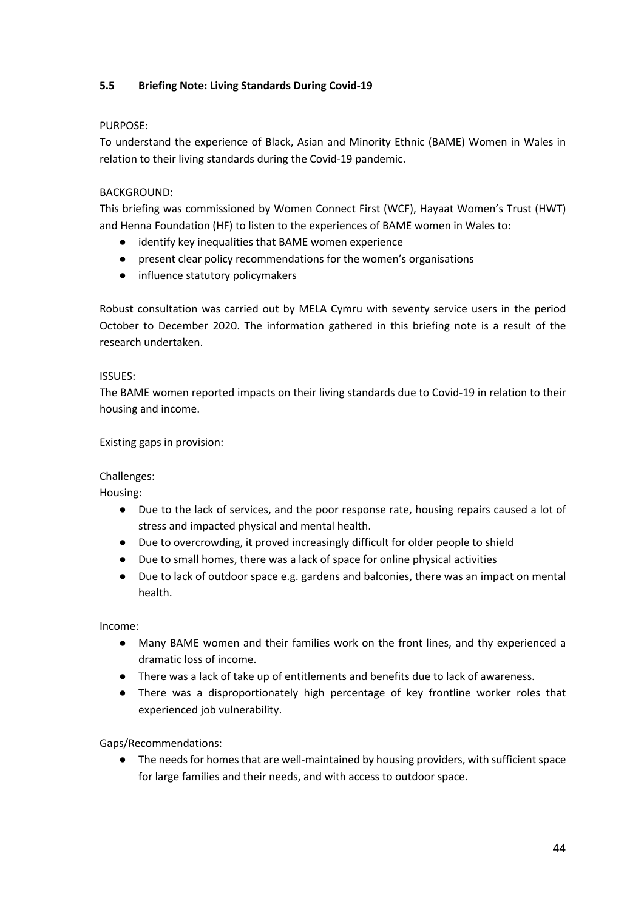# **5.5 Briefing Note: Living Standards During Covid-19**

## PURPOSE:

To understand the experience of Black, Asian and Minority Ethnic (BAME) Women in Wales in relation to their living standards during the Covid-19 pandemic.

# BACKGROUND:

This briefing was commissioned by Women Connect First (WCF), Hayaat Women's Trust (HWT) and Henna Foundation (HF) to listen to the experiences of BAME women in Wales to:

- identify key inequalities that BAME women experience
- present clear policy recommendations for the women's organisations
- influence statutory policymakers

Robust consultation was carried out by MELA Cymru with seventy service users in the period October to December 2020. The information gathered in this briefing note is a result of the research undertaken.

# ISSUES:

The BAME women reported impacts on their living standards due to Covid-19 in relation to their housing and income.

Existing gaps in provision:

# Challenges:

Housing:

- Due to the lack of services, and the poor response rate, housing repairs caused a lot of stress and impacted physical and mental health.
- Due to overcrowding, it proved increasingly difficult for older people to shield
- Due to small homes, there was a lack of space for online physical activities
- Due to lack of outdoor space e.g. gardens and balconies, there was an impact on mental health.

Income:

- Many BAME women and their families work on the front lines, and thy experienced a dramatic loss of income.
- There was a lack of take up of entitlements and benefits due to lack of awareness.
- There was a disproportionately high percentage of key frontline worker roles that experienced job vulnerability.

Gaps/Recommendations:

● The needs for homes that are well-maintained by housing providers, with sufficient space for large families and their needs, and with access to outdoor space.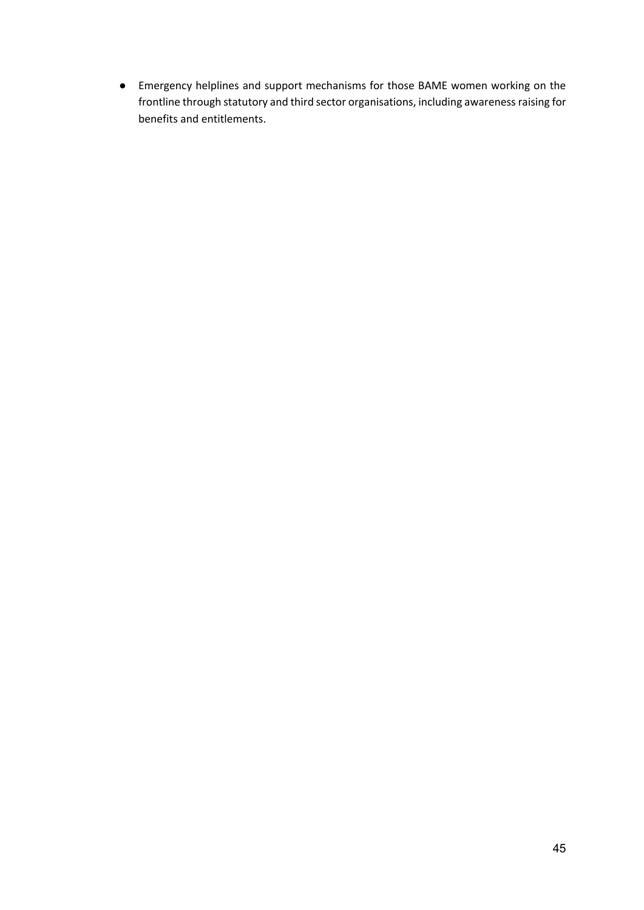● Emergency helplines and support mechanisms for those BAME women working on the frontline through statutory and third sector organisations, including awareness raising for benefits and entitlements.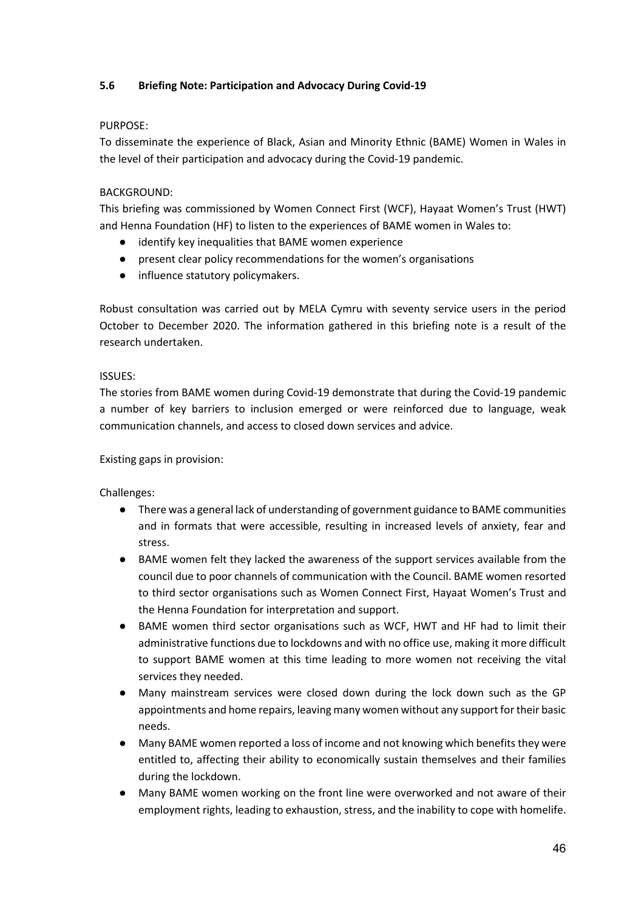# **5.6 Briefing Note: Participation and Advocacy During Covid-19**

#### PURPOSE:

To disseminate the experience of Black, Asian and Minority Ethnic (BAME) Women in Wales in the level of their participation and advocacy during the Covid-19 pandemic.

## BACKGROUND:

This briefing was commissioned by Women Connect First (WCF), Hayaat Women's Trust (HWT) and Henna Foundation (HF) to listen to the experiences of BAME women in Wales to:

- identify key inequalities that BAME women experience
- present clear policy recommendations for the women's organisations
- influence statutory policymakers.

Robust consultation was carried out by MELA Cymru with seventy service users in the period October to December 2020. The information gathered in this briefing note is a result of the research undertaken.

## ISSUES:

The stories from BAME women during Covid-19 demonstrate that during the Covid-19 pandemic a number of key barriers to inclusion emerged or were reinforced due to language, weak communication channels, and access to closed down services and advice.

## Existing gaps in provision:

Challenges:

- There was a general lack of understanding of government guidance to BAME communities and in formats that were accessible, resulting in increased levels of anxiety, fear and stress.
- BAME women felt they lacked the awareness of the support services available from the council due to poor channels of communication with the Council. BAME women resorted to third sector organisations such as Women Connect First, Hayaat Women's Trust and the Henna Foundation for interpretation and support.
- BAME women third sector organisations such as WCF, HWT and HF had to limit their administrative functions due to lockdowns and with no office use, making it more difficult to support BAME women at this time leading to more women not receiving the vital services they needed.
- Many mainstream services were closed down during the lock down such as the GP appointments and home repairs, leaving many women without any support for their basic needs.
- Many BAME women reported a loss of income and not knowing which benefits they were entitled to, affecting their ability to economically sustain themselves and their families during the lockdown.
- Many BAME women working on the front line were overworked and not aware of their employment rights, leading to exhaustion, stress, and the inability to cope with homelife.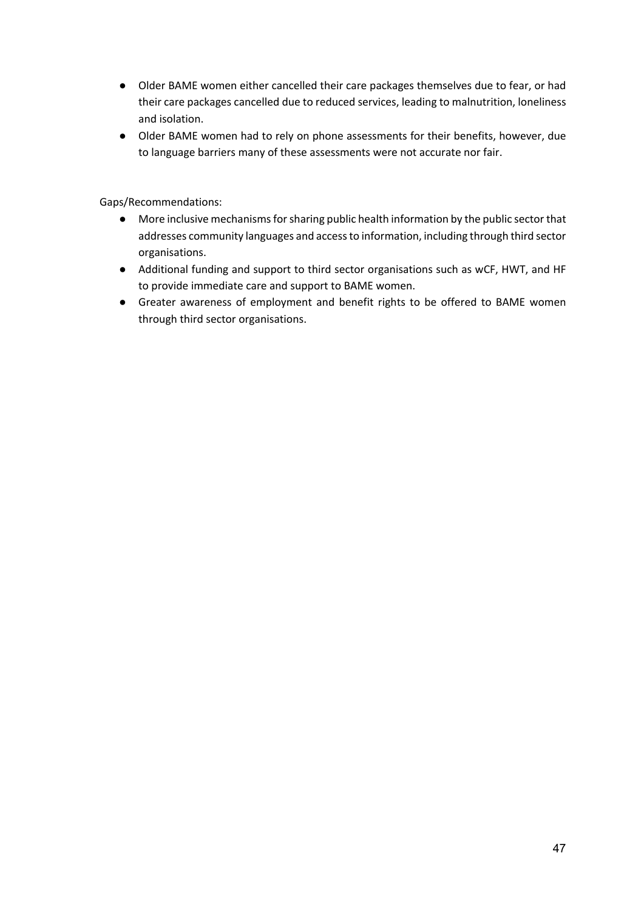- Older BAME women either cancelled their care packages themselves due to fear, or had their care packages cancelled due to reduced services, leading to malnutrition, loneliness and isolation.
- Older BAME women had to rely on phone assessments for their benefits, however, due to language barriers many of these assessments were not accurate nor fair.

Gaps/Recommendations:

- More inclusive mechanisms for sharing public health information by the public sector that addresses community languages and access to information, including through third sector organisations.
- Additional funding and support to third sector organisations such as wCF, HWT, and HF to provide immediate care and support to BAME women.
- Greater awareness of employment and benefit rights to be offered to BAME women through third sector organisations.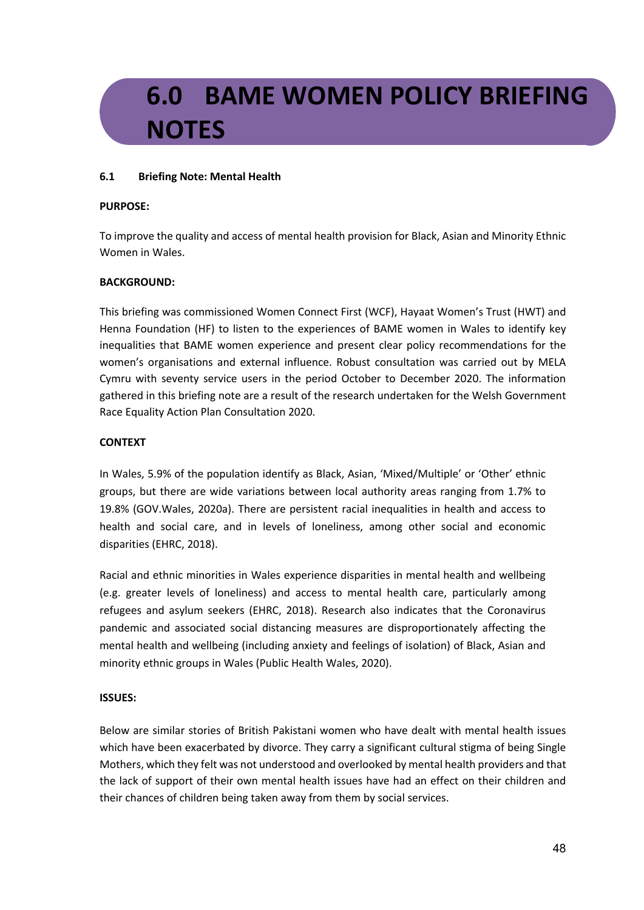# **6.0 BAME WOMEN POLICY BRIEFING NOTES**

## **6.1 Briefing Note: Mental Health**

#### **PURPOSE:**

To improve the quality and access of mental health provision for Black, Asian and Minority Ethnic Women in Wales.

# **BACKGROUND:**

This briefing was commissioned Women Connect First (WCF), Hayaat Women's Trust (HWT) and Henna Foundation (HF) to listen to the experiences of BAME women in Wales to identify key inequalities that BAME women experience and present clear policy recommendations for the women's organisations and external influence. Robust consultation was carried out by MELA Cymru with seventy service users in the period October to December 2020. The information gathered in this briefing note are a result of the research undertaken for the Welsh Government Race Equality Action Plan Consultation 2020.

## **CONTEXT**

In Wales, 5.9% of the population identify as Black, Asian, 'Mixed/Multiple' or 'Other' ethnic groups, but there are wide variations between local authority areas ranging from 1.7% to 19.8% (GOV.Wales, 2020a). There are persistent racial inequalities in health and access to health and social care, and in levels of loneliness, among other social and economic disparities (EHRC, 2018).

Racial and ethnic minorities in Wales experience disparities in mental health and wellbeing (e.g. greater levels of loneliness) and access to mental health care, particularly among refugees and asylum seekers (EHRC, 2018). Research also indicates that the Coronavirus pandemic and associated social distancing measures are disproportionately affecting the mental health and wellbeing (including anxiety and feelings of isolation) of Black, Asian and minority ethnic groups in Wales (Public Health Wales, 2020).

#### **ISSUES:**

Below are similar stories of British Pakistani women who have dealt with mental health issues which have been exacerbated by divorce. They carry a significant cultural stigma of being Single Mothers, which they felt was not understood and overlooked by mental health providers and that the lack of support of their own mental health issues have had an effect on their children and their chances of children being taken away from them by social services.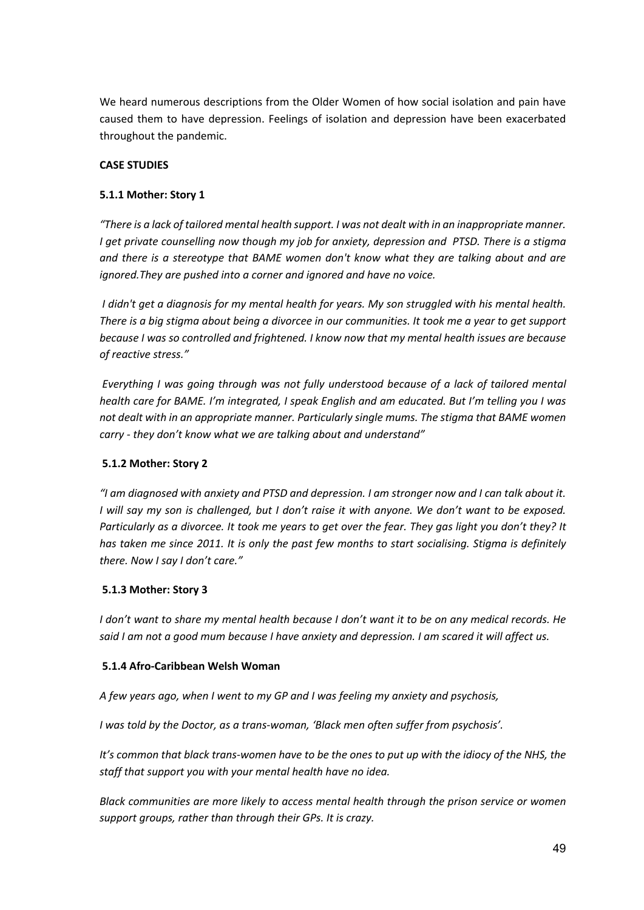We heard numerous descriptions from the Older Women of how social isolation and pain have caused them to have depression. Feelings of isolation and depression have been exacerbated throughout the pandemic.

## **CASE STUDIES**

## **5.1.1 Mother: Story 1**

*"There is a lack of tailored mental health support. I was not dealt with in an inappropriate manner. I get private counselling now though my job for anxiety, depression and PTSD. There is a stigma and there is a stereotype that BAME women don't know what they are talking about and are ignored.They are pushed into a corner and ignored and have no voice.*

*I didn't get a diagnosis for my mental health for years. My son struggled with his mental health. There is a big stigma about being a divorcee in our communities. It took me a year to get support because I was so controlled and frightened. I know now that my mental health issues are because of reactive stress."*

*Everything I was going through was not fully understood because of a lack of tailored mental health care for BAME. I'm integrated, I speak English and am educated. But I'm telling you I was not dealt with in an appropriate manner. Particularly single mums. The stigma that BAME women carry - they don't know what we are talking about and understand"*

# **5.1.2 Mother: Story 2**

*"I am diagnosed with anxiety and PTSD and depression. I am stronger now and I can talk about it. I will say my son is challenged, but I don't raise it with anyone. We don't want to be exposed. Particularly as a divorcee. It took me years to get over the fear. They gas light you don't they? It has taken me since 2011. It is only the past few months to start socialising. Stigma is definitely there. Now I say I don't care."*

#### **5.1.3 Mother: Story 3**

*I don't want to share my mental health because I don't want it to be on any medical records. He said I am not a good mum because I have anxiety and depression. I am scared it will affect us.*

#### **5.1.4 Afro-Caribbean Welsh Woman**

*A few years ago, when I went to my GP and I was feeling my anxiety and psychosis,*

*I was told by the Doctor, as a trans-woman, 'Black men often suffer from psychosis'.*

It's common that black trans-women have to be the ones to put up with the idiocy of the NHS, the *staff that support you with your mental health have no idea.*

*Black communities are more likely to access mental health through the prison service or women support groups, rather than through their GPs. It is crazy.*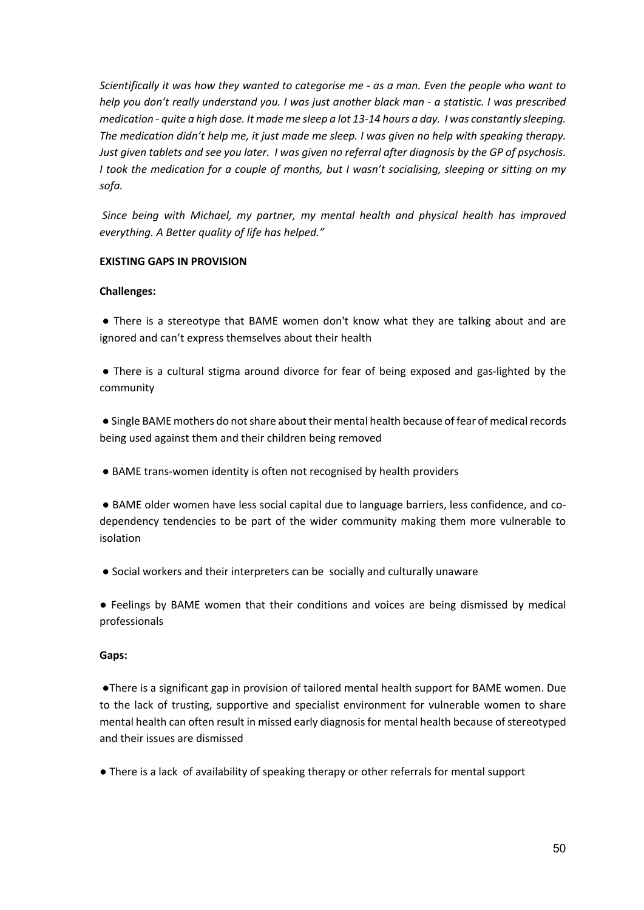*Scientifically it was how they wanted to categorise me - as a man. Even the people who want to help you don't really understand you. I was just another black man - a statistic. I was prescribed medication - quite a high dose. It made me sleep a lot 13-14 hours a day. I was constantly sleeping. The medication didn't help me, it just made me sleep. I was given no help with speaking therapy. Just given tablets and see you later. I was given no referral after diagnosis by the GP of psychosis. I took the medication for a couple of months, but I wasn't socialising, sleeping or sitting on my sofa.*

*Since being with Michael, my partner, my mental health and physical health has improved everything. A Better quality of life has helped."*

## **EXISTING GAPS IN PROVISION**

## **Challenges:**

● There is a stereotype that BAME women don't know what they are talking about and are ignored and can't express themselves about their health

● There is a cultural stigma around divorce for fear of being exposed and gas-lighted by the community

● Single BAME mothers do not share about their mental health because of fear of medical records being used against them and their children being removed

● BAME trans-women identity is often not recognised by health providers

● BAME older women have less social capital due to language barriers, less confidence, and codependency tendencies to be part of the wider community making them more vulnerable to isolation

● Social workers and their interpreters can be socially and culturally unaware

● Feelings by BAME women that their conditions and voices are being dismissed by medical professionals

# **Gaps:**

●There is a significant gap in provision of tailored mental health support for BAME women. Due to the lack of trusting, supportive and specialist environment for vulnerable women to share mental health can often result in missed early diagnosis for mental health because of stereotyped and their issues are dismissed

● There is a lack of availability of speaking therapy or other referrals for mental support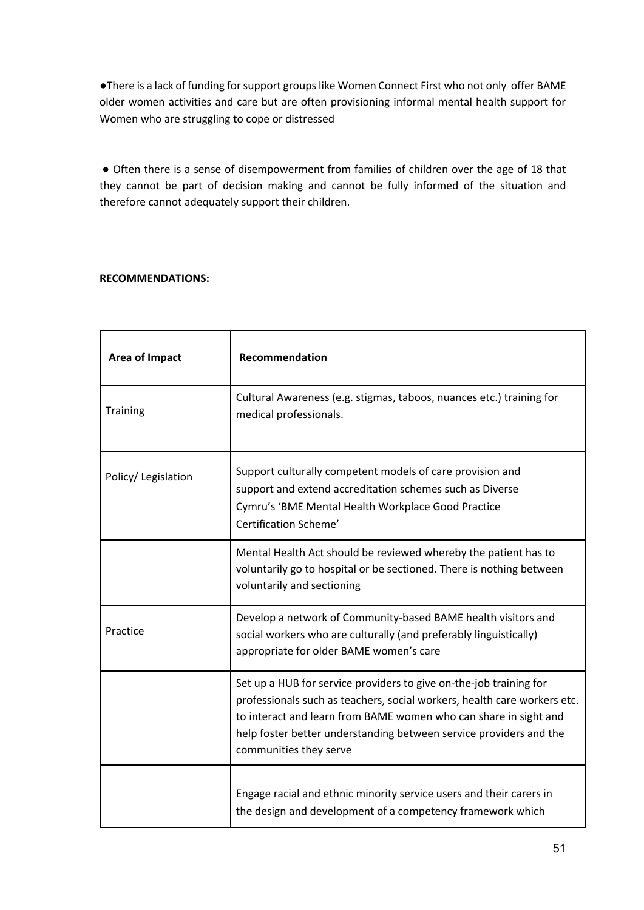●There is a lack of funding for support groups like Women Connect First who not only offer BAME older women activities and care but are often provisioning informal mental health support for Women who are struggling to cope or distressed

● Often there is a sense of disempowerment from families of children over the age of 18 that they cannot be part of decision making and cannot be fully informed of the situation and therefore cannot adequately support their children.

# **RECOMMENDATIONS:**

| Area of Impact     | <b>Recommendation</b>                                                                                                                                                                                                                                                                                              |
|--------------------|--------------------------------------------------------------------------------------------------------------------------------------------------------------------------------------------------------------------------------------------------------------------------------------------------------------------|
| <b>Training</b>    | Cultural Awareness (e.g. stigmas, taboos, nuances etc.) training for<br>medical professionals.                                                                                                                                                                                                                     |
| Policy/Legislation | Support culturally competent models of care provision and<br>support and extend accreditation schemes such as Diverse<br>Cymru's 'BME Mental Health Workplace Good Practice<br>Certification Scheme'                                                                                                               |
|                    | Mental Health Act should be reviewed whereby the patient has to<br>voluntarily go to hospital or be sectioned. There is nothing between<br>voluntarily and sectioning                                                                                                                                              |
| Practice           | Develop a network of Community-based BAME health visitors and<br>social workers who are culturally (and preferably linguistically)<br>appropriate for older BAME women's care                                                                                                                                      |
|                    | Set up a HUB for service providers to give on-the-job training for<br>professionals such as teachers, social workers, health care workers etc.<br>to interact and learn from BAME women who can share in sight and<br>help foster better understanding between service providers and the<br>communities they serve |
|                    | Engage racial and ethnic minority service users and their carers in<br>the design and development of a competency framework which                                                                                                                                                                                  |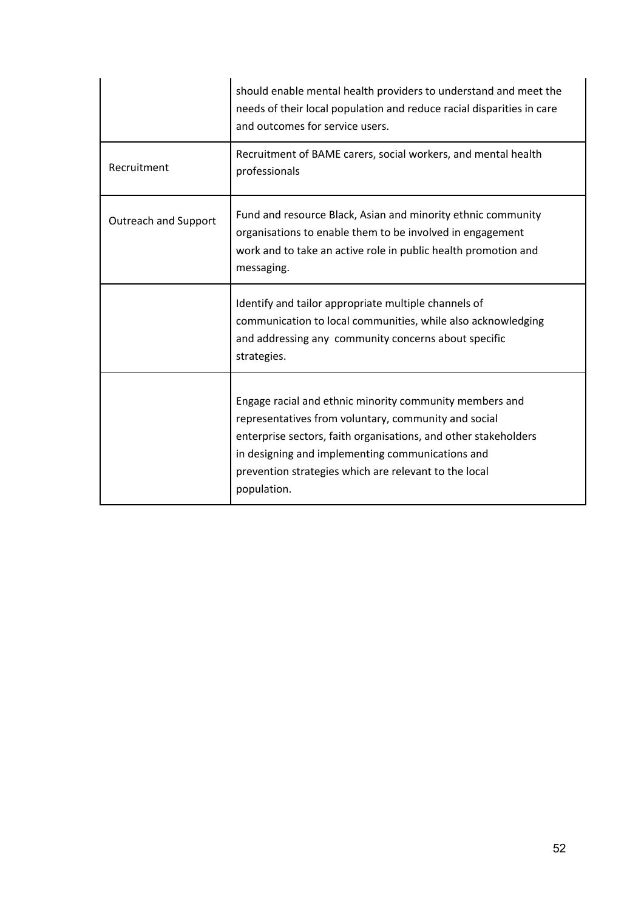|                             | should enable mental health providers to understand and meet the<br>needs of their local population and reduce racial disparities in care<br>and outcomes for service users.                                                                                                                                   |
|-----------------------------|----------------------------------------------------------------------------------------------------------------------------------------------------------------------------------------------------------------------------------------------------------------------------------------------------------------|
| Recruitment                 | Recruitment of BAME carers, social workers, and mental health<br>professionals                                                                                                                                                                                                                                 |
| <b>Outreach and Support</b> | Fund and resource Black, Asian and minority ethnic community<br>organisations to enable them to be involved in engagement<br>work and to take an active role in public health promotion and<br>messaging.                                                                                                      |
|                             | Identify and tailor appropriate multiple channels of<br>communication to local communities, while also acknowledging<br>and addressing any community concerns about specific<br>strategies.                                                                                                                    |
|                             | Engage racial and ethnic minority community members and<br>representatives from voluntary, community and social<br>enterprise sectors, faith organisations, and other stakeholders<br>in designing and implementing communications and<br>prevention strategies which are relevant to the local<br>population. |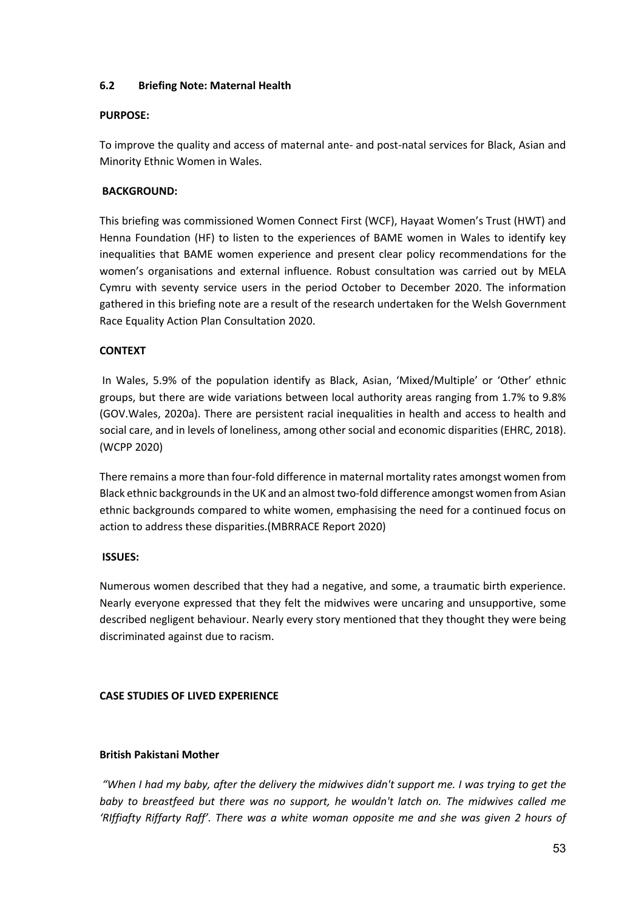## **6.2 Briefing Note: Maternal Health**

#### **PURPOSE:**

To improve the quality and access of maternal ante- and post-natal services for Black, Asian and Minority Ethnic Women in Wales.

## **BACKGROUND:**

This briefing was commissioned Women Connect First (WCF), Hayaat Women's Trust (HWT) and Henna Foundation (HF) to listen to the experiences of BAME women in Wales to identify key inequalities that BAME women experience and present clear policy recommendations for the women's organisations and external influence. Robust consultation was carried out by MELA Cymru with seventy service users in the period October to December 2020. The information gathered in this briefing note are a result of the research undertaken for the Welsh Government Race Equality Action Plan Consultation 2020.

## **CONTEXT**

In Wales, 5.9% of the population identify as Black, Asian, 'Mixed/Multiple' or 'Other' ethnic groups, but there are wide variations between local authority areas ranging from 1.7% to 9.8% (GOV.Wales, 2020a). There are persistent racial inequalities in health and access to health and social care, and in levels of loneliness, among other social and economic disparities (EHRC, 2018). (WCPP 2020)

There remains a more than four-fold difference in maternal mortality rates amongst women from Black ethnic backgrounds in the UK and an almost two-fold difference amongst women from Asian ethnic backgrounds compared to white women, emphasising the need for a continued focus on action to address these disparities.(MBRRACE Report 2020)

#### **ISSUES:**

Numerous women described that they had a negative, and some, a traumatic birth experience. Nearly everyone expressed that they felt the midwives were uncaring and unsupportive, some described negligent behaviour. Nearly every story mentioned that they thought they were being discriminated against due to racism.

# **CASE STUDIES OF LIVED EXPERIENCE**

#### **British Pakistani Mother**

*"When I had my baby, after the delivery the midwives didn't support me. I was trying to get the baby to breastfeed but there was no support, he wouldn't latch on. The midwives called me 'RIffiafty Riffarty Raff'. There was a white woman opposite me and she was given 2 hours of*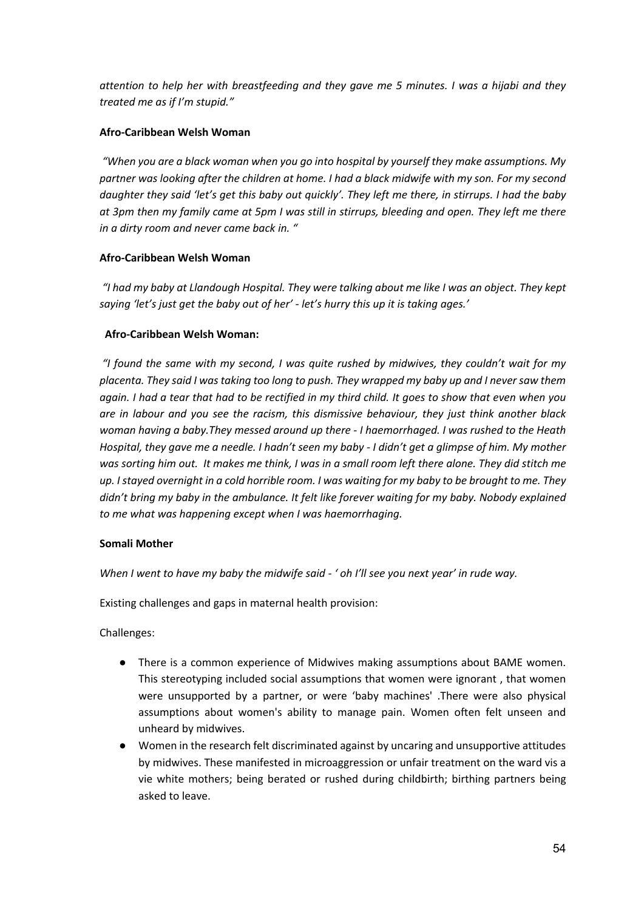*attention to help her with breastfeeding and they gave me 5 minutes. I was a hijabi and they treated me as if I'm stupid."*

# **Afro-Caribbean Welsh Woman**

*"When you are a black woman when you go into hospital by yourself they make assumptions. My partner was looking after the children at home. I had a black midwife with my son. For my second daughter they said 'let's get this baby out quickly'. They left me there, in stirrups. I had the baby at 3pm then my family came at 5pm I was still in stirrups, bleeding and open. They left me there in a dirty room and never came back in. "*

# **Afro-Caribbean Welsh Woman**

*"I had my baby at Llandough Hospital. They were talking about me like I was an object. They kept saying 'let's just get the baby out of her' - let's hurry this up it is taking ages.'*

# **Afro-Caribbean Welsh Woman:**

*"I found the same with my second, I was quite rushed by midwives, they couldn't wait for my placenta. They said I was taking too long to push. They wrapped my baby up and I never saw them again. I had a tear that had to be rectified in my third child. It goes to show that even when you are in labour and you see the racism, this dismissive behaviour, they just think another black woman having a baby.They messed around up there - I haemorrhaged. I was rushed to the Heath Hospital, they gave me a needle. I hadn't seen my baby - I didn't get a glimpse of him. My mother was sorting him out. It makes me think, I was in a small room left there alone. They did stitch me up. I stayed overnight in a cold horrible room. I was waiting for my baby to be brought to me. They didn't bring my baby in the ambulance. It felt like forever waiting for my baby. Nobody explained to me what was happening except when I was haemorrhaging.*

# **Somali Mother**

*When I went to have my baby the midwife said - ' oh I'll see you next year' in rude way.*

Existing challenges and gaps in maternal health provision:

Challenges:

- There is a common experience of Midwives making assumptions about BAME women. This stereotyping included social assumptions that women were ignorant , that women were unsupported by a partner, or were 'baby machines' .There were also physical assumptions about women's ability to manage pain. Women often felt unseen and unheard by midwives.
- Women in the research felt discriminated against by uncaring and unsupportive attitudes by midwives. These manifested in microaggression or unfair treatment on the ward vis a vie white mothers; being berated or rushed during childbirth; birthing partners being asked to leave.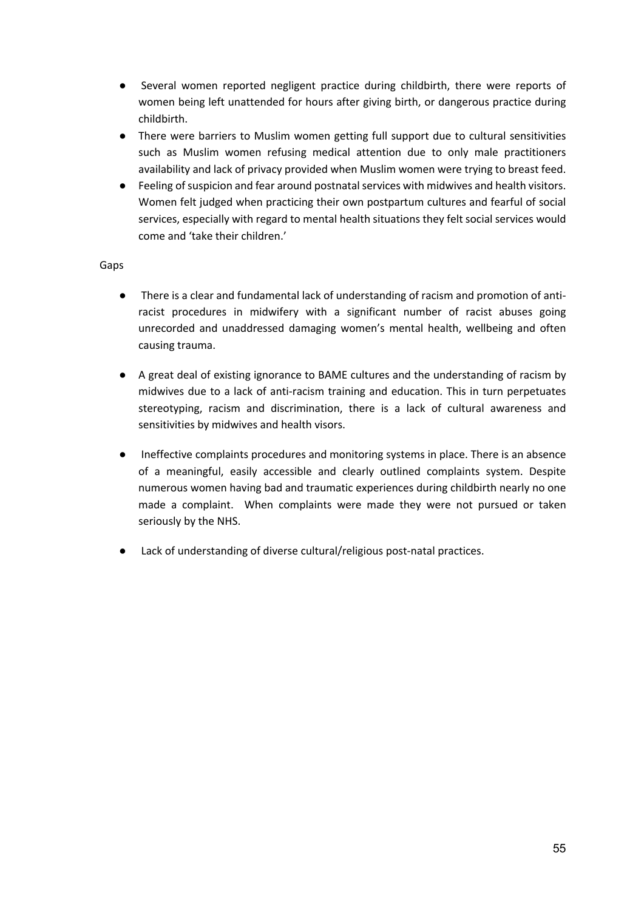- Several women reported negligent practice during childbirth, there were reports of women being left unattended for hours after giving birth, or dangerous practice during childbirth.
- There were barriers to Muslim women getting full support due to cultural sensitivities such as Muslim women refusing medical attention due to only male practitioners availability and lack of privacy provided when Muslim women were trying to breast feed.
- Feeling of suspicion and fear around postnatal services with midwives and health visitors. Women felt judged when practicing their own postpartum cultures and fearful of social services, especially with regard to mental health situations they felt social services would come and 'take their children.'

## Gaps

- There is a clear and fundamental lack of understanding of racism and promotion of antiracist procedures in midwifery with a significant number of racist abuses going unrecorded and unaddressed damaging women's mental health, wellbeing and often causing trauma.
- A great deal of existing ignorance to BAME cultures and the understanding of racism by midwives due to a lack of anti-racism training and education. This in turn perpetuates stereotyping, racism and discrimination, there is a lack of cultural awareness and sensitivities by midwives and health visors.
- Ineffective complaints procedures and monitoring systems in place. There is an absence of a meaningful, easily accessible and clearly outlined complaints system. Despite numerous women having bad and traumatic experiences during childbirth nearly no one made a complaint. When complaints were made they were not pursued or taken seriously by the NHS.
- Lack of understanding of diverse cultural/religious post-natal practices.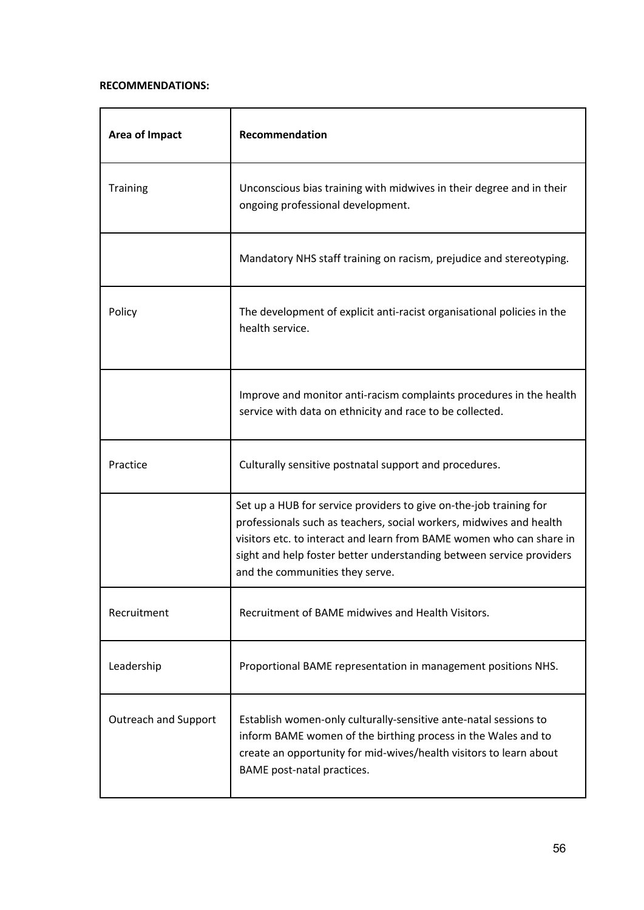## **RECOMMENDATIONS:**

| Area of Impact              | Recommendation                                                                                                                                                                                                                                                                                                               |
|-----------------------------|------------------------------------------------------------------------------------------------------------------------------------------------------------------------------------------------------------------------------------------------------------------------------------------------------------------------------|
| <b>Training</b>             | Unconscious bias training with midwives in their degree and in their<br>ongoing professional development.                                                                                                                                                                                                                    |
|                             | Mandatory NHS staff training on racism, prejudice and stereotyping.                                                                                                                                                                                                                                                          |
| Policy                      | The development of explicit anti-racist organisational policies in the<br>health service.                                                                                                                                                                                                                                    |
|                             | Improve and monitor anti-racism complaints procedures in the health<br>service with data on ethnicity and race to be collected.                                                                                                                                                                                              |
| Practice                    | Culturally sensitive postnatal support and procedures.                                                                                                                                                                                                                                                                       |
|                             | Set up a HUB for service providers to give on-the-job training for<br>professionals such as teachers, social workers, midwives and health<br>visitors etc. to interact and learn from BAME women who can share in<br>sight and help foster better understanding between service providers<br>and the communities they serve. |
| Recruitment                 | Recruitment of BAME midwives and Health Visitors.                                                                                                                                                                                                                                                                            |
| Leadership                  | Proportional BAME representation in management positions NHS.                                                                                                                                                                                                                                                                |
| <b>Outreach and Support</b> | Establish women-only culturally-sensitive ante-natal sessions to<br>inform BAME women of the birthing process in the Wales and to<br>create an opportunity for mid-wives/health visitors to learn about<br>BAME post-natal practices.                                                                                        |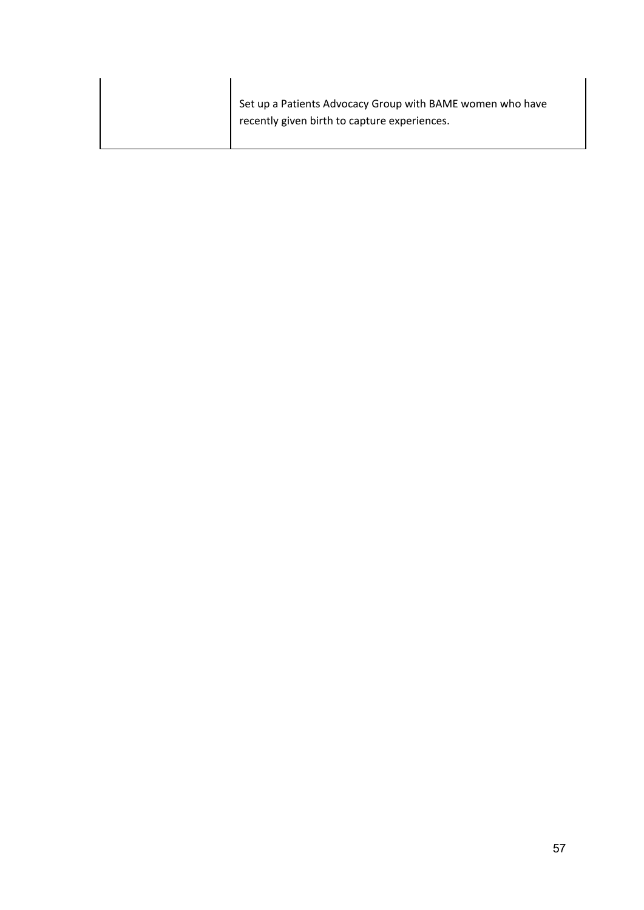|  | Set up a Patients Advocacy Group with BAME women who have<br>recently given birth to capture experiences. |
|--|-----------------------------------------------------------------------------------------------------------|
|--|-----------------------------------------------------------------------------------------------------------|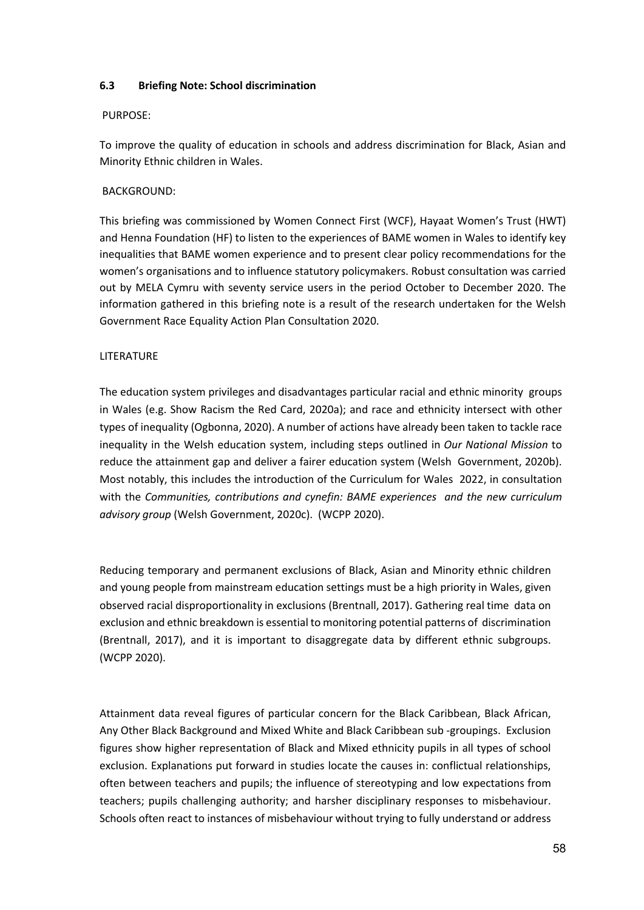## **6.3 Briefing Note: School discrimination**

#### PURPOSE:

To improve the quality of education in schools and address discrimination for Black, Asian and Minority Ethnic children in Wales.

## BACKGROUND:

This briefing was commissioned by Women Connect First (WCF), Hayaat Women's Trust (HWT) and Henna Foundation (HF) to listen to the experiences of BAME women in Wales to identify key inequalities that BAME women experience and to present clear policy recommendations for the women's organisations and to influence statutory policymakers. Robust consultation was carried out by MELA Cymru with seventy service users in the period October to December 2020. The information gathered in this briefing note is a result of the research undertaken for the Welsh Government Race Equality Action Plan Consultation 2020.

## LITERATURE

The education system privileges and disadvantages particular racial and ethnic minority groups in Wales (e.g. Show Racism the Red Card, 2020a); and race and ethnicity intersect with other types of inequality (Ogbonna, 2020). A number of actions have already been taken to tackle race inequality in the Welsh education system, including steps outlined in *Our National Mission* to reduce the attainment gap and deliver a fairer education system (Welsh Government, 2020b). Most notably, this includes the introduction of the Curriculum for Wales 2022, in consultation with the *Communities, contributions and cynefin: BAME experiences and the new curriculum advisory group* (Welsh Government, 2020c). (WCPP 2020).

Reducing temporary and permanent exclusions of Black, Asian and Minority ethnic children and young people from mainstream education settings must be a high priority in Wales, given observed racial disproportionality in exclusions (Brentnall, 2017). Gathering real time data on exclusion and ethnic breakdown is essential to monitoring potential patterns of discrimination (Brentnall, 2017), and it is important to disaggregate data by different ethnic subgroups. (WCPP 2020).

Attainment data reveal figures of particular concern for the Black Caribbean, Black African, Any Other Black Background and Mixed White and Black Caribbean sub -groupings. Exclusion figures show higher representation of Black and Mixed ethnicity pupils in all types of school exclusion. Explanations put forward in studies locate the causes in: conflictual relationships, often between teachers and pupils; the influence of stereotyping and low expectations from teachers; pupils challenging authority; and harsher disciplinary responses to misbehaviour. Schools often react to instances of misbehaviour without trying to fully understand or address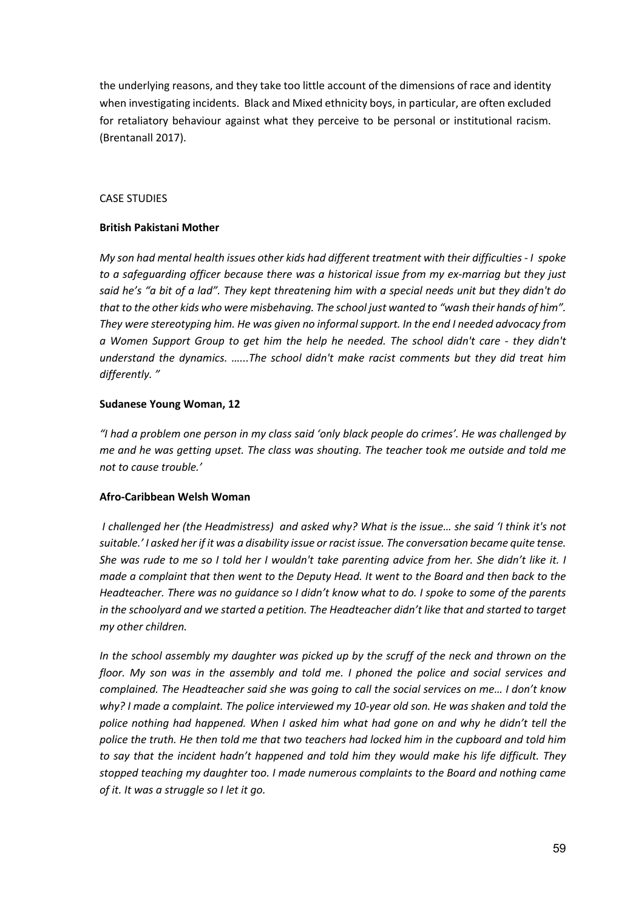the underlying reasons, and they take too little account of the dimensions of race and identity when investigating incidents. Black and Mixed ethnicity boys, in particular, are often excluded for retaliatory behaviour against what they perceive to be personal or institutional racism. (Brentanall 2017).

#### CASE STUDIES

## **British Pakistani Mother**

*My son had mental health issues other kids had different treatment with their difficulties - I spoke to a safeguarding officer because there was a historical issue from my ex-marriag but they just said he's "a bit of a lad". They kept threatening him with a special needs unit but they didn't do that to the other kids who were misbehaving. The school just wanted to "wash their hands of him". They were stereotyping him. He was given no informal support. In the end I needed advocacy from a Women Support Group to get him the help he needed. The school didn't care - they didn't understand the dynamics. …...The school didn't make racist comments but they did treat him differently. "*

## **Sudanese Young Woman, 12**

*"I had a problem one person in my class said 'only black people do crimes'. He was challenged by me and he was getting upset. The class was shouting. The teacher took me outside and told me not to cause trouble.'*

#### **Afro-Caribbean Welsh Woman**

*I challenged her (the Headmistress) and asked why? What is the issue… she said 'I think it's not suitable.' I asked her if it was a disability issue or racist issue. The conversation became quite tense. She was rude to me so I told her I wouldn't take parenting advice from her. She didn't like it. I made a complaint that then went to the Deputy Head. It went to the Board and then back to the Headteacher. There was no guidance so I didn't know what to do. I spoke to some of the parents in the schoolyard and we started a petition. The Headteacher didn't like that and started to target my other children.*

*In the school assembly my daughter was picked up by the scruff of the neck and thrown on the floor. My son was in the assembly and told me. I phoned the police and social services and complained. The Headteacher said she was going to call the social services on me… I don't know why? I made a complaint. The police interviewed my 10-year old son. He was shaken and told the police nothing had happened. When I asked him what had gone on and why he didn't tell the police the truth. He then told me that two teachers had locked him in the cupboard and told him to say that the incident hadn't happened and told him they would make his life difficult. They stopped teaching my daughter too. I made numerous complaints to the Board and nothing came of it. It was a struggle so I let it go.*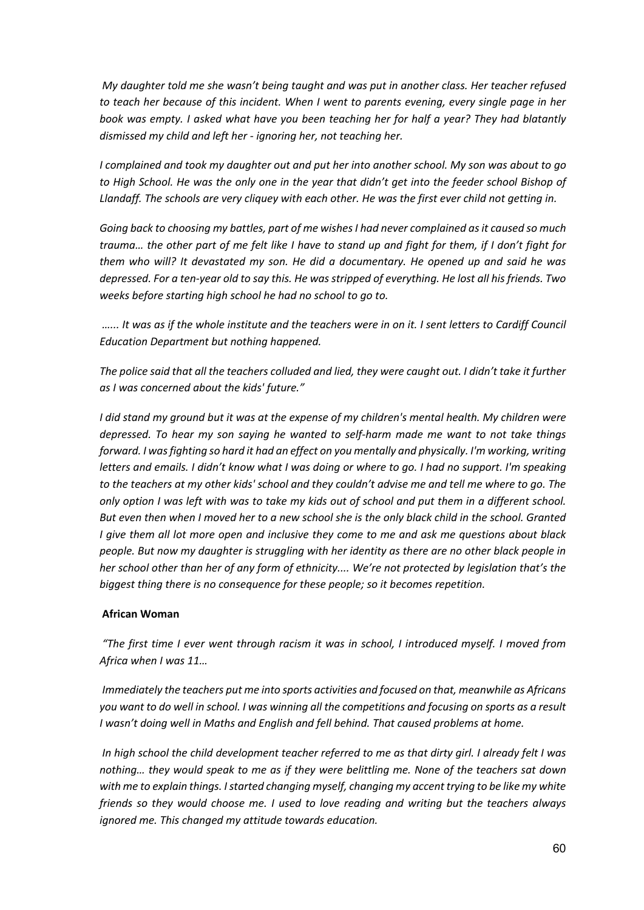*My daughter told me she wasn't being taught and was put in another class. Her teacher refused to teach her because of this incident. When I went to parents evening, every single page in her book was empty. I asked what have you been teaching her for half a year? They had blatantly dismissed my child and left her - ignoring her, not teaching her.* 

*I complained and took my daughter out and put her into another school. My son was about to go to High School. He was the only one in the year that didn't get into the feeder school Bishop of*  Llandaff. The schools are very cliquey with each other. He was the first ever child not getting in.

*Going back to choosing my battles, part of me wishes I had never complained as it caused so much trauma… the other part of me felt like I have to stand up and fight for them, if I don't fight for them who will? It devastated my son. He did a documentary. He opened up and said he was depressed. For a ten-year old to say this. He was stripped of everything. He lost all his friends. Two weeks before starting high school he had no school to go to.* 

*…... It was as if the whole institute and the teachers were in on it. I sent letters to Cardiff Council Education Department but nothing happened.*

*The police said that all the teachers colluded and lied, they were caught out. I didn't take it further as I was concerned about the kids' future."*

*I did stand my ground but it was at the expense of my children's mental health. My children were depressed. To hear my son saying he wanted to self-harm made me want to not take things forward. I was fighting so hard it had an effect on you mentally and physically. I'm working, writing letters and emails. I didn't know what I was doing or where to go. I had no support. I'm speaking to the teachers at my other kids' school and they couldn't advise me and tell me where to go. The only option I was left with was to take my kids out of school and put them in a different school. But even then when I moved her to a new school she is the only black child in the school. Granted I give them all lot more open and inclusive they come to me and ask me questions about black people. But now my daughter is struggling with her identity as there are no other black people in her school other than her of any form of ethnicity.... We're not protected by legislation that's the biggest thing there is no consequence for these people; so it becomes repetition.*

#### **African Woman**

*"The first time I ever went through racism it was in school, I introduced myself. I moved from Africa when I was 11…*

*Immediately the teachers put me into sports activities and focused on that, meanwhile as Africans you want to do well in school. I was winning all the competitions and focusing on sports as a result I wasn't doing well in Maths and English and fell behind. That caused problems at home.*

*In high school the child development teacher referred to me as that dirty girl. I already felt I was nothing… they would speak to me as if they were belittling me. None of the teachers sat down with me to explain things. I started changing myself, changing my accent trying to be like my white friends so they would choose me. I used to love reading and writing but the teachers always ignored me. This changed my attitude towards education.*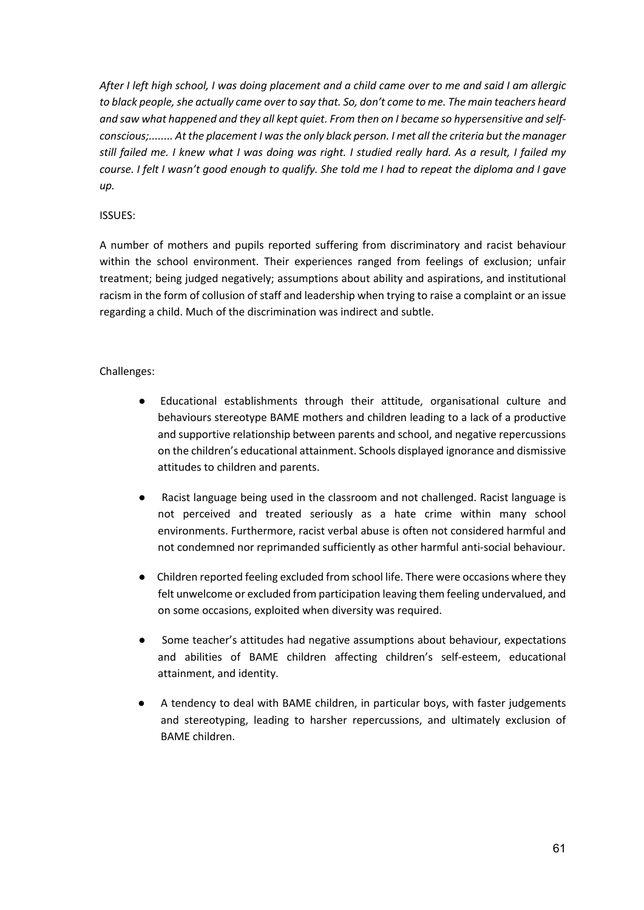*After I left high school, I was doing placement and a child came over to me and said I am allergic to black people, she actually came over to say that. So, don't come to me. The main teachers heard and saw what happened and they all kept quiet. From then on I became so hypersensitive and selfconscious;........ At the placement I was the only black person. I met all the criteria but the manager still failed me. I knew what I was doing was right. I studied really hard. As a result, I failed my course. I felt I wasn't good enough to qualify. She told me I had to repeat the diploma and I gave up.*

## ISSUES:

A number of mothers and pupils reported suffering from discriminatory and racist behaviour within the school environment. Their experiences ranged from feelings of exclusion; unfair treatment; being judged negatively; assumptions about ability and aspirations, and institutional racism in the form of collusion of staff and leadership when trying to raise a complaint or an issue regarding a child. Much of the discrimination was indirect and subtle.

## Challenges:

- Educational establishments through their attitude, organisational culture and behaviours stereotype BAME mothers and children leading to a lack of a productive and supportive relationship between parents and school, and negative repercussions on the children's educational attainment. Schools displayed ignorance and dismissive attitudes to children and parents.
- Racist language being used in the classroom and not challenged. Racist language is not perceived and treated seriously as a hate crime within many school environments. Furthermore, racist verbal abuse is often not considered harmful and not condemned nor reprimanded sufficiently as other harmful anti-social behaviour.
- Children reported feeling excluded from school life. There were occasions where they felt unwelcome or excluded from participation leaving them feeling undervalued, and on some occasions, exploited when diversity was required.
- Some teacher's attitudes had negative assumptions about behaviour, expectations and abilities of BAME children affecting children's self-esteem, educational attainment, and identity.
- A tendency to deal with BAME children, in particular boys, with faster judgements and stereotyping, leading to harsher repercussions, and ultimately exclusion of BAME children.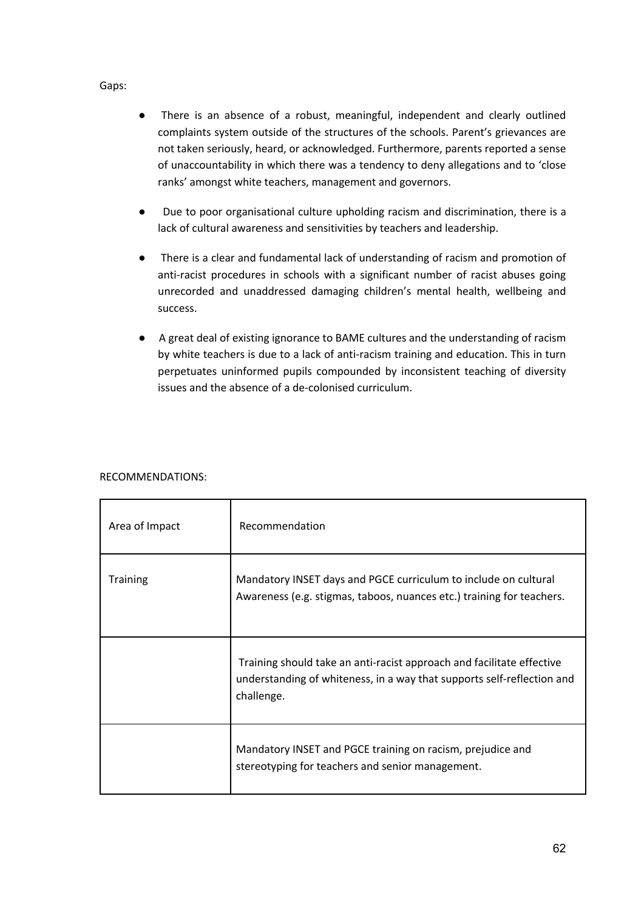#### Gaps:

- There is an absence of a robust, meaningful, independent and clearly outlined complaints system outside of the structures of the schools. Parent's grievances are not taken seriously, heard, or acknowledged. Furthermore, parents reported a sense of unaccountability in which there was a tendency to deny allegations and to 'close ranks' amongst white teachers, management and governors.
- Due to poor organisational culture upholding racism and discrimination, there is a lack of cultural awareness and sensitivities by teachers and leadership.
- There is a clear and fundamental lack of understanding of racism and promotion of anti-racist procedures in schools with a significant number of racist abuses going unrecorded and unaddressed damaging children's mental health, wellbeing and success.
- A great deal of existing ignorance to BAME cultures and the understanding of racism by white teachers is due to a lack of anti-racism training and education. This in turn perpetuates uninformed pupils compounded by inconsistent teaching of diversity issues and the absence of a de-colonised curriculum.

| Area of Impact  | Recommendation                                                                                                                                                |
|-----------------|---------------------------------------------------------------------------------------------------------------------------------------------------------------|
| <b>Training</b> | Mandatory INSET days and PGCE curriculum to include on cultural<br>Awareness (e.g. stigmas, taboos, nuances etc.) training for teachers.                      |
|                 | Training should take an anti-racist approach and facilitate effective<br>understanding of whiteness, in a way that supports self-reflection and<br>challenge. |
|                 | Mandatory INSET and PGCE training on racism, prejudice and<br>stereotyping for teachers and senior management.                                                |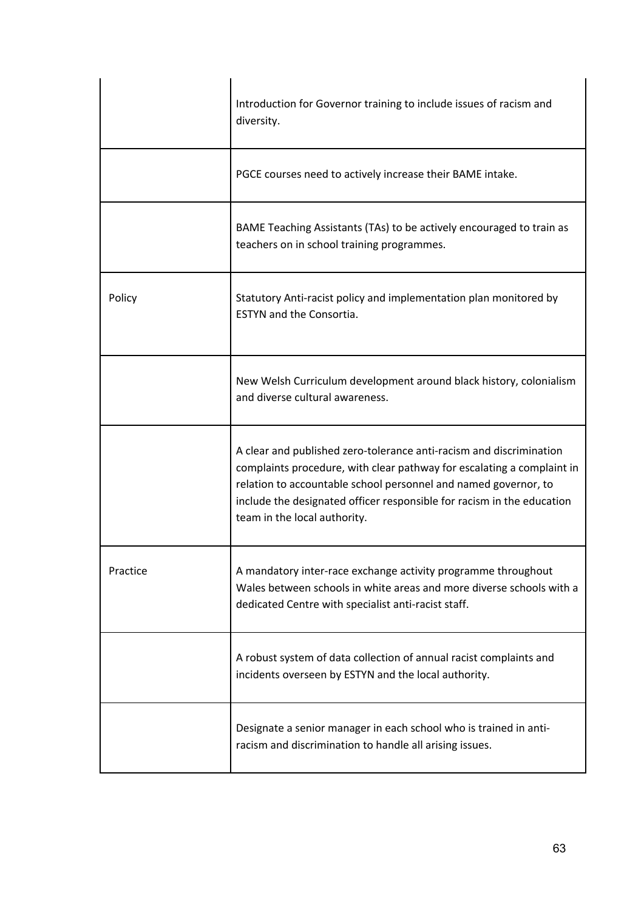|          | Introduction for Governor training to include issues of racism and<br>diversity.                                                                                                                                                                                                                                           |
|----------|----------------------------------------------------------------------------------------------------------------------------------------------------------------------------------------------------------------------------------------------------------------------------------------------------------------------------|
|          | PGCE courses need to actively increase their BAME intake.                                                                                                                                                                                                                                                                  |
|          | BAME Teaching Assistants (TAs) to be actively encouraged to train as<br>teachers on in school training programmes.                                                                                                                                                                                                         |
| Policy   | Statutory Anti-racist policy and implementation plan monitored by<br><b>ESTYN and the Consortia.</b>                                                                                                                                                                                                                       |
|          | New Welsh Curriculum development around black history, colonialism<br>and diverse cultural awareness.                                                                                                                                                                                                                      |
|          | A clear and published zero-tolerance anti-racism and discrimination<br>complaints procedure, with clear pathway for escalating a complaint in<br>relation to accountable school personnel and named governor, to<br>include the designated officer responsible for racism in the education<br>team in the local authority. |
| Practice | A mandatory inter-race exchange activity programme throughout<br>Wales between schools in white areas and more diverse schools with a<br>dedicated Centre with specialist anti-racist staff.                                                                                                                               |
|          | A robust system of data collection of annual racist complaints and<br>incidents overseen by ESTYN and the local authority.                                                                                                                                                                                                 |
|          | Designate a senior manager in each school who is trained in anti-<br>racism and discrimination to handle all arising issues.                                                                                                                                                                                               |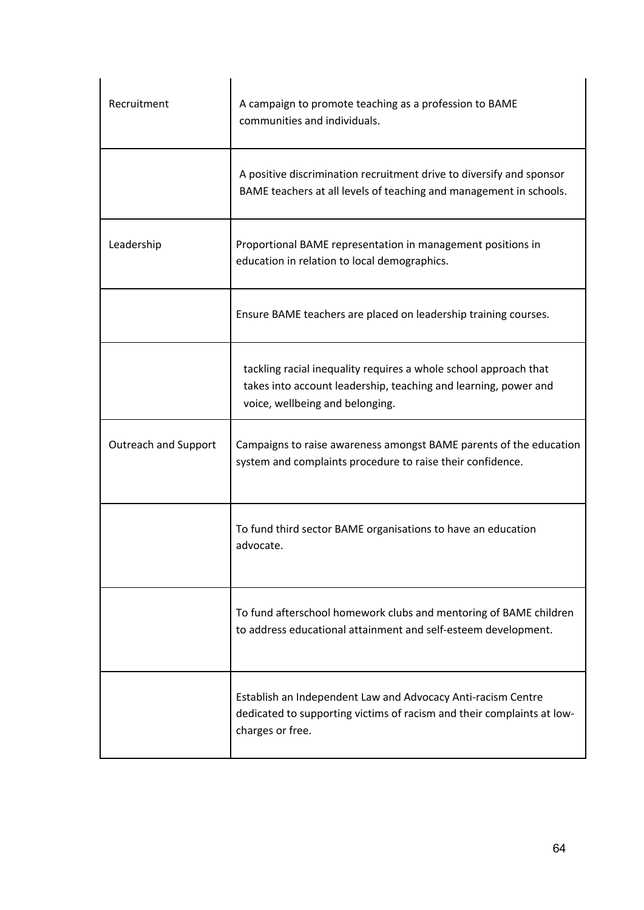| Recruitment                 | A campaign to promote teaching as a profession to BAME<br>communities and individuals.                                                                                 |
|-----------------------------|------------------------------------------------------------------------------------------------------------------------------------------------------------------------|
|                             | A positive discrimination recruitment drive to diversify and sponsor<br>BAME teachers at all levels of teaching and management in schools.                             |
| Leadership                  | Proportional BAME representation in management positions in<br>education in relation to local demographics.                                                            |
|                             | Ensure BAME teachers are placed on leadership training courses.                                                                                                        |
|                             | tackling racial inequality requires a whole school approach that<br>takes into account leadership, teaching and learning, power and<br>voice, wellbeing and belonging. |
| <b>Outreach and Support</b> | Campaigns to raise awareness amongst BAME parents of the education<br>system and complaints procedure to raise their confidence.                                       |
|                             | To fund third sector BAME organisations to have an education<br>advocate.                                                                                              |
|                             | To fund afterschool homework clubs and mentoring of BAME children<br>to address educational attainment and self-esteem development.                                    |
|                             | Establish an Independent Law and Advocacy Anti-racism Centre<br>dedicated to supporting victims of racism and their complaints at low-<br>charges or free.             |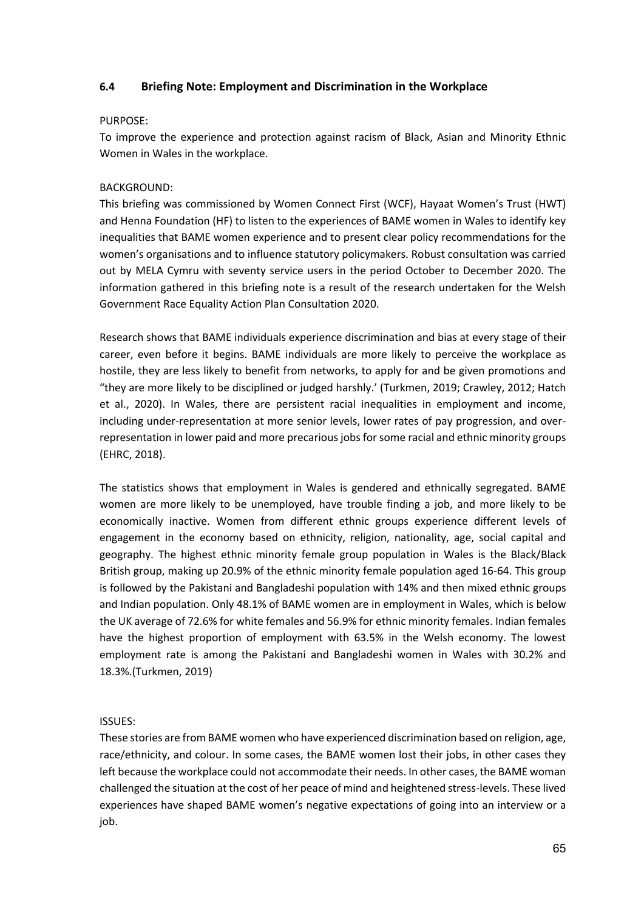# **6.4 Briefing Note: Employment and Discrimination in the Workplace**

#### PURPOSE:

To improve the experience and protection against racism of Black, Asian and Minority Ethnic Women in Wales in the workplace.

# BACKGROUND:

This briefing was commissioned by Women Connect First (WCF), Hayaat Women's Trust (HWT) and Henna Foundation (HF) to listen to the experiences of BAME women in Wales to identify key inequalities that BAME women experience and to present clear policy recommendations for the women's organisations and to influence statutory policymakers. Robust consultation was carried out by MELA Cymru with seventy service users in the period October to December 2020. The information gathered in this briefing note is a result of the research undertaken for the Welsh Government Race Equality Action Plan Consultation 2020.

Research shows that BAME individuals experience discrimination and bias at every stage of their career, even before it begins. BAME individuals are more likely to perceive the workplace as hostile, they are less likely to benefit from networks, to apply for and be given promotions and "they are more likely to be disciplined or judged harshly.' (Turkmen, 2019; Crawley, 2012; Hatch et al., 2020). In Wales, there are persistent racial inequalities in employment and income, including under-representation at more senior levels, lower rates of pay progression, and overrepresentation in lower paid and more precarious jobs for some racial and ethnic minority groups (EHRC, 2018).

The statistics shows that employment in Wales is gendered and ethnically segregated. BAME women are more likely to be unemployed, have trouble finding a job, and more likely to be economically inactive. Women from different ethnic groups experience different levels of engagement in the economy based on ethnicity, religion, nationality, age, social capital and geography. The highest ethnic minority female group population in Wales is the Black/Black British group, making up 20.9% of the ethnic minority female population aged 16-64. This group is followed by the Pakistani and Bangladeshi population with 14% and then mixed ethnic groups and Indian population. Only 48.1% of BAME women are in employment in Wales, which is below the UK average of 72.6% for white females and 56.9% for ethnic minority females. Indian females have the highest proportion of employment with 63.5% in the Welsh economy. The lowest employment rate is among the Pakistani and Bangladeshi women in Wales with 30.2% and 18.3%.(Turkmen, 2019)

# ISSUES:

These stories are from BAME women who have experienced discrimination based on religion, age, race/ethnicity, and colour. In some cases, the BAME women lost their jobs, in other cases they left because the workplace could not accommodate their needs. In other cases, the BAME woman challenged the situation at the cost of her peace of mind and heightened stress-levels. These lived experiences have shaped BAME women's negative expectations of going into an interview or a job.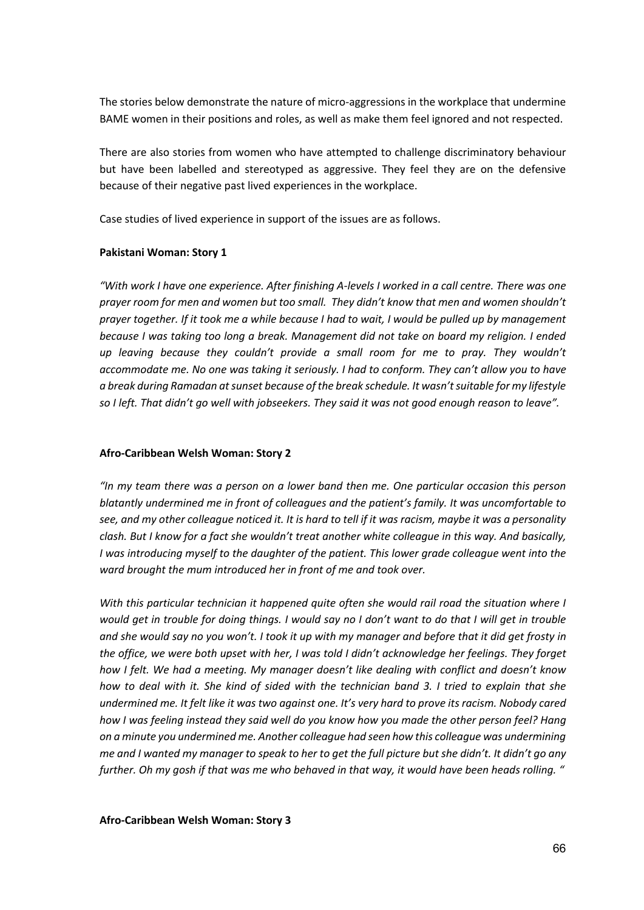The stories below demonstrate the nature of micro-aggressions in the workplace that undermine BAME women in their positions and roles, as well as make them feel ignored and not respected.

There are also stories from women who have attempted to challenge discriminatory behaviour but have been labelled and stereotyped as aggressive. They feel they are on the defensive because of their negative past lived experiences in the workplace.

Case studies of lived experience in support of the issues are as follows.

#### **Pakistani Woman: Story 1**

*"With work I have one experience. After finishing A-levels I worked in a call centre. There was one prayer room for men and women but too small. They didn't know that men and women shouldn't prayer together. If it took me a while because I had to wait, I would be pulled up by management because I was taking too long a break. Management did not take on board my religion. I ended up leaving because they couldn't provide a small room for me to pray. They wouldn't accommodate me. No one was taking it seriously. I had to conform. They can't allow you to have a break during Ramadan at sunset because of the break schedule. It wasn't suitable for my lifestyle so I left. That didn't go well with jobseekers. They said it was not good enough reason to leave".*

# **Afro-Caribbean Welsh Woman: Story 2**

*"In my team there was a person on a lower band then me. One particular occasion this person blatantly undermined me in front of colleagues and the patient's family. It was uncomfortable to see, and my other colleague noticed it. It is hard to tell if it was racism, maybe it was a personality clash. But I know for a fact she wouldn't treat another white colleague in this way. And basically, I* was introducing myself to the daughter of the patient. This lower grade colleague went into the *ward brought the mum introduced her in front of me and took over.* 

*With this particular technician it happened quite often she would rail road the situation where I would get in trouble for doing things. I would say no I don't want to do that I will get in trouble and she would say no you won't. I took it up with my manager and before that it did get frosty in the office, we were both upset with her, I was told I didn't acknowledge her feelings. They forget how I felt. We had a meeting. My manager doesn't like dealing with conflict and doesn't know how to deal with it. She kind of sided with the technician band 3. I tried to explain that she undermined me. It felt like it was two against one. It's very hard to prove its racism. Nobody cared how I was feeling instead they said well do you know how you made the other person feel? Hang on a minute you undermined me. Another colleague had seen how this colleague was undermining me and I wanted my manager to speak to her to get the full picture but she didn't. It didn't go any further. Oh my gosh if that was me who behaved in that way, it would have been heads rolling. "*

**Afro-Caribbean Welsh Woman: Story 3**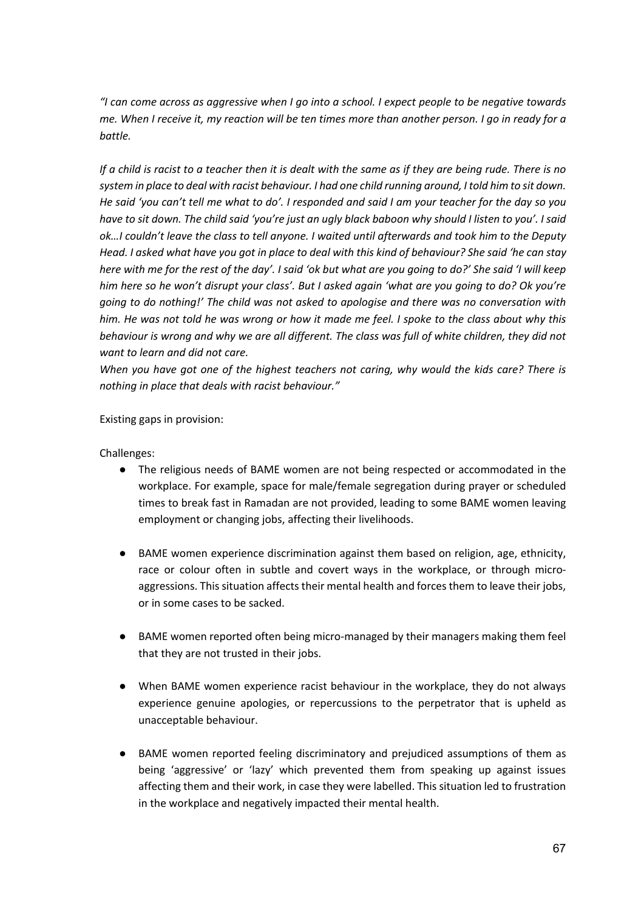*"I can come across as aggressive when I go into a school. I expect people to be negative towards me. When I receive it, my reaction will be ten times more than another person. I go in ready for a battle.* 

*If a child is racist to a teacher then it is dealt with the same as if they are being rude. There is no system in place to deal with racist behaviour. I had one child running around, I told him to sit down. He said 'you can't tell me what to do'. I responded and said I am your teacher for the day so you have to sit down. The child said 'you're just an ugly black baboon why should I listen to you'. I said ok…I couldn't leave the class to tell anyone. I waited until afterwards and took him to the Deputy Head. I asked what have you got in place to deal with this kind of behaviour? She said 'he can stay here with me for the rest of the day'. I said 'ok but what are you going to do?' She said 'I will keep him here so he won't disrupt your class'. But I asked again 'what are you going to do? Ok you're going to do nothing!' The child was not asked to apologise and there was no conversation with him. He was not told he was wrong or how it made me feel. I spoke to the class about why this behaviour is wrong and why we are all different. The class was full of white children, they did not want to learn and did not care.*

*When you have got one of the highest teachers not caring, why would the kids care? There is nothing in place that deals with racist behaviour."*

Existing gaps in provision:

Challenges:

- The religious needs of BAME women are not being respected or accommodated in the workplace. For example, space for male/female segregation during prayer or scheduled times to break fast in Ramadan are not provided, leading to some BAME women leaving employment or changing jobs, affecting their livelihoods.
- BAME women experience discrimination against them based on religion, age, ethnicity, race or colour often in subtle and covert ways in the workplace, or through microaggressions. This situation affects their mental health and forces them to leave their jobs, or in some cases to be sacked.
- BAME women reported often being micro-managed by their managers making them feel that they are not trusted in their jobs.
- When BAME women experience racist behaviour in the workplace, they do not always experience genuine apologies, or repercussions to the perpetrator that is upheld as unacceptable behaviour.
- BAME women reported feeling discriminatory and prejudiced assumptions of them as being 'aggressive' or 'lazy' which prevented them from speaking up against issues affecting them and their work, in case they were labelled. This situation led to frustration in the workplace and negatively impacted their mental health.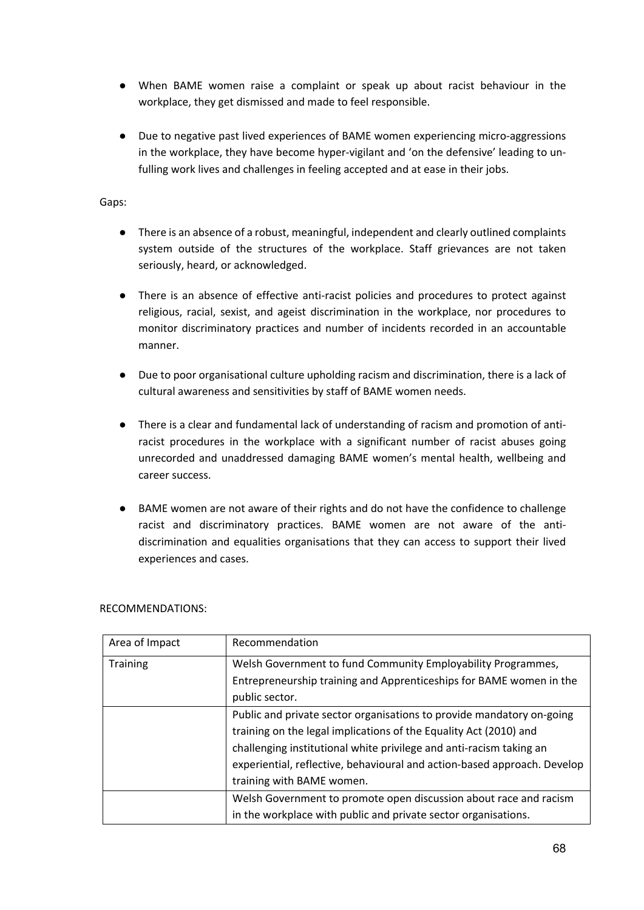- When BAME women raise a complaint or speak up about racist behaviour in the workplace, they get dismissed and made to feel responsible.
- Due to negative past lived experiences of BAME women experiencing micro-aggressions in the workplace, they have become hyper-vigilant and 'on the defensive' leading to unfulling work lives and challenges in feeling accepted and at ease in their jobs.

# Gaps:

- There is an absence of a robust, meaningful, independent and clearly outlined complaints system outside of the structures of the workplace. Staff grievances are not taken seriously, heard, or acknowledged.
- There is an absence of effective anti-racist policies and procedures to protect against religious, racial, sexist, and ageist discrimination in the workplace, nor procedures to monitor discriminatory practices and number of incidents recorded in an accountable manner.
- Due to poor organisational culture upholding racism and discrimination, there is a lack of cultural awareness and sensitivities by staff of BAME women needs.
- There is a clear and fundamental lack of understanding of racism and promotion of antiracist procedures in the workplace with a significant number of racist abuses going unrecorded and unaddressed damaging BAME women's mental health, wellbeing and career success.
- BAME women are not aware of their rights and do not have the confidence to challenge racist and discriminatory practices. BAME women are not aware of the antidiscrimination and equalities organisations that they can access to support their lived experiences and cases.

| Area of Impact  | Recommendation                                                           |
|-----------------|--------------------------------------------------------------------------|
| <b>Training</b> | Welsh Government to fund Community Employability Programmes,             |
|                 | Entrepreneurship training and Apprenticeships for BAME women in the      |
|                 | public sector.                                                           |
|                 | Public and private sector organisations to provide mandatory on-going    |
|                 | training on the legal implications of the Equality Act (2010) and        |
|                 | challenging institutional white privilege and anti-racism taking an      |
|                 | experiential, reflective, behavioural and action-based approach. Develop |
|                 | training with BAME women.                                                |
|                 | Welsh Government to promote open discussion about race and racism        |
|                 | in the workplace with public and private sector organisations.           |

RECOMMENDATIONS: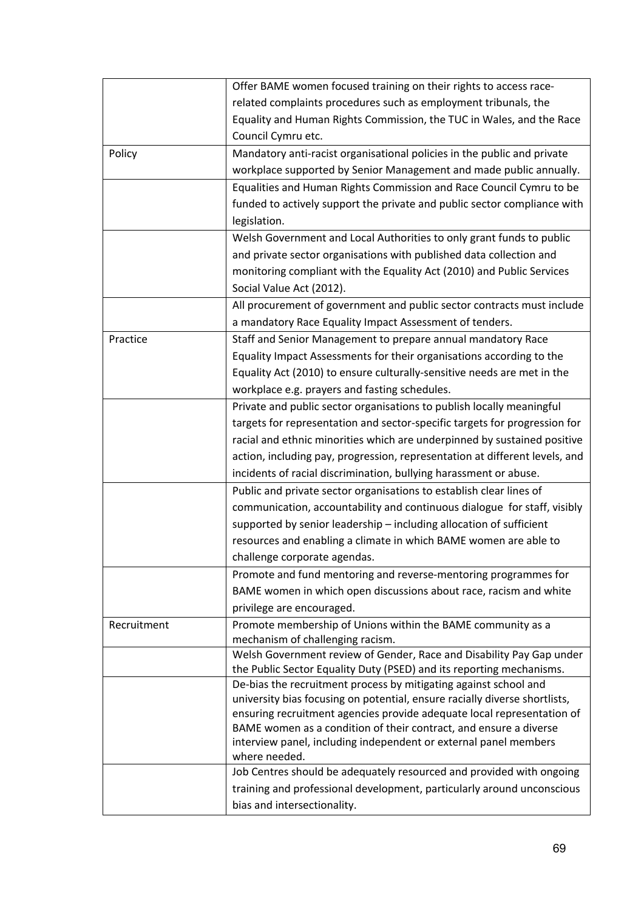|             | Offer BAME women focused training on their rights to access race-                               |
|-------------|-------------------------------------------------------------------------------------------------|
|             | related complaints procedures such as employment tribunals, the                                 |
|             | Equality and Human Rights Commission, the TUC in Wales, and the Race                            |
|             | Council Cymru etc.                                                                              |
| Policy      | Mandatory anti-racist organisational policies in the public and private                         |
|             | workplace supported by Senior Management and made public annually.                              |
|             | Equalities and Human Rights Commission and Race Council Cymru to be                             |
|             | funded to actively support the private and public sector compliance with                        |
|             | legislation.                                                                                    |
|             | Welsh Government and Local Authorities to only grant funds to public                            |
|             | and private sector organisations with published data collection and                             |
|             | monitoring compliant with the Equality Act (2010) and Public Services                           |
|             | Social Value Act (2012).                                                                        |
|             | All procurement of government and public sector contracts must include                          |
|             | a mandatory Race Equality Impact Assessment of tenders.                                         |
| Practice    | Staff and Senior Management to prepare annual mandatory Race                                    |
|             | Equality Impact Assessments for their organisations according to the                            |
|             | Equality Act (2010) to ensure culturally-sensitive needs are met in the                         |
|             | workplace e.g. prayers and fasting schedules.                                                   |
|             | Private and public sector organisations to publish locally meaningful                           |
|             | targets for representation and sector-specific targets for progression for                      |
|             | racial and ethnic minorities which are underpinned by sustained positive                        |
|             | action, including pay, progression, representation at different levels, and                     |
|             | incidents of racial discrimination, bullying harassment or abuse.                               |
|             | Public and private sector organisations to establish clear lines of                             |
|             | communication, accountability and continuous dialogue for staff, visibly                        |
|             | supported by senior leadership - including allocation of sufficient                             |
|             | resources and enabling a climate in which BAME women are able to                                |
|             | challenge corporate agendas.                                                                    |
|             | Promote and fund mentoring and reverse-mentoring programmes for                                 |
|             | BAME women in which open discussions about race, racism and white                               |
|             |                                                                                                 |
|             | privilege are encouraged.                                                                       |
| Recruitment | Promote membership of Unions within the BAME community as a<br>mechanism of challenging racism. |
|             | Welsh Government review of Gender, Race and Disability Pay Gap under                            |
|             | the Public Sector Equality Duty (PSED) and its reporting mechanisms.                            |
|             | De-bias the recruitment process by mitigating against school and                                |
|             | university bias focusing on potential, ensure racially diverse shortlists,                      |
|             | ensuring recruitment agencies provide adequate local representation of                          |
|             | BAME women as a condition of their contract, and ensure a diverse                               |
|             | interview panel, including independent or external panel members<br>where needed.               |
|             | Job Centres should be adequately resourced and provided with ongoing                            |
|             | training and professional development, particularly around unconscious                          |
|             | bias and intersectionality.                                                                     |
|             |                                                                                                 |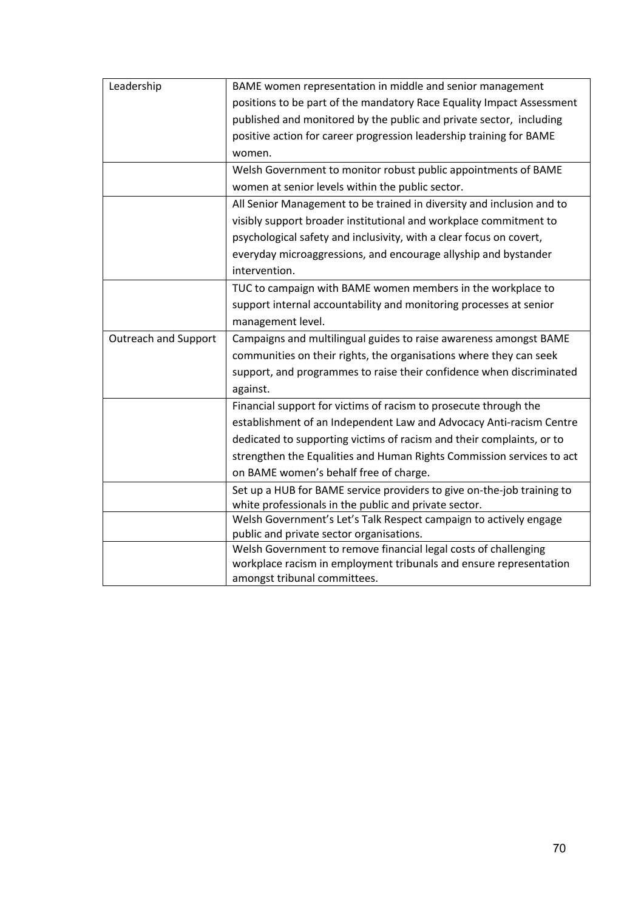| Leadership                  | BAME women representation in middle and senior management              |
|-----------------------------|------------------------------------------------------------------------|
|                             | positions to be part of the mandatory Race Equality Impact Assessment  |
|                             | published and monitored by the public and private sector, including    |
|                             | positive action for career progression leadership training for BAME    |
|                             | women.                                                                 |
|                             | Welsh Government to monitor robust public appointments of BAME         |
|                             | women at senior levels within the public sector.                       |
|                             | All Senior Management to be trained in diversity and inclusion and to  |
|                             | visibly support broader institutional and workplace commitment to      |
|                             | psychological safety and inclusivity, with a clear focus on covert,    |
|                             | everyday microaggressions, and encourage allyship and bystander        |
|                             | intervention.                                                          |
|                             | TUC to campaign with BAME women members in the workplace to            |
|                             | support internal accountability and monitoring processes at senior     |
|                             | management level.                                                      |
| <b>Outreach and Support</b> | Campaigns and multilingual guides to raise awareness amongst BAME      |
|                             | communities on their rights, the organisations where they can seek     |
|                             | support, and programmes to raise their confidence when discriminated   |
|                             | against.                                                               |
|                             | Financial support for victims of racism to prosecute through the       |
|                             | establishment of an Independent Law and Advocacy Anti-racism Centre    |
|                             | dedicated to supporting victims of racism and their complaints, or to  |
|                             | strengthen the Equalities and Human Rights Commission services to act  |
|                             | on BAME women's behalf free of charge.                                 |
|                             | Set up a HUB for BAME service providers to give on-the-job training to |
|                             | white professionals in the public and private sector.                  |
|                             | Welsh Government's Let's Talk Respect campaign to actively engage      |
|                             | public and private sector organisations.                               |
|                             | Welsh Government to remove financial legal costs of challenging        |
|                             | workplace racism in employment tribunals and ensure representation     |
|                             | amongst tribunal committees.                                           |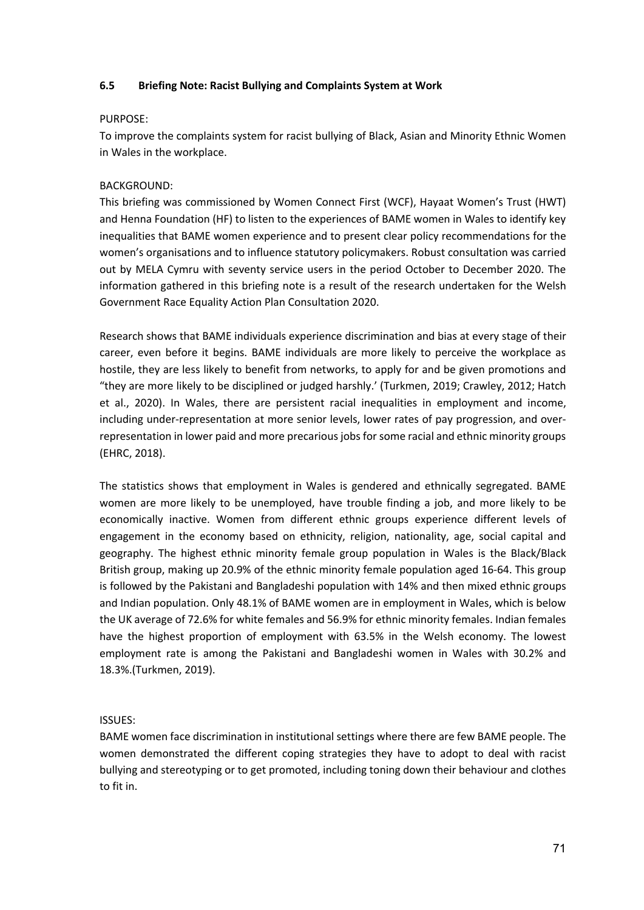#### **6.5 Briefing Note: Racist Bullying and Complaints System at Work**

#### PURPOSE:

To improve the complaints system for racist bullying of Black, Asian and Minority Ethnic Women in Wales in the workplace.

# BACKGROUND:

This briefing was commissioned by Women Connect First (WCF), Hayaat Women's Trust (HWT) and Henna Foundation (HF) to listen to the experiences of BAME women in Wales to identify key inequalities that BAME women experience and to present clear policy recommendations for the women's organisations and to influence statutory policymakers. Robust consultation was carried out by MELA Cymru with seventy service users in the period October to December 2020. The information gathered in this briefing note is a result of the research undertaken for the Welsh Government Race Equality Action Plan Consultation 2020.

Research shows that BAME individuals experience discrimination and bias at every stage of their career, even before it begins. BAME individuals are more likely to perceive the workplace as hostile, they are less likely to benefit from networks, to apply for and be given promotions and "they are more likely to be disciplined or judged harshly.' (Turkmen, 2019; Crawley, 2012; Hatch et al., 2020). In Wales, there are persistent racial inequalities in employment and income, including under-representation at more senior levels, lower rates of pay progression, and overrepresentation in lower paid and more precarious jobs for some racial and ethnic minority groups (EHRC, 2018).

The statistics shows that employment in Wales is gendered and ethnically segregated. BAME women are more likely to be unemployed, have trouble finding a job, and more likely to be economically inactive. Women from different ethnic groups experience different levels of engagement in the economy based on ethnicity, religion, nationality, age, social capital and geography. The highest ethnic minority female group population in Wales is the Black/Black British group, making up 20.9% of the ethnic minority female population aged 16-64. This group is followed by the Pakistani and Bangladeshi population with 14% and then mixed ethnic groups and Indian population. Only 48.1% of BAME women are in employment in Wales, which is below the UK average of 72.6% for white females and 56.9% for ethnic minority females. Indian females have the highest proportion of employment with 63.5% in the Welsh economy. The lowest employment rate is among the Pakistani and Bangladeshi women in Wales with 30.2% and 18.3%.(Turkmen, 2019).

# ISSUES:

BAME women face discrimination in institutional settings where there are few BAME people. The women demonstrated the different coping strategies they have to adopt to deal with racist bullying and stereotyping or to get promoted, including toning down their behaviour and clothes to fit in.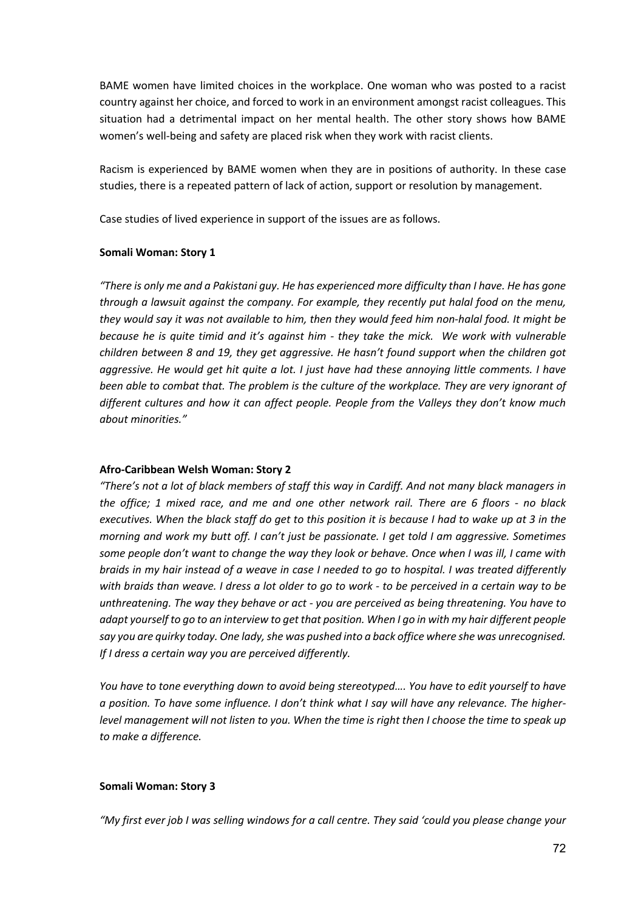BAME women have limited choices in the workplace. One woman who was posted to a racist country against her choice, and forced to work in an environment amongst racist colleagues. This situation had a detrimental impact on her mental health. The other story shows how BAME women's well-being and safety are placed risk when they work with racist clients.

Racism is experienced by BAME women when they are in positions of authority. In these case studies, there is a repeated pattern of lack of action, support or resolution by management.

Case studies of lived experience in support of the issues are as follows.

#### **Somali Woman: Story 1**

*"There is only me and a Pakistani guy. He has experienced more difficulty than I have. He has gone through a lawsuit against the company. For example, they recently put halal food on the menu, they would say it was not available to him, then they would feed him non-halal food. It might be because he is quite timid and it's against him - they take the mick. We work with vulnerable children between 8 and 19, they get aggressive. He hasn't found support when the children got aggressive. He would get hit quite a lot. I just have had these annoying little comments. I have been able to combat that. The problem is the culture of the workplace. They are very ignorant of different cultures and how it can affect people. People from the Valleys they don't know much about minorities."*

# **Afro-Caribbean Welsh Woman: Story 2**

*"There's not a lot of black members of staff this way in Cardiff. And not many black managers in the office; 1 mixed race, and me and one other network rail. There are 6 floors - no black executives. When the black staff do get to this position it is because I had to wake up at 3 in the morning and work my butt off. I can't just be passionate. I get told I am aggressive. Sometimes some people don't want to change the way they look or behave. Once when I was ill, I came with braids in my hair instead of a weave in case I needed to go to hospital. I was treated differently with braids than weave. I dress a lot older to go to work - to be perceived in a certain way to be unthreatening. The way they behave or act - you are perceived as being threatening. You have to adapt yourself to go to an interview to get that position. When I go in with my hair different people say you are quirky today. One lady, she was pushed into a back office where she was unrecognised. If I dress a certain way you are perceived differently.* 

*You have to tone everything down to avoid being stereotyped…. You have to edit yourself to have a position. To have some influence. I don't think what I say will have any relevance. The higherlevel management will not listen to you. When the time is right then I choose the time to speak up to make a difference.*

#### **Somali Woman: Story 3**

*"My first ever job I was selling windows for a call centre. They said 'could you please change your*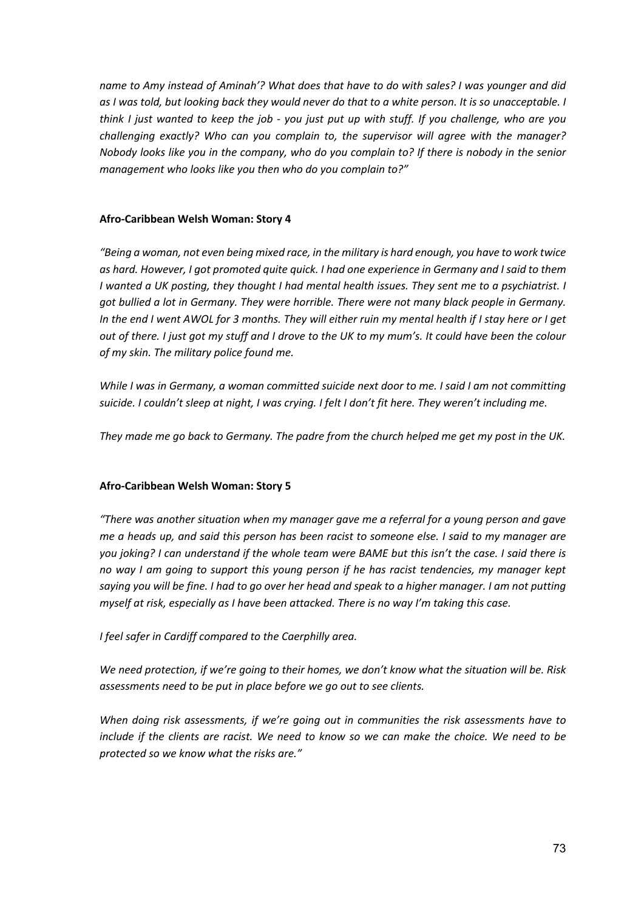*name to Amy instead of Aminah'? What does that have to do with sales? I was younger and did as I was told, but looking back they would never do that to a white person. It is so unacceptable. I think I just wanted to keep the job - you just put up with stuff. If you challenge, who are you challenging exactly? Who can you complain to, the supervisor will agree with the manager? Nobody looks like you in the company, who do you complain to? If there is nobody in the senior management who looks like you then who do you complain to?"*

## **Afro-Caribbean Welsh Woman: Story 4**

*"Being a woman, not even being mixed race, in the military is hard enough, you have to work twice as hard. However, I got promoted quite quick. I had one experience in Germany and I said to them I wanted a UK posting, they thought I had mental health issues. They sent me to a psychiatrist. I got bullied a lot in Germany. They were horrible. There were not many black people in Germany. In the end I went AWOL for 3 months. They will either ruin my mental health if I stay here or I get out of there. I just got my stuff and I drove to the UK to my mum's. It could have been the colour of my skin. The military police found me.* 

*While I was in Germany, a woman committed suicide next door to me. I said I am not committing suicide. I couldn't sleep at night, I was crying. I felt I don't fit here. They weren't including me.*

*They made me go back to Germany. The padre from the church helped me get my post in the UK.* 

# **Afro-Caribbean Welsh Woman: Story 5**

*"There was another situation when my manager gave me a referral for a young person and gave me a heads up, and said this person has been racist to someone else. I said to my manager are you joking? I can understand if the whole team were BAME but this isn't the case. I said there is no way I am going to support this young person if he has racist tendencies, my manager kept saying you will be fine. I had to go over her head and speak to a higher manager. I am not putting myself at risk, especially as I have been attacked. There is no way I'm taking this case.*

*I feel safer in Cardiff compared to the Caerphilly area.*

*We need protection, if we're going to their homes, we don't know what the situation will be. Risk assessments need to be put in place before we go out to see clients.*

*When doing risk assessments, if we're going out in communities the risk assessments have to include if the clients are racist. We need to know so we can make the choice. We need to be protected so we know what the risks are."*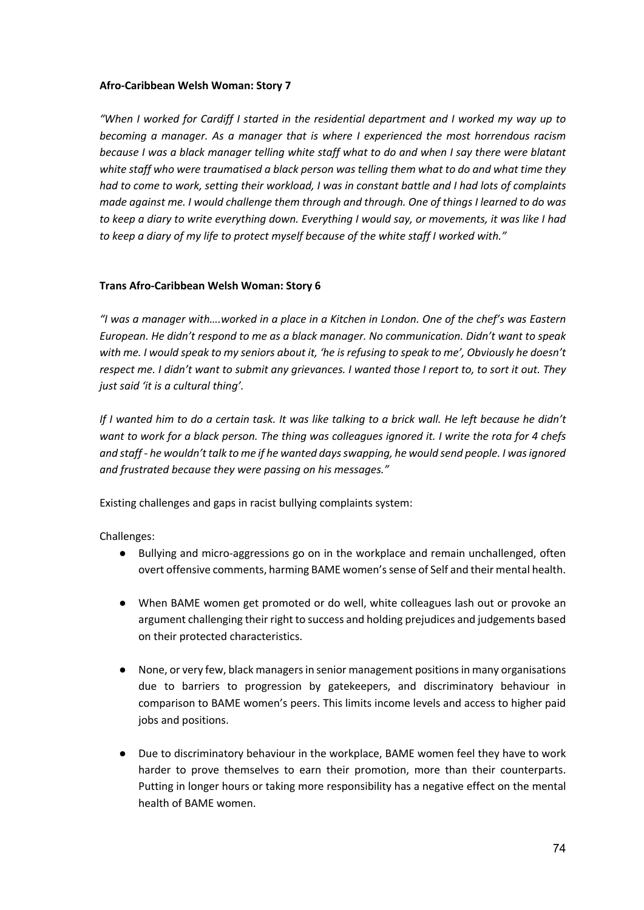## **Afro-Caribbean Welsh Woman: Story 7**

*"When I worked for Cardiff I started in the residential department and I worked my way up to becoming a manager. As a manager that is where I experienced the most horrendous racism because I was a black manager telling white staff what to do and when I say there were blatant white staff who were traumatised a black person was telling them what to do and what time they had to come to work, setting their workload, I was in constant battle and I had lots of complaints made against me. I would challenge them through and through. One of things I learned to do was to keep a diary to write everything down. Everything I would say, or movements, it was like I had to keep a diary of my life to protect myself because of the white staff I worked with."*

# **Trans Afro-Caribbean Welsh Woman: Story 6**

*"I was a manager with….worked in a place in a Kitchen in London. One of the chef's was Eastern European. He didn't respond to me as a black manager. No communication. Didn't want to speak with me. I would speak to my seniors about it, 'he is refusing to speak to me', Obviously he doesn't respect me. I didn't want to submit any grievances. I wanted those I report to, to sort it out. They just said 'it is a cultural thing'.* 

*If I wanted him to do a certain task. It was like talking to a brick wall. He left because he didn't want to work for a black person. The thing was colleagues ignored it. I write the rota for 4 chefs and staff - he wouldn't talk to me if he wanted days swapping, he would send people. I was ignored and frustrated because they were passing on his messages."*

Existing challenges and gaps in racist bullying complaints system:

Challenges:

- Bullying and micro-aggressions go on in the workplace and remain unchallenged, often overt offensive comments, harming BAME women's sense of Self and their mental health.
- When BAME women get promoted or do well, white colleagues lash out or provoke an argument challenging their right to success and holding prejudices and judgements based on their protected characteristics.
- None, or very few, black managers in senior management positions in many organisations due to barriers to progression by gatekeepers, and discriminatory behaviour in comparison to BAME women's peers. This limits income levels and access to higher paid jobs and positions.
- Due to discriminatory behaviour in the workplace, BAME women feel they have to work harder to prove themselves to earn their promotion, more than their counterparts. Putting in longer hours or taking more responsibility has a negative effect on the mental health of BAME women.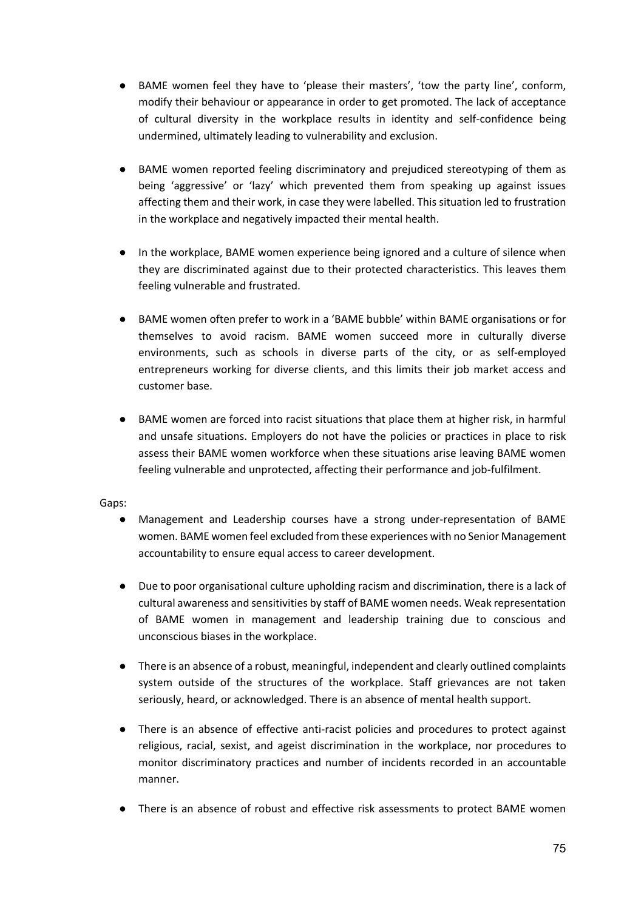- BAME women feel they have to 'please their masters', 'tow the party line', conform, modify their behaviour or appearance in order to get promoted. The lack of acceptance of cultural diversity in the workplace results in identity and self-confidence being undermined, ultimately leading to vulnerability and exclusion.
- BAME women reported feeling discriminatory and prejudiced stereotyping of them as being 'aggressive' or 'lazy' which prevented them from speaking up against issues affecting them and their work, in case they were labelled. This situation led to frustration in the workplace and negatively impacted their mental health.
- In the workplace, BAME women experience being ignored and a culture of silence when they are discriminated against due to their protected characteristics. This leaves them feeling vulnerable and frustrated.
- BAME women often prefer to work in a 'BAME bubble' within BAME organisations or for themselves to avoid racism. BAME women succeed more in culturally diverse environments, such as schools in diverse parts of the city, or as self-employed entrepreneurs working for diverse clients, and this limits their job market access and customer base.
- BAME women are forced into racist situations that place them at higher risk, in harmful and unsafe situations. Employers do not have the policies or practices in place to risk assess their BAME women workforce when these situations arise leaving BAME women feeling vulnerable and unprotected, affecting their performance and job-fulfilment.

#### Gaps:

- Management and Leadership courses have a strong under-representation of BAME women. BAME women feel excluded from these experiences with no Senior Management accountability to ensure equal access to career development.
- Due to poor organisational culture upholding racism and discrimination, there is a lack of cultural awareness and sensitivities by staff of BAME women needs. Weak representation of BAME women in management and leadership training due to conscious and unconscious biases in the workplace.
- There is an absence of a robust, meaningful, independent and clearly outlined complaints system outside of the structures of the workplace. Staff grievances are not taken seriously, heard, or acknowledged. There is an absence of mental health support.
- There is an absence of effective anti-racist policies and procedures to protect against religious, racial, sexist, and ageist discrimination in the workplace, nor procedures to monitor discriminatory practices and number of incidents recorded in an accountable manner.
- There is an absence of robust and effective risk assessments to protect BAME women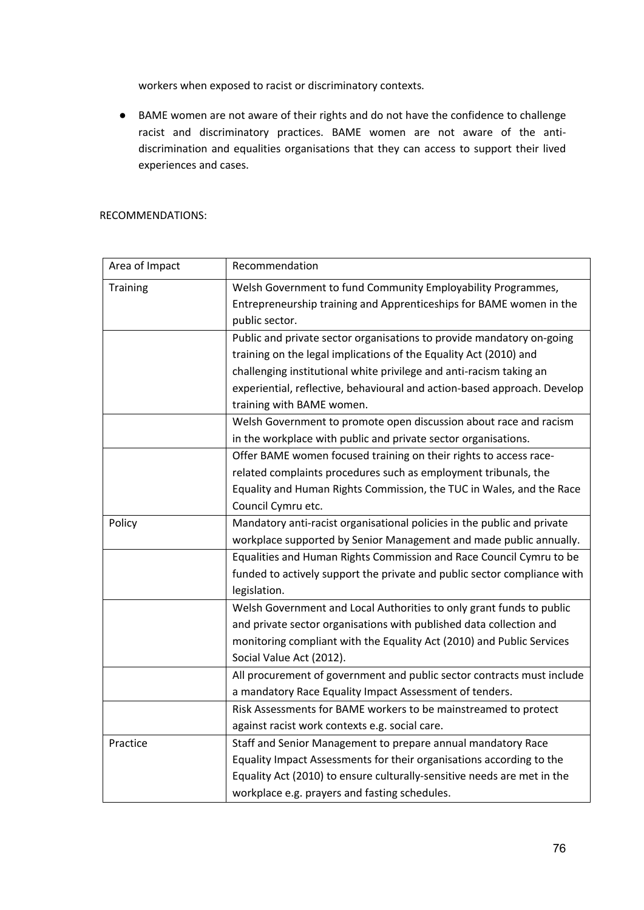workers when exposed to racist or discriminatory contexts.

● BAME women are not aware of their rights and do not have the confidence to challenge racist and discriminatory practices. BAME women are not aware of the antidiscrimination and equalities organisations that they can access to support their lived experiences and cases.

#### RECOMMENDATIONS:

| Area of Impact  | Recommendation                                                           |
|-----------------|--------------------------------------------------------------------------|
| <b>Training</b> | Welsh Government to fund Community Employability Programmes,             |
|                 | Entrepreneurship training and Apprenticeships for BAME women in the      |
|                 | public sector.                                                           |
|                 | Public and private sector organisations to provide mandatory on-going    |
|                 | training on the legal implications of the Equality Act (2010) and        |
|                 | challenging institutional white privilege and anti-racism taking an      |
|                 | experiential, reflective, behavioural and action-based approach. Develop |
|                 | training with BAME women.                                                |
|                 | Welsh Government to promote open discussion about race and racism        |
|                 | in the workplace with public and private sector organisations.           |
|                 | Offer BAME women focused training on their rights to access race-        |
|                 | related complaints procedures such as employment tribunals, the          |
|                 | Equality and Human Rights Commission, the TUC in Wales, and the Race     |
|                 | Council Cymru etc.                                                       |
| Policy          | Mandatory anti-racist organisational policies in the public and private  |
|                 | workplace supported by Senior Management and made public annually.       |
|                 | Equalities and Human Rights Commission and Race Council Cymru to be      |
|                 | funded to actively support the private and public sector compliance with |
|                 | legislation.                                                             |
|                 | Welsh Government and Local Authorities to only grant funds to public     |
|                 | and private sector organisations with published data collection and      |
|                 | monitoring compliant with the Equality Act (2010) and Public Services    |
|                 | Social Value Act (2012).                                                 |
|                 | All procurement of government and public sector contracts must include   |
|                 | a mandatory Race Equality Impact Assessment of tenders.                  |
|                 | Risk Assessments for BAME workers to be mainstreamed to protect          |
|                 | against racist work contexts e.g. social care.                           |
| Practice        | Staff and Senior Management to prepare annual mandatory Race             |
|                 | Equality Impact Assessments for their organisations according to the     |
|                 | Equality Act (2010) to ensure culturally-sensitive needs are met in the  |
|                 | workplace e.g. prayers and fasting schedules.                            |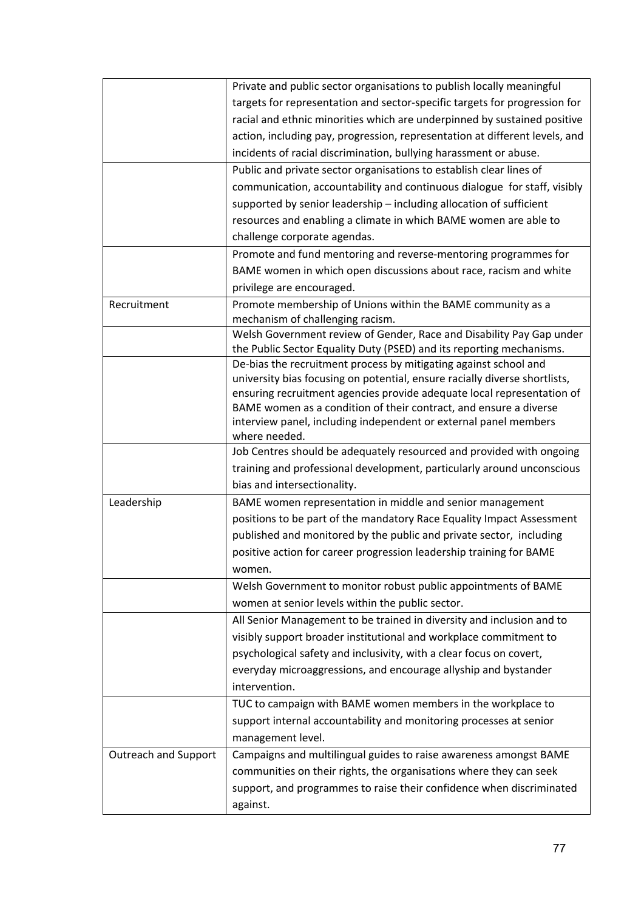|                             | Private and public sector organisations to publish locally meaningful                                                                                |
|-----------------------------|------------------------------------------------------------------------------------------------------------------------------------------------------|
|                             | targets for representation and sector-specific targets for progression for                                                                           |
|                             | racial and ethnic minorities which are underpinned by sustained positive                                                                             |
|                             | action, including pay, progression, representation at different levels, and                                                                          |
|                             | incidents of racial discrimination, bullying harassment or abuse.                                                                                    |
|                             | Public and private sector organisations to establish clear lines of                                                                                  |
|                             | communication, accountability and continuous dialogue for staff, visibly                                                                             |
|                             | supported by senior leadership - including allocation of sufficient                                                                                  |
|                             | resources and enabling a climate in which BAME women are able to                                                                                     |
|                             | challenge corporate agendas.                                                                                                                         |
|                             | Promote and fund mentoring and reverse-mentoring programmes for                                                                                      |
|                             | BAME women in which open discussions about race, racism and white                                                                                    |
|                             | privilege are encouraged.                                                                                                                            |
| Recruitment                 | Promote membership of Unions within the BAME community as a                                                                                          |
|                             | mechanism of challenging racism.                                                                                                                     |
|                             | Welsh Government review of Gender, Race and Disability Pay Gap under                                                                                 |
|                             | the Public Sector Equality Duty (PSED) and its reporting mechanisms.                                                                                 |
|                             | De-bias the recruitment process by mitigating against school and                                                                                     |
|                             | university bias focusing on potential, ensure racially diverse shortlists,<br>ensuring recruitment agencies provide adequate local representation of |
|                             | BAME women as a condition of their contract, and ensure a diverse                                                                                    |
|                             | interview panel, including independent or external panel members                                                                                     |
|                             | where needed.                                                                                                                                        |
|                             | Job Centres should be adequately resourced and provided with ongoing                                                                                 |
|                             | training and professional development, particularly around unconscious                                                                               |
|                             | bias and intersectionality.                                                                                                                          |
| Leadership                  | BAME women representation in middle and senior management                                                                                            |
|                             | positions to be part of the mandatory Race Equality Impact Assessment                                                                                |
|                             | published and monitored by the public and private sector, including                                                                                  |
|                             | positive action for career progression leadership training for BAME                                                                                  |
|                             | women.                                                                                                                                               |
|                             | Welsh Government to monitor robust public appointments of BAME                                                                                       |
|                             | women at senior levels within the public sector.                                                                                                     |
|                             | All Senior Management to be trained in diversity and inclusion and to                                                                                |
|                             | visibly support broader institutional and workplace commitment to                                                                                    |
|                             | psychological safety and inclusivity, with a clear focus on covert,                                                                                  |
|                             | everyday microaggressions, and encourage allyship and bystander                                                                                      |
|                             | intervention.                                                                                                                                        |
|                             | TUC to campaign with BAME women members in the workplace to                                                                                          |
|                             | support internal accountability and monitoring processes at senior                                                                                   |
|                             | management level.                                                                                                                                    |
| <b>Outreach and Support</b> | Campaigns and multilingual guides to raise awareness amongst BAME                                                                                    |
|                             | communities on their rights, the organisations where they can seek                                                                                   |
|                             | support, and programmes to raise their confidence when discriminated                                                                                 |
|                             | against.                                                                                                                                             |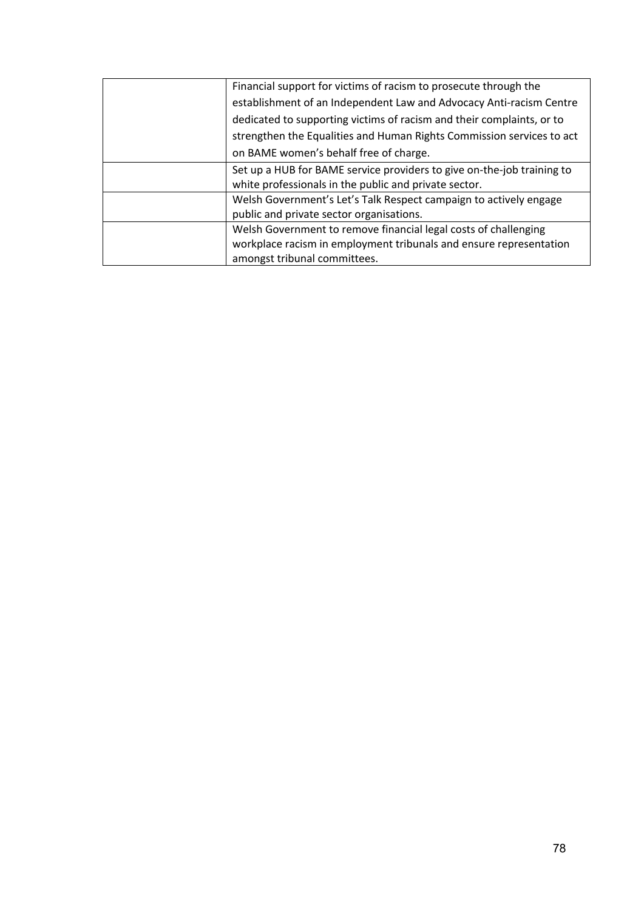| Financial support for victims of racism to prosecute through the       |
|------------------------------------------------------------------------|
| establishment of an Independent Law and Advocacy Anti-racism Centre    |
| dedicated to supporting victims of racism and their complaints, or to  |
| strengthen the Equalities and Human Rights Commission services to act  |
| on BAME women's behalf free of charge.                                 |
| Set up a HUB for BAME service providers to give on-the-job training to |
| white professionals in the public and private sector.                  |
| Welsh Government's Let's Talk Respect campaign to actively engage      |
| public and private sector organisations.                               |
| Welsh Government to remove financial legal costs of challenging        |
| workplace racism in employment tribunals and ensure representation     |
| amongst tribunal committees.                                           |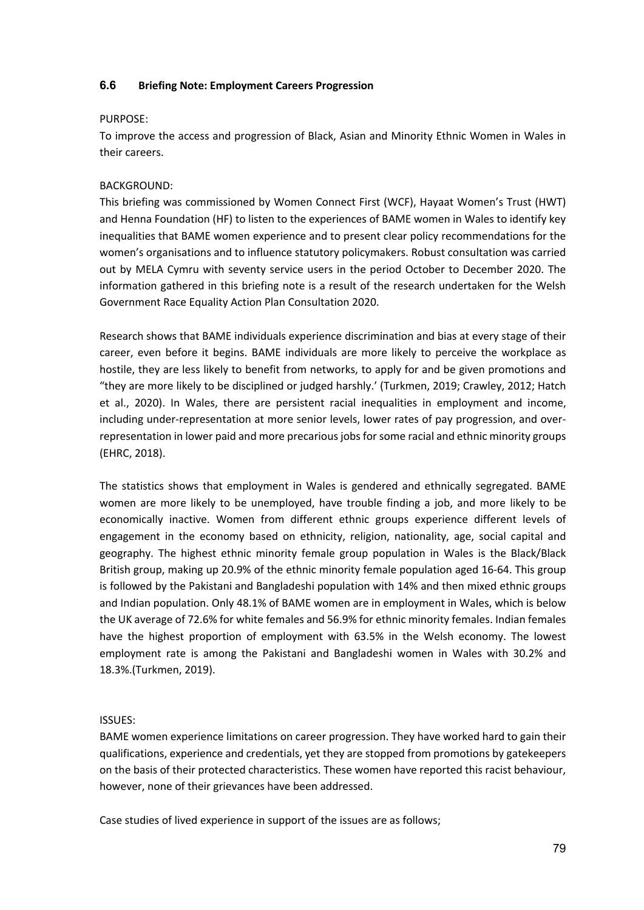## **6.6 Briefing Note: Employment Careers Progression**

#### PURPOSE:

To improve the access and progression of Black, Asian and Minority Ethnic Women in Wales in their careers.

# BACKGROUND:

This briefing was commissioned by Women Connect First (WCF), Hayaat Women's Trust (HWT) and Henna Foundation (HF) to listen to the experiences of BAME women in Wales to identify key inequalities that BAME women experience and to present clear policy recommendations for the women's organisations and to influence statutory policymakers. Robust consultation was carried out by MELA Cymru with seventy service users in the period October to December 2020. The information gathered in this briefing note is a result of the research undertaken for the Welsh Government Race Equality Action Plan Consultation 2020.

Research shows that BAME individuals experience discrimination and bias at every stage of their career, even before it begins. BAME individuals are more likely to perceive the workplace as hostile, they are less likely to benefit from networks, to apply for and be given promotions and "they are more likely to be disciplined or judged harshly.' (Turkmen, 2019; Crawley, 2012; Hatch et al., 2020). In Wales, there are persistent racial inequalities in employment and income, including under-representation at more senior levels, lower rates of pay progression, and overrepresentation in lower paid and more precarious jobs for some racial and ethnic minority groups (EHRC, 2018).

The statistics shows that employment in Wales is gendered and ethnically segregated. BAME women are more likely to be unemployed, have trouble finding a job, and more likely to be economically inactive. Women from different ethnic groups experience different levels of engagement in the economy based on ethnicity, religion, nationality, age, social capital and geography. The highest ethnic minority female group population in Wales is the Black/Black British group, making up 20.9% of the ethnic minority female population aged 16-64. This group is followed by the Pakistani and Bangladeshi population with 14% and then mixed ethnic groups and Indian population. Only 48.1% of BAME women are in employment in Wales, which is below the UK average of 72.6% for white females and 56.9% for ethnic minority females. Indian females have the highest proportion of employment with 63.5% in the Welsh economy. The lowest employment rate is among the Pakistani and Bangladeshi women in Wales with 30.2% and 18.3%.(Turkmen, 2019).

# ISSUES:

BAME women experience limitations on career progression. They have worked hard to gain their qualifications, experience and credentials, yet they are stopped from promotions by gatekeepers on the basis of their protected characteristics. These women have reported this racist behaviour, however, none of their grievances have been addressed.

Case studies of lived experience in support of the issues are as follows;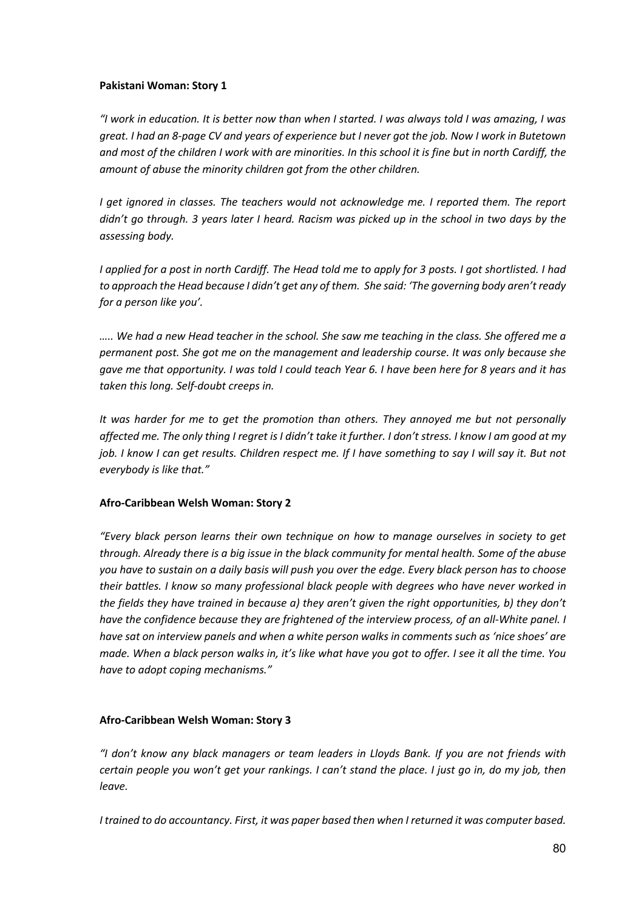## **Pakistani Woman: Story 1**

*"I work in education. It is better now than when I started. I was always told I was amazing, I was great. I had an 8-page CV and years of experience but I never got the job. Now I work in Butetown and most of the children I work with are minorities. In this school it is fine but in north Cardiff, the amount of abuse the minority children got from the other children.* 

*I get ignored in classes. The teachers would not acknowledge me. I reported them. The report didn't go through. 3 years later I heard. Racism was picked up in the school in two days by the assessing body.*

*I applied for a post in north Cardiff. The Head told me to apply for 3 posts. I got shortlisted. I had to approach the Head because I didn't get any of them. She said: 'The governing body aren't ready for a person like you'.*

*….. We had a new Head teacher in the school. She saw me teaching in the class. She offered me a permanent post. She got me on the management and leadership course. It was only because she gave me that opportunity. I was told I could teach Year 6. I have been here for 8 years and it has taken this long. Self-doubt creeps in.*

*It was harder for me to get the promotion than others. They annoyed me but not personally affected me. The only thing I regret is I didn't take it further. I don't stress. I know I am good at my job. I know I can get results. Children respect me. If I have something to say I will say it. But not everybody is like that."*

# **Afro-Caribbean Welsh Woman: Story 2**

*"Every black person learns their own technique on how to manage ourselves in society to get through. Already there is a big issue in the black community for mental health. Some of the abuse you have to sustain on a daily basis will push you over the edge. Every black person has to choose their battles. I know so many professional black people with degrees who have never worked in the fields they have trained in because a) they aren't given the right opportunities, b) they don't have the confidence because they are frightened of the interview process, of an all-White panel. I have sat on interview panels and when a white person walks in comments such as 'nice shoes' are made. When a black person walks in, it's like what have you got to offer. I see it all the time. You have to adopt coping mechanisms."*

# **Afro-Caribbean Welsh Woman: Story 3**

*"I don't know any black managers or team leaders in Lloyds Bank. If you are not friends with certain people you won't get your rankings. I can't stand the place. I just go in, do my job, then leave.*

*I trained to do accountancy. First, it was paper based then when I returned it was computer based.*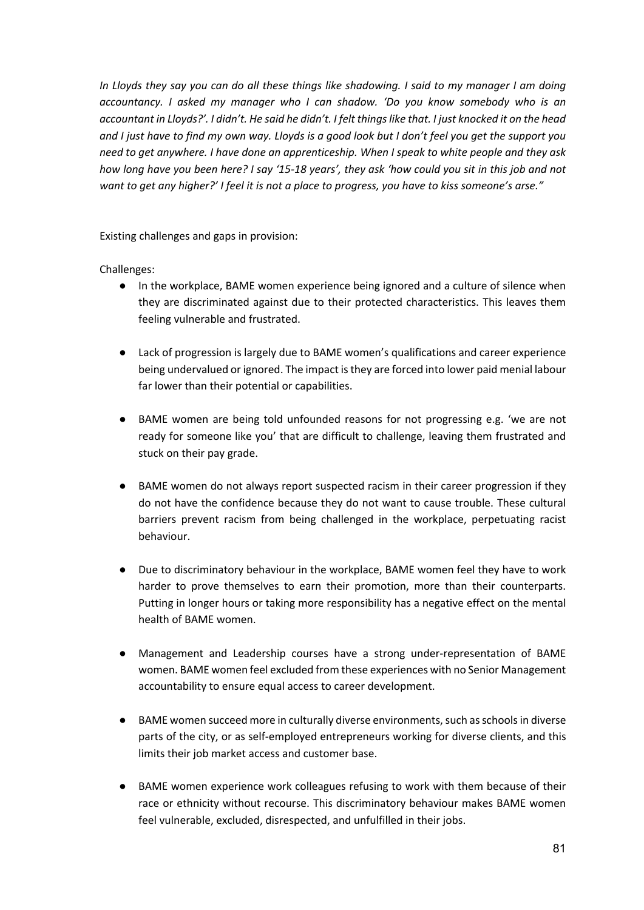*In Lloyds they say you can do all these things like shadowing. I said to my manager I am doing accountancy. I asked my manager who I can shadow. 'Do you know somebody who is an accountant in Lloyds?'. I didn't. He said he didn't. I felt things like that. I just knocked it on the head and I just have to find my own way. Lloyds is a good look but I don't feel you get the support you need to get anywhere. I have done an apprenticeship. When I speak to white people and they ask how long have you been here? I say '15-18 years', they ask 'how could you sit in this job and not want to get any higher?' I feel it is not a place to progress, you have to kiss someone's arse."*

Existing challenges and gaps in provision:

Challenges:

- In the workplace, BAME women experience being ignored and a culture of silence when they are discriminated against due to their protected characteristics. This leaves them feeling vulnerable and frustrated.
- Lack of progression is largely due to BAME women's qualifications and career experience being undervalued or ignored. The impact is they are forced into lower paid menial labour far lower than their potential or capabilities.
- BAME women are being told unfounded reasons for not progressing e.g. 'we are not ready for someone like you' that are difficult to challenge, leaving them frustrated and stuck on their pay grade.
- BAME women do not always report suspected racism in their career progression if they do not have the confidence because they do not want to cause trouble. These cultural barriers prevent racism from being challenged in the workplace, perpetuating racist behaviour.
- Due to discriminatory behaviour in the workplace, BAME women feel they have to work harder to prove themselves to earn their promotion, more than their counterparts. Putting in longer hours or taking more responsibility has a negative effect on the mental health of BAME women.
- Management and Leadership courses have a strong under-representation of BAME women. BAME women feel excluded from these experiences with no Senior Management accountability to ensure equal access to career development.
- BAME women succeed more in culturally diverse environments, such as schools in diverse parts of the city, or as self-employed entrepreneurs working for diverse clients, and this limits their job market access and customer base.
- BAME women experience work colleagues refusing to work with them because of their race or ethnicity without recourse. This discriminatory behaviour makes BAME women feel vulnerable, excluded, disrespected, and unfulfilled in their jobs.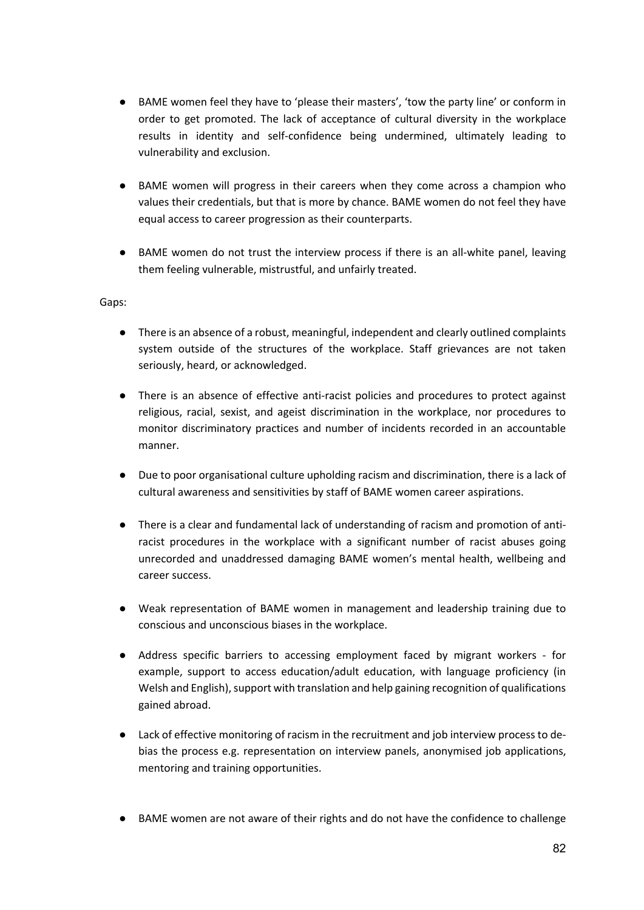- BAME women feel they have to 'please their masters', 'tow the party line' or conform in order to get promoted. The lack of acceptance of cultural diversity in the workplace results in identity and self-confidence being undermined, ultimately leading to vulnerability and exclusion.
- BAME women will progress in their careers when they come across a champion who values their credentials, but that is more by chance. BAME women do not feel they have equal access to career progression as their counterparts.
- BAME women do not trust the interview process if there is an all-white panel, leaving them feeling vulnerable, mistrustful, and unfairly treated.

Gaps:

- There is an absence of a robust, meaningful, independent and clearly outlined complaints system outside of the structures of the workplace. Staff grievances are not taken seriously, heard, or acknowledged.
- There is an absence of effective anti-racist policies and procedures to protect against religious, racial, sexist, and ageist discrimination in the workplace, nor procedures to monitor discriminatory practices and number of incidents recorded in an accountable manner.
- Due to poor organisational culture upholding racism and discrimination, there is a lack of cultural awareness and sensitivities by staff of BAME women career aspirations.
- There is a clear and fundamental lack of understanding of racism and promotion of antiracist procedures in the workplace with a significant number of racist abuses going unrecorded and unaddressed damaging BAME women's mental health, wellbeing and career success.
- Weak representation of BAME women in management and leadership training due to conscious and unconscious biases in the workplace.
- Address specific barriers to accessing employment faced by migrant workers for example, support to access education/adult education, with language proficiency (in Welsh and English), support with translation and help gaining recognition of qualifications gained abroad.
- Lack of effective monitoring of racism in the recruitment and job interview process to debias the process e.g. representation on interview panels, anonymised job applications, mentoring and training opportunities.
- BAME women are not aware of their rights and do not have the confidence to challenge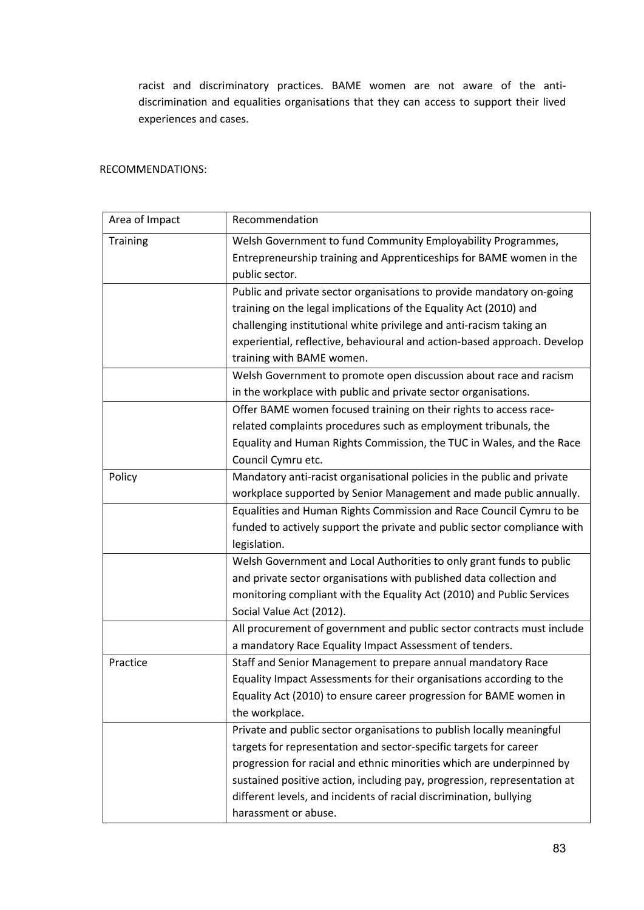racist and discriminatory practices. BAME women are not aware of the antidiscrimination and equalities organisations that they can access to support their lived experiences and cases.

## RECOMMENDATIONS:

| Area of Impact  | Recommendation                                                           |
|-----------------|--------------------------------------------------------------------------|
| <b>Training</b> | Welsh Government to fund Community Employability Programmes,             |
|                 | Entrepreneurship training and Apprenticeships for BAME women in the      |
|                 | public sector.                                                           |
|                 | Public and private sector organisations to provide mandatory on-going    |
|                 | training on the legal implications of the Equality Act (2010) and        |
|                 | challenging institutional white privilege and anti-racism taking an      |
|                 | experiential, reflective, behavioural and action-based approach. Develop |
|                 | training with BAME women.                                                |
|                 | Welsh Government to promote open discussion about race and racism        |
|                 | in the workplace with public and private sector organisations.           |
|                 | Offer BAME women focused training on their rights to access race-        |
|                 | related complaints procedures such as employment tribunals, the          |
|                 | Equality and Human Rights Commission, the TUC in Wales, and the Race     |
|                 | Council Cymru etc.                                                       |
| Policy          | Mandatory anti-racist organisational policies in the public and private  |
|                 | workplace supported by Senior Management and made public annually.       |
|                 | Equalities and Human Rights Commission and Race Council Cymru to be      |
|                 | funded to actively support the private and public sector compliance with |
|                 | legislation.                                                             |
|                 | Welsh Government and Local Authorities to only grant funds to public     |
|                 | and private sector organisations with published data collection and      |
|                 | monitoring compliant with the Equality Act (2010) and Public Services    |
|                 | Social Value Act (2012).                                                 |
|                 | All procurement of government and public sector contracts must include   |
|                 | a mandatory Race Equality Impact Assessment of tenders.                  |
| Practice        | Staff and Senior Management to prepare annual mandatory Race             |
|                 | Equality Impact Assessments for their organisations according to the     |
|                 | Equality Act (2010) to ensure career progression for BAME women in       |
|                 | the workplace.                                                           |
|                 | Private and public sector organisations to publish locally meaningful    |
|                 | targets for representation and sector-specific targets for career        |
|                 | progression for racial and ethnic minorities which are underpinned by    |
|                 | sustained positive action, including pay, progression, representation at |
|                 | different levels, and incidents of racial discrimination, bullying       |
|                 | harassment or abuse.                                                     |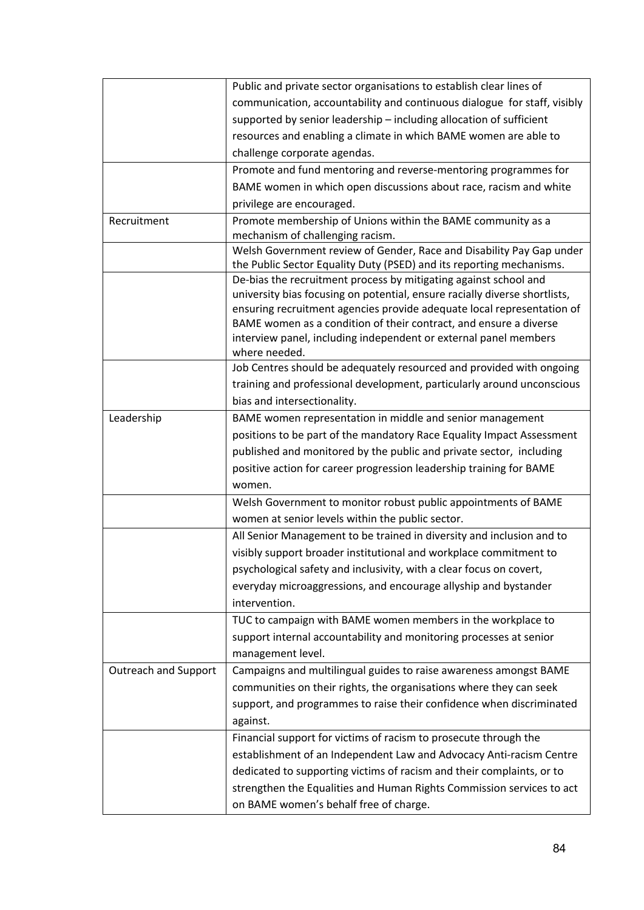|                             | Public and private sector organisations to establish clear lines of        |
|-----------------------------|----------------------------------------------------------------------------|
|                             | communication, accountability and continuous dialogue for staff, visibly   |
|                             | supported by senior leadership - including allocation of sufficient        |
|                             | resources and enabling a climate in which BAME women are able to           |
|                             | challenge corporate agendas.                                               |
|                             | Promote and fund mentoring and reverse-mentoring programmes for            |
|                             | BAME women in which open discussions about race, racism and white          |
|                             | privilege are encouraged.                                                  |
| Recruitment                 | Promote membership of Unions within the BAME community as a                |
|                             | mechanism of challenging racism.                                           |
|                             | Welsh Government review of Gender, Race and Disability Pay Gap under       |
|                             | the Public Sector Equality Duty (PSED) and its reporting mechanisms.       |
|                             | De-bias the recruitment process by mitigating against school and           |
|                             | university bias focusing on potential, ensure racially diverse shortlists, |
|                             | ensuring recruitment agencies provide adequate local representation of     |
|                             | BAME women as a condition of their contract, and ensure a diverse          |
|                             | interview panel, including independent or external panel members           |
|                             | where needed.                                                              |
|                             | Job Centres should be adequately resourced and provided with ongoing       |
|                             | training and professional development, particularly around unconscious     |
|                             | bias and intersectionality.                                                |
| Leadership                  | BAME women representation in middle and senior management                  |
|                             | positions to be part of the mandatory Race Equality Impact Assessment      |
|                             | published and monitored by the public and private sector, including        |
|                             | positive action for career progression leadership training for BAME        |
|                             | women.                                                                     |
|                             | Welsh Government to monitor robust public appointments of BAME             |
|                             | women at senior levels within the public sector.                           |
|                             | All Senior Management to be trained in diversity and inclusion and to      |
|                             | visibly support broader institutional and workplace commitment to          |
|                             | psychological safety and inclusivity, with a clear focus on covert,        |
|                             |                                                                            |
|                             | everyday microaggressions, and encourage allyship and bystander            |
|                             | intervention.                                                              |
|                             | TUC to campaign with BAME women members in the workplace to                |
|                             | support internal accountability and monitoring processes at senior         |
|                             | management level.                                                          |
| <b>Outreach and Support</b> | Campaigns and multilingual guides to raise awareness amongst BAME          |
|                             | communities on their rights, the organisations where they can seek         |
|                             | support, and programmes to raise their confidence when discriminated       |
|                             | against.                                                                   |
|                             | Financial support for victims of racism to prosecute through the           |
|                             | establishment of an Independent Law and Advocacy Anti-racism Centre        |
|                             | dedicated to supporting victims of racism and their complaints, or to      |
|                             |                                                                            |
|                             | strengthen the Equalities and Human Rights Commission services to act      |
|                             | on BAME women's behalf free of charge.                                     |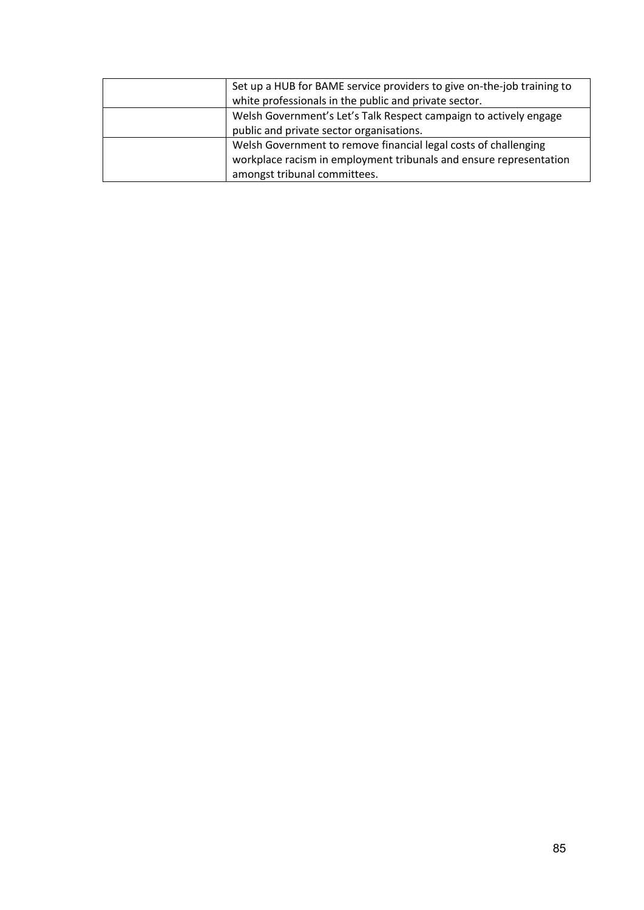| Set up a HUB for BAME service providers to give on-the-job training to |
|------------------------------------------------------------------------|
| white professionals in the public and private sector.                  |
| Welsh Government's Let's Talk Respect campaign to actively engage      |
| public and private sector organisations.                               |
| Welsh Government to remove financial legal costs of challenging        |
| workplace racism in employment tribunals and ensure representation     |
| amongst tribunal committees.                                           |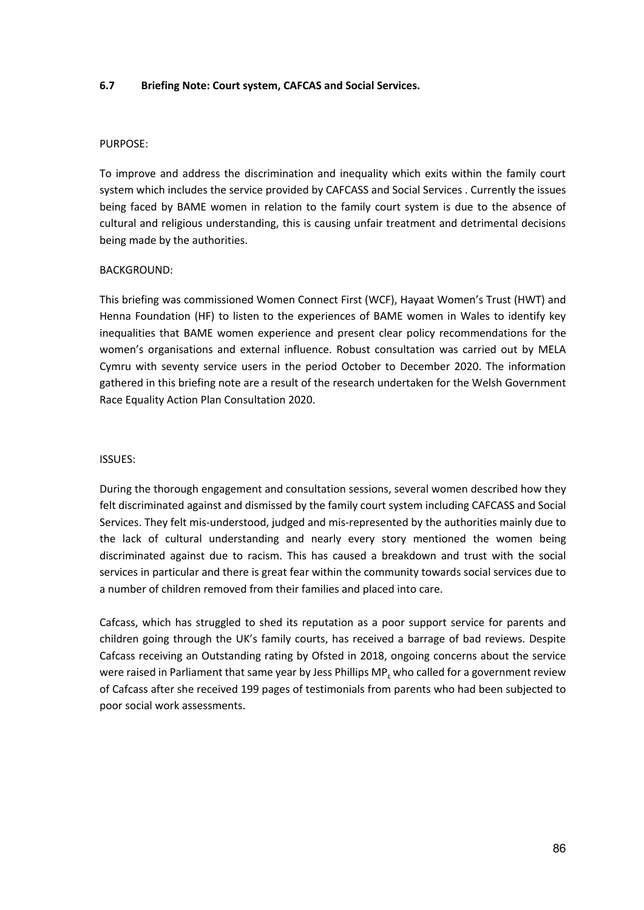## **6.7 Briefing Note: Court system, CAFCAS and Social Services.**

#### PURPOSE:

To improve and address the discrimination and inequality which exits within the family court system which includes the service provided by CAFCASS and Social Services . Currently the issues being faced by BAME women in relation to the family court system is due to the absence of cultural and religious understanding, this is causing unfair treatment and detrimental decisions being made by the authorities.

## BACKGROUND:

This briefing was commissioned Women Connect First (WCF), Hayaat Women's Trust (HWT) and Henna Foundation (HF) to listen to the experiences of BAME women in Wales to identify key inequalities that BAME women experience and present clear policy recommendations for the women's organisations and external influence. Robust consultation was carried out by MELA Cymru with seventy service users in the period October to December 2020. The information gathered in this briefing note are a result of the research undertaken for the Welsh Government Race Equality Action Plan Consultation 2020.

## ISSUES:

During the thorough engagement and consultation sessions, several women described how they felt discriminated against and dismissed by the family court system including CAFCASS and Social Services. They felt mis-understood, judged and mis-represented by the authorities mainly due to the lack of cultural understanding and nearly every story mentioned the women being discriminated against due to racism. This has caused a breakdown and trust with the social services in particular and there is great fear within the community towards social services due to a number of children removed from their families and placed into care.

Cafcass, which has struggled to shed its reputation as a poor support service for parents and children going through the UK's family courts, has received a barrage of bad reviews. Despite Cafcass receiving an Outstanding rating by Ofsted in 2018, ongoing concerns about the service were raised in Parliament that same year by Jess Phillips MP, who called for a government review of Cafcass after she received 199 pages of testimonials from parents who had been subjected to poor social work assessments.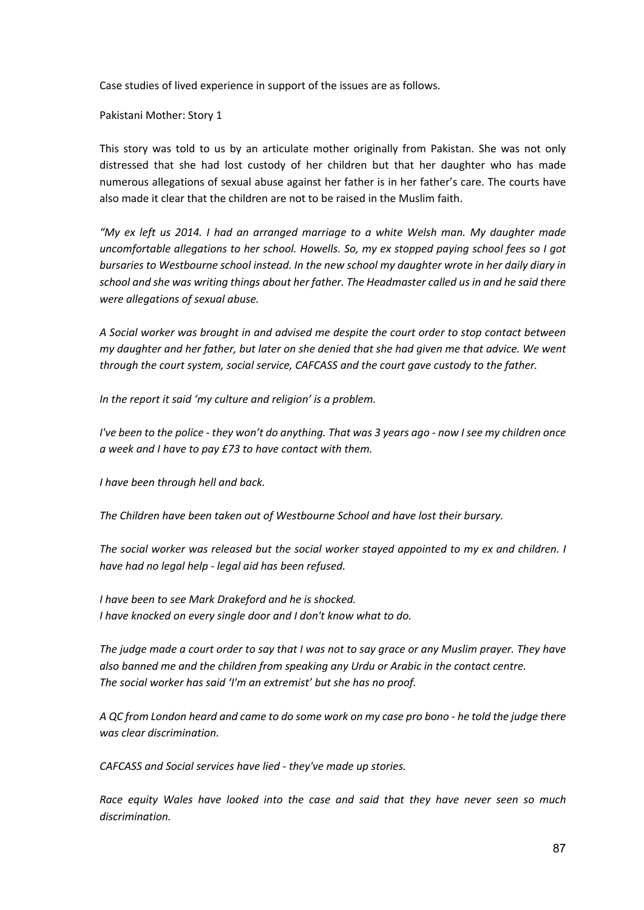Case studies of lived experience in support of the issues are as follows.

Pakistani Mother: Story 1

This story was told to us by an articulate mother originally from Pakistan. She was not only distressed that she had lost custody of her children but that her daughter who has made numerous allegations of sexual abuse against her father is in her father's care. The courts have also made it clear that the children are not to be raised in the Muslim faith.

*"My ex left us 2014. I had an arranged marriage to a white Welsh man. My daughter made uncomfortable allegations to her school. Howells. So, my ex stopped paying school fees so I got bursaries to Westbourne school instead. In the new school my daughter wrote in her daily diary in school and she was writing things about her father. The Headmaster called us in and he said there were allegations of sexual abuse.*

*A Social worker was brought in and advised me despite the court order to stop contact between my daughter and her father, but later on she denied that she had given me that advice. We went through the court system, social service, CAFCASS and the court gave custody to the father.*

*In the report it said 'my culture and religion' is a problem.*

*I've been to the police - they won't do anything. That was 3 years ago - now I see my children once a week and I have to pay £73 to have contact with them.*

*I have been through hell and back.*

*The Children have been taken out of Westbourne School and have lost their bursary.*

*The social worker was released but the social worker stayed appointed to my ex and children. I have had no legal help - legal aid has been refused.*

*I have been to see Mark Drakeford and he is shocked. I have knocked on every single door and I don't know what to do.*

*The judge made a court order to say that I was not to say grace or any Muslim prayer. They have also banned me and the children from speaking any Urdu or Arabic in the contact centre. The social worker has said 'I'm an extremist' but she has no proof.*

*A QC from London heard and came to do some work on my case pro bono - he told the judge there was clear discrimination.*

*CAFCASS and Social services have lied - they've made up stories.*

*Race equity Wales have looked into the case and said that they have never seen so much discrimination.*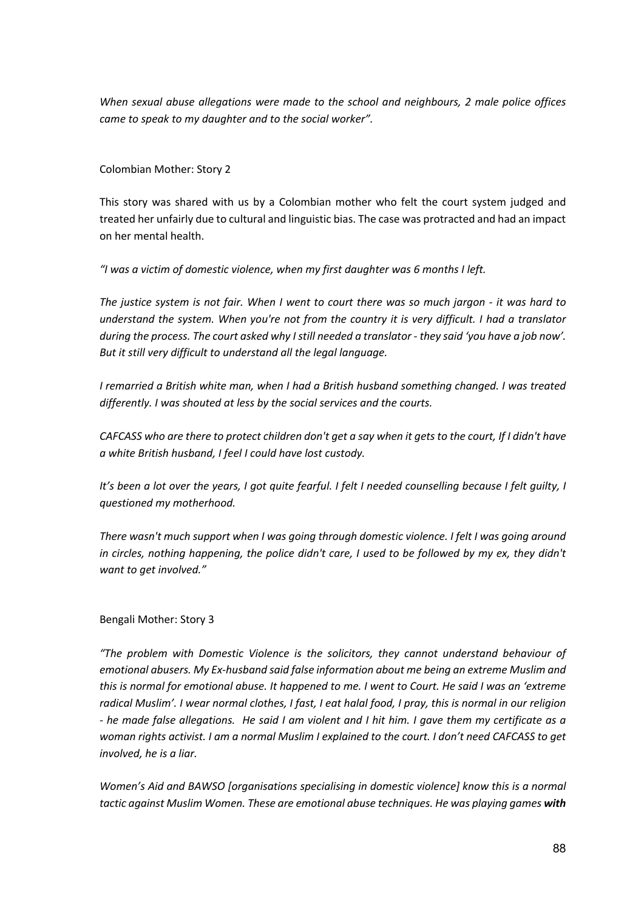*When sexual abuse allegations were made to the school and neighbours, 2 male police offices came to speak to my daughter and to the social worker".*

Colombian Mother: Story 2

This story was shared with us by a Colombian mother who felt the court system judged and treated her unfairly due to cultural and linguistic bias. The case was protracted and had an impact on her mental health.

*"I was a victim of domestic violence, when my first daughter was 6 months I left.*

*The justice system is not fair. When I went to court there was so much jargon - it was hard to understand the system. When you're not from the country it is very difficult. I had a translator during the process. The court asked why I still needed a translator - they said 'you have a job now'. But it still very difficult to understand all the legal language.* 

*I remarried a British white man, when I had a British husband something changed. I was treated differently. I was shouted at less by the social services and the courts.*

*CAFCASS who are there to protect children don't get a say when it gets to the court, If I didn't have a white British husband, I feel I could have lost custody.*

*It's been a lot over the years, I got quite fearful. I felt I needed counselling because I felt guilty, I questioned my motherhood.* 

*There wasn't much support when I was going through domestic violence. I felt I was going around in circles, nothing happening, the police didn't care, I used to be followed by my ex, they didn't want to get involved."*

# Bengali Mother: Story 3

*"The problem with Domestic Violence is the solicitors, they cannot understand behaviour of emotional abusers. My Ex-husband said false information about me being an extreme Muslim and this is normal for emotional abuse. It happened to me. I went to Court. He said I was an 'extreme radical Muslim'. I wear normal clothes, I fast, I eat halal food, I pray, this is normal in our religion - he made false allegations. He said I am violent and I hit him. I gave them my certificate as a woman rights activist. I am a normal Muslim I explained to the court. I don't need CAFCASS to get involved, he is a liar.*

*Women's Aid and BAWSO [organisations specialising in domestic violence] know this is a normal tactic against Muslim Women. These are emotional abuse techniques. He was playing games with*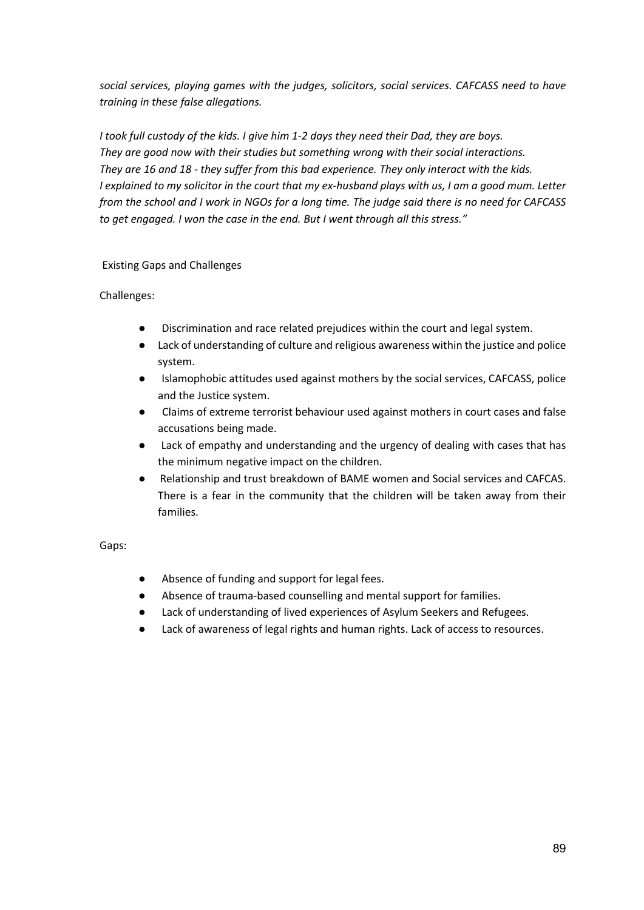*social services, playing games with the judges, solicitors, social services. CAFCASS need to have training in these false allegations.* 

*I took full custody of the kids. I give him 1-2 days they need their Dad, they are boys. They are good now with their studies but something wrong with their social interactions. They are 16 and 18 - they suffer from this bad experience. They only interact with the kids. I explained to my solicitor in the court that my ex-husband plays with us, I am a good mum. Letter from the school and I work in NGOs for a long time. The judge said there is no need for CAFCASS to get engaged. I won the case in the end. But I went through all this stress."*

# Existing Gaps and Challenges

# Challenges:

- Discrimination and race related prejudices within the court and legal system.
- Lack of understanding of culture and religious awareness within the justice and police system.
- Islamophobic attitudes used against mothers by the social services, CAFCASS, police and the Justice system.
- Claims of extreme terrorist behaviour used against mothers in court cases and false accusations being made.
- Lack of empathy and understanding and the urgency of dealing with cases that has the minimum negative impact on the children.
- Relationship and trust breakdown of BAME women and Social services and CAFCAS. There is a fear in the community that the children will be taken away from their families.

Gaps:

- Absence of funding and support for legal fees.
- Absence of trauma-based counselling and mental support for families.
- Lack of understanding of lived experiences of Asylum Seekers and Refugees.
- Lack of awareness of legal rights and human rights. Lack of access to resources.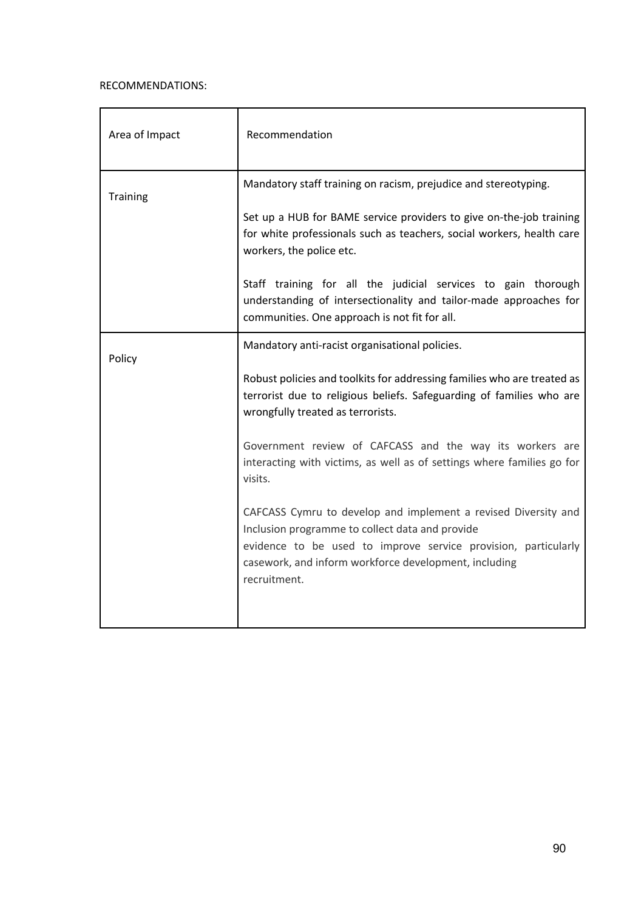# RECOMMENDATIONS:

| Area of Impact  | Recommendation                                                                                                                                                                                                                                               |
|-----------------|--------------------------------------------------------------------------------------------------------------------------------------------------------------------------------------------------------------------------------------------------------------|
| <b>Training</b> | Mandatory staff training on racism, prejudice and stereotyping.                                                                                                                                                                                              |
|                 | Set up a HUB for BAME service providers to give on-the-job training<br>for white professionals such as teachers, social workers, health care<br>workers, the police etc.                                                                                     |
|                 | Staff training for all the judicial services to gain thorough<br>understanding of intersectionality and tailor-made approaches for<br>communities. One approach is not fit for all.                                                                          |
| Policy          | Mandatory anti-racist organisational policies.                                                                                                                                                                                                               |
|                 | Robust policies and toolkits for addressing families who are treated as<br>terrorist due to religious beliefs. Safeguarding of families who are<br>wrongfully treated as terrorists.                                                                         |
|                 | Government review of CAFCASS and the way its workers are<br>interacting with victims, as well as of settings where families go for<br>visits.                                                                                                                |
|                 | CAFCASS Cymru to develop and implement a revised Diversity and<br>Inclusion programme to collect data and provide<br>evidence to be used to improve service provision, particularly<br>casework, and inform workforce development, including<br>recruitment. |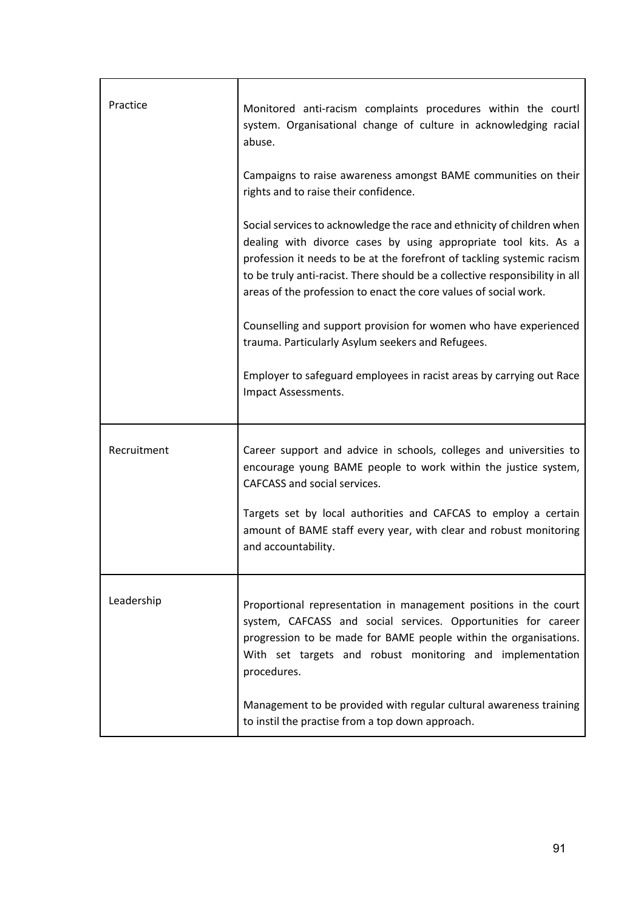| Practice    | Monitored anti-racism complaints procedures within the courtl<br>system. Organisational change of culture in acknowledging racial<br>abuse.                                                                                                                                                                                                                            |
|-------------|------------------------------------------------------------------------------------------------------------------------------------------------------------------------------------------------------------------------------------------------------------------------------------------------------------------------------------------------------------------------|
|             | Campaigns to raise awareness amongst BAME communities on their<br>rights and to raise their confidence.                                                                                                                                                                                                                                                                |
|             | Social services to acknowledge the race and ethnicity of children when<br>dealing with divorce cases by using appropriate tool kits. As a<br>profession it needs to be at the forefront of tackling systemic racism<br>to be truly anti-racist. There should be a collective responsibility in all<br>areas of the profession to enact the core values of social work. |
|             | Counselling and support provision for women who have experienced<br>trauma. Particularly Asylum seekers and Refugees.                                                                                                                                                                                                                                                  |
|             | Employer to safeguard employees in racist areas by carrying out Race<br>Impact Assessments.                                                                                                                                                                                                                                                                            |
| Recruitment | Career support and advice in schools, colleges and universities to<br>encourage young BAME people to work within the justice system,<br>CAFCASS and social services.                                                                                                                                                                                                   |
|             | Targets set by local authorities and CAFCAS to employ a certain<br>amount of BAME staff every year, with clear and robust monitoring<br>and accountability.                                                                                                                                                                                                            |
| Leadership  | Proportional representation in management positions in the court<br>system, CAFCASS and social services. Opportunities for career<br>progression to be made for BAME people within the organisations.<br>With set targets and robust monitoring and implementation<br>procedures.                                                                                      |
|             | Management to be provided with regular cultural awareness training<br>to instil the practise from a top down approach.                                                                                                                                                                                                                                                 |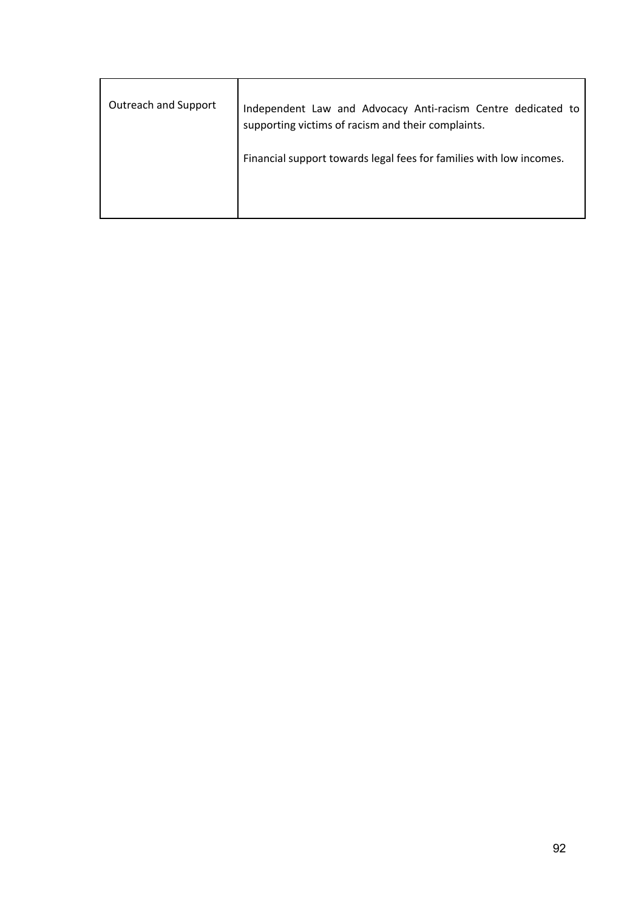| Outreach and Support | Independent Law and Advocacy Anti-racism Centre dedicated to<br>supporting victims of racism and their complaints.<br>Financial support towards legal fees for families with low incomes. |
|----------------------|-------------------------------------------------------------------------------------------------------------------------------------------------------------------------------------------|
|                      |                                                                                                                                                                                           |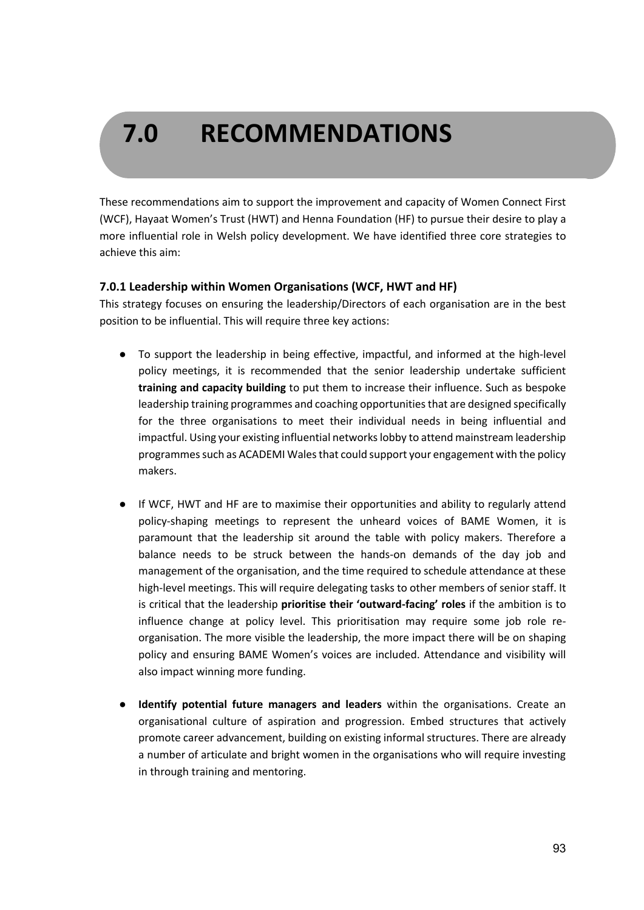# **7.0 RECOMMENDATIONS**

These recommendations aim to support the improvement and capacity of Women Connect First (WCF), Hayaat Women's Trust (HWT) and Henna Foundation (HF) to pursue their desire to play a more influential role in Welsh policy development. We have identified three core strategies to achieve this aim:

# **7.0.1 Leadership within Women Organisations (WCF, HWT and HF)**

This strategy focuses on ensuring the leadership/Directors of each organisation are in the best position to be influential. This will require three key actions:

- To support the leadership in being effective, impactful, and informed at the high-level policy meetings, it is recommended that the senior leadership undertake sufficient **training and capacity building** to put them to increase their influence. Such as bespoke leadership training programmes and coaching opportunities that are designed specifically for the three organisations to meet their individual needs in being influential and impactful. Using your existing influential networks lobby to attend mainstream leadership programmes such as ACADEMI Wales that could support your engagement with the policy makers.
- If WCF, HWT and HF are to maximise their opportunities and ability to regularly attend policy-shaping meetings to represent the unheard voices of BAME Women, it is paramount that the leadership sit around the table with policy makers. Therefore a balance needs to be struck between the hands-on demands of the day job and management of the organisation, and the time required to schedule attendance at these high-level meetings. This will require delegating tasks to other members of senior staff. It is critical that the leadership **prioritise their 'outward-facing' roles** if the ambition is to influence change at policy level. This prioritisation may require some job role reorganisation. The more visible the leadership, the more impact there will be on shaping policy and ensuring BAME Women's voices are included. Attendance and visibility will also impact winning more funding.
- **Identify potential future managers and leaders** within the organisations. Create an organisational culture of aspiration and progression. Embed structures that actively promote career advancement, building on existing informal structures. There are already a number of articulate and bright women in the organisations who will require investing in through training and mentoring.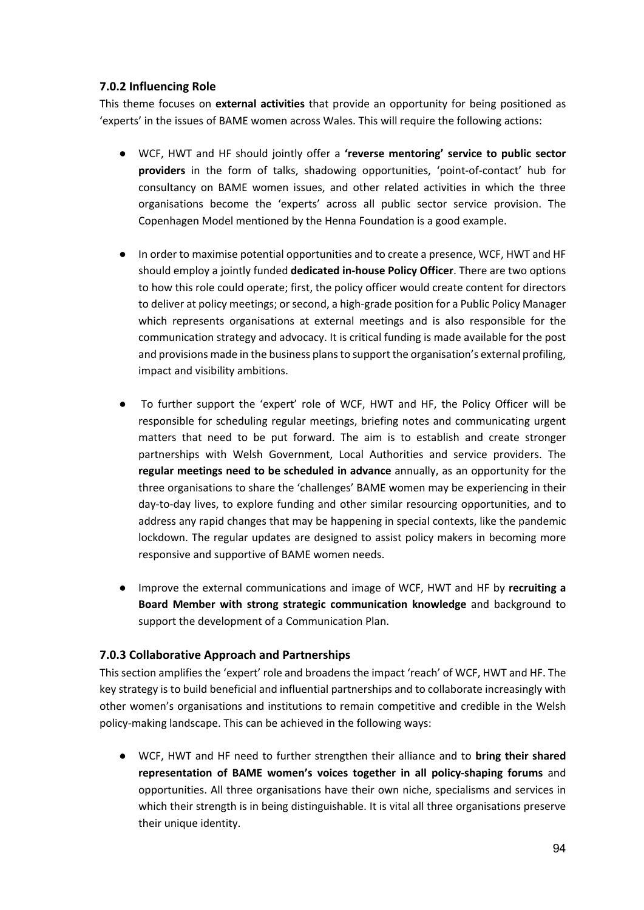# **7.0.2 Influencing Role**

This theme focuses on **external activities** that provide an opportunity for being positioned as 'experts' in the issues of BAME women across Wales. This will require the following actions:

- WCF, HWT and HF should jointly offer a **'reverse mentoring' service to public sector providers** in the form of talks, shadowing opportunities, 'point-of-contact' hub for consultancy on BAME women issues, and other related activities in which the three organisations become the 'experts' across all public sector service provision. The Copenhagen Model mentioned by the Henna Foundation is a good example.
- In order to maximise potential opportunities and to create a presence, WCF, HWT and HF should employ a jointly funded **dedicated in-house Policy Officer**. There are two options to how this role could operate; first, the policy officer would create content for directors to deliver at policy meetings; or second, a high-grade position for a Public Policy Manager which represents organisations at external meetings and is also responsible for the communication strategy and advocacy. It is critical funding is made available for the post and provisions made in the business plans to support the organisation's external profiling, impact and visibility ambitions.
- To further support the 'expert' role of WCF, HWT and HF, the Policy Officer will be responsible for scheduling regular meetings, briefing notes and communicating urgent matters that need to be put forward. The aim is to establish and create stronger partnerships with Welsh Government, Local Authorities and service providers. The **regular meetings need to be scheduled in advance** annually, as an opportunity for the three organisations to share the 'challenges' BAME women may be experiencing in their day-to-day lives, to explore funding and other similar resourcing opportunities, and to address any rapid changes that may be happening in special contexts, like the pandemic lockdown. The regular updates are designed to assist policy makers in becoming more responsive and supportive of BAME women needs.
- Improve the external communications and image of WCF, HWT and HF by **recruiting a Board Member with strong strategic communication knowledge** and background to support the development of a Communication Plan.

# **7.0.3 Collaborative Approach and Partnerships**

This section amplifies the 'expert' role and broadens the impact 'reach' of WCF, HWT and HF. The key strategy is to build beneficial and influential partnerships and to collaborate increasingly with other women's organisations and institutions to remain competitive and credible in the Welsh policy-making landscape. This can be achieved in the following ways:

● WCF, HWT and HF need to further strengthen their alliance and to **bring their shared representation of BAME women's voices together in all policy-shaping forums** and opportunities. All three organisations have their own niche, specialisms and services in which their strength is in being distinguishable. It is vital all three organisations preserve their unique identity.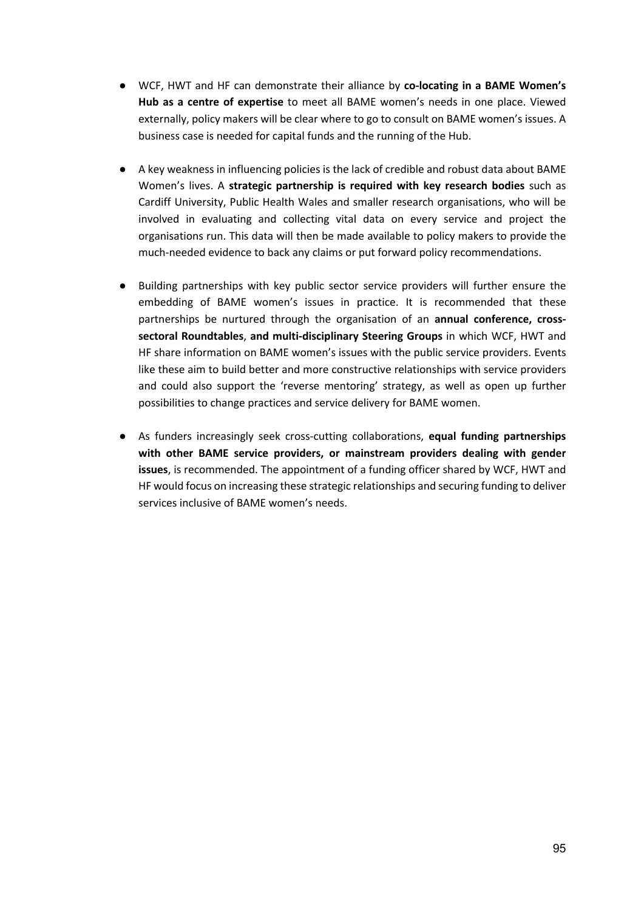- WCF, HWT and HF can demonstrate their alliance by **co-locating in a BAME Women's Hub as a centre of expertise** to meet all BAME women's needs in one place. Viewed externally, policy makers will be clear where to go to consult on BAME women's issues. A business case is needed for capital funds and the running of the Hub.
- A key weakness in influencing policies is the lack of credible and robust data about BAME Women's lives. A **strategic partnership is required with key research bodies** such as Cardiff University, Public Health Wales and smaller research organisations, who will be involved in evaluating and collecting vital data on every service and project the organisations run. This data will then be made available to policy makers to provide the much-needed evidence to back any claims or put forward policy recommendations.
- Building partnerships with key public sector service providers will further ensure the embedding of BAME women's issues in practice. It is recommended that these partnerships be nurtured through the organisation of an **annual conference, crosssectoral Roundtables**, **and multi-disciplinary Steering Groups** in which WCF, HWT and HF share information on BAME women's issues with the public service providers. Events like these aim to build better and more constructive relationships with service providers and could also support the 'reverse mentoring' strategy, as well as open up further possibilities to change practices and service delivery for BAME women.
- As funders increasingly seek cross-cutting collaborations, **equal funding partnerships with other BAME service providers, or mainstream providers dealing with gender issues**, is recommended. The appointment of a funding officer shared by WCF, HWT and HF would focus on increasing these strategic relationships and securing funding to deliver services inclusive of BAME women's needs.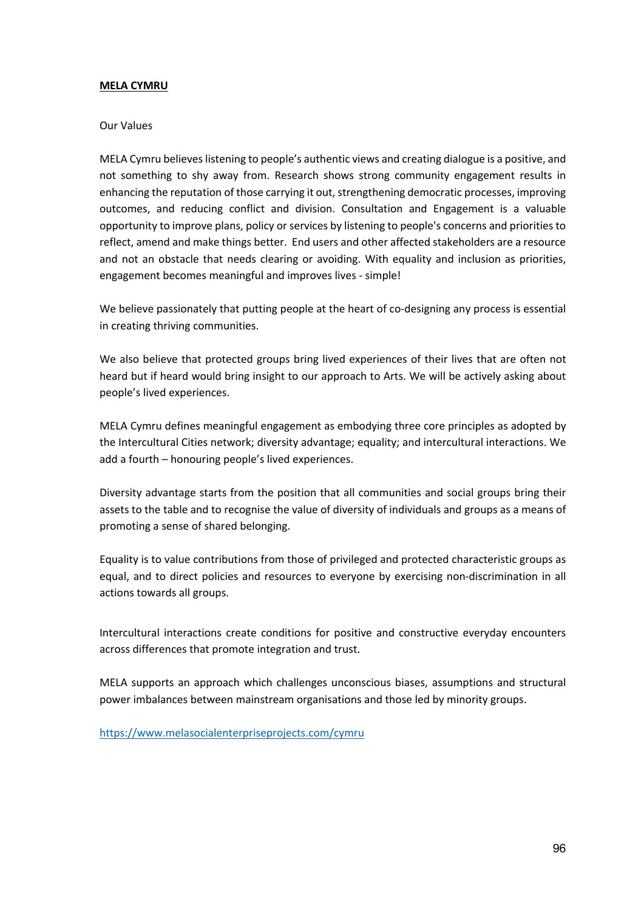#### **MELA CYMRU**

#### Our Values

MELA Cymru believes listening to people's authentic views and creating dialogue is a positive, and not something to shy away from. Research shows strong community engagement results in enhancing the reputation of those carrying it out, strengthening democratic processes, improving outcomes, and reducing conflict and division. Consultation and Engagement is a valuable opportunity to improve plans, policy or services by listening to people's concerns and priorities to reflect, amend and make things better. End users and other affected stakeholders are a resource and not an obstacle that needs clearing or avoiding. With equality and inclusion as priorities, engagement becomes meaningful and improves lives - simple!

We believe passionately that putting people at the heart of co-designing any process is essential in creating thriving communities.

We also believe that protected groups bring lived experiences of their lives that are often not heard but if heard would bring insight to our approach to Arts. We will be actively asking about people's lived experiences.

MELA Cymru defines meaningful engagement as embodying three core principles as adopted by the Intercultural Cities network; diversity advantage; equality; and intercultural interactions. We add a fourth – honouring people's lived experiences.

Diversity advantage starts from the position that all communities and social groups bring their assets to the table and to recognise the value of diversity of individuals and groups as a means of promoting a sense of shared belonging.

Equality is to value contributions from those of privileged and protected characteristic groups as equal, and to direct policies and resources to everyone by exercising non-discrimination in all actions towards all groups.

Intercultural interactions create conditions for positive and constructive everyday encounters across differences that promote integration and trust.

MELA supports an approach which challenges unconscious biases, assumptions and structural power imbalances between mainstream organisations and those led by minority groups.

https://www.melasocialenterpriseprojects.com/cymru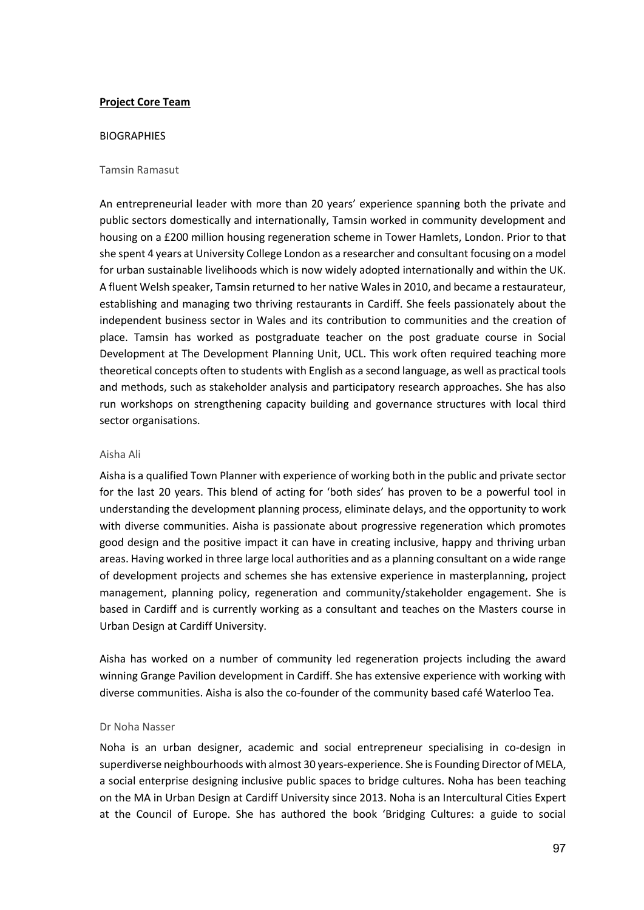## **Project Core Team**

#### BIOGRAPHIES

#### Tamsin Ramasut

An entrepreneurial leader with more than 20 years' experience spanning both the private and public sectors domestically and internationally, Tamsin worked in community development and housing on a £200 million housing regeneration scheme in Tower Hamlets, London. Prior to that she spent 4 years at University College London as a researcher and consultant focusing on a model for urban sustainable livelihoods which is now widely adopted internationally and within the UK. A fluent Welsh speaker, Tamsin returned to her native Wales in 2010, and became a restaurateur, establishing and managing two thriving restaurants in Cardiff. She feels passionately about the independent business sector in Wales and its contribution to communities and the creation of place. Tamsin has worked as postgraduate teacher on the post graduate course in Social Development at The Development Planning Unit, UCL. This work often required teaching more theoretical concepts often to students with English as a second language, as well as practical tools and methods, such as stakeholder analysis and participatory research approaches. She has also run workshops on strengthening capacity building and governance structures with local third sector organisations.

#### Aisha Ali

Aisha is a qualified Town Planner with experience of working both in the public and private sector for the last 20 years. This blend of acting for 'both sides' has proven to be a powerful tool in understanding the development planning process, eliminate delays, and the opportunity to work with diverse communities. Aisha is passionate about progressive regeneration which promotes good design and the positive impact it can have in creating inclusive, happy and thriving urban areas. Having worked in three large local authorities and as a planning consultant on a wide range of development projects and schemes she has extensive experience in masterplanning, project management, planning policy, regeneration and community/stakeholder engagement. She is based in Cardiff and is currently working as a consultant and teaches on the Masters course in Urban Design at Cardiff University.

Aisha has worked on a number of community led regeneration projects including the award winning Grange Pavilion development in Cardiff. She has extensive experience with working with diverse communities. Aisha is also the co-founder of the community based café Waterloo Tea.

#### Dr Noha Nasser

Noha is an urban designer, academic and social entrepreneur specialising in co-design in superdiverse neighbourhoods with almost 30 years-experience. She is Founding Director of MELA, a social enterprise designing inclusive public spaces to bridge cultures. Noha has been teaching on the MA in Urban Design at Cardiff University since 2013. Noha is an Intercultural Cities Expert at the Council of Europe. She has authored the book 'Bridging Cultures: a guide to social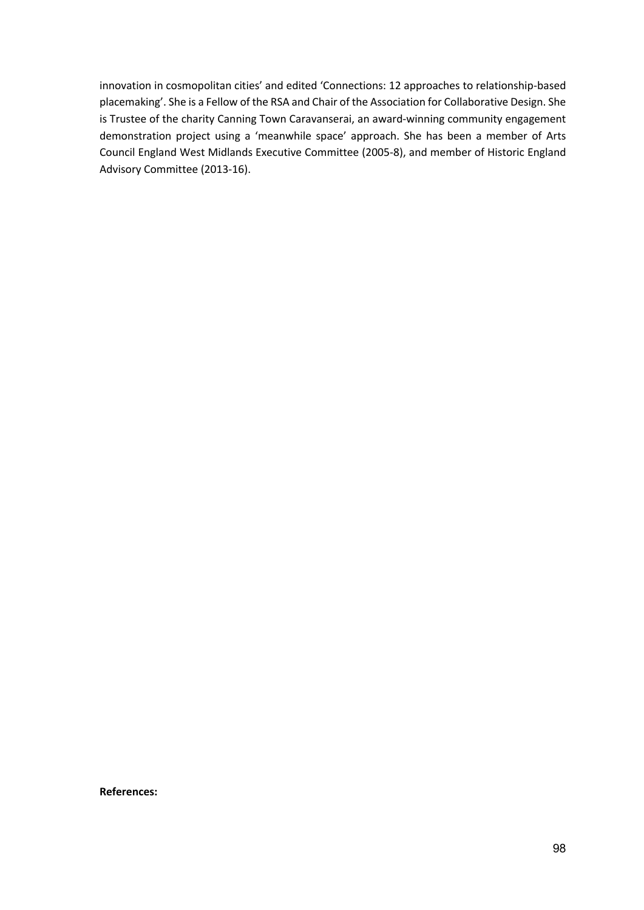innovation in cosmopolitan cities' and edited 'Connections: 12 approaches to relationship-based placemaking'. She is a Fellow of the RSA and Chair of the Association for Collaborative Design. She is Trustee of the charity Canning Town Caravanserai, an award-winning community engagement demonstration project using a 'meanwhile space' approach. She has been a member of Arts Council England West Midlands Executive Committee (2005-8), and member of Historic England Advisory Committee (2013-16).

**References:**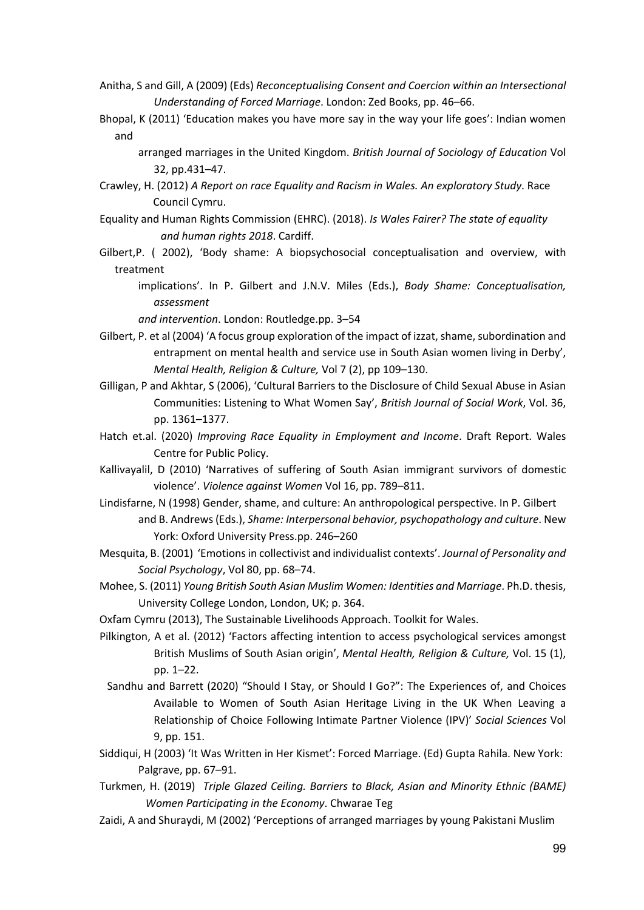- Anitha, S and Gill, A (2009) (Eds) *Reconceptualising Consent and Coercion within an Intersectional Understanding of Forced Marriage*. London: Zed Books, pp. 46–66.
- Bhopal, K (2011) 'Education makes you have more say in the way your life goes': Indian women and
	- arranged marriages in the United Kingdom. *British Journal of Sociology of Education* Vol 32, pp.431–47.
- Crawley, H. (2012) *A Report on race Equality and Racism in Wales. An exploratory Study*. Race Council Cymru.
- Equality and Human Rights Commission (EHRC). (2018). *Is Wales Fairer? The state of equality and human rights 2018*. Cardiff.
- Gilbert,P. ( 2002), 'Body shame: A biopsychosocial conceptualisation and overview, with treatment
	- implications'. In P. Gilbert and J.N.V. Miles (Eds.), *Body Shame: Conceptualisation, assessment*

*and intervention*. London: Routledge.pp. 3–54

- Gilbert, P. et al (2004) 'A focus group exploration of the impact of izzat, shame, subordination and entrapment on mental health and service use in South Asian women living in Derby', *Mental Health, Religion & Culture,* Vol 7 (2), pp 109–130.
- Gilligan, P and Akhtar, S (2006), 'Cultural Barriers to the Disclosure of Child Sexual Abuse in Asian Communities: Listening to What Women Say', *British Journal of Social Work*, Vol. 36, pp. 1361–1377.
- Hatch et.al. (2020) *Improving Race Equality in Employment and Income*. Draft Report. Wales Centre for Public Policy.
- Kallivayalil, D (2010) 'Narratives of suffering of South Asian immigrant survivors of domestic violence'. *Violence against Women* Vol 16, pp. 789–811.
- Lindisfarne, N (1998) Gender, shame, and culture: An anthropological perspective. In P. Gilbert and B. Andrews (Eds.), *Shame: Interpersonal behavior, psychopathology and culture*. New York: Oxford University Press.pp. 246–260
- Mesquita, B. (2001) 'Emotions in collectivist and individualist contexts'. *Journal of Personality and Social Psychology*, Vol 80, pp. 68–74.
- Mohee, S. (2011) *Young British South Asian Muslim Women: Identities and Marriage*. Ph.D. thesis, University College London, London, UK; p. 364.
- Oxfam Cymru (2013), The Sustainable Livelihoods Approach. Toolkit for Wales.
- Pilkington, A et al. (2012) 'Factors affecting intention to access psychological services amongst British Muslims of South Asian origin', *Mental Health, Religion & Culture,* Vol. 15 (1), pp. 1–22.
	- Sandhu and Barrett (2020) "Should I Stay, or Should I Go?": The Experiences of, and Choices Available to Women of South Asian Heritage Living in the UK When Leaving a Relationship of Choice Following Intimate Partner Violence (IPV)' *Social Sciences* Vol 9, pp. 151.
- Siddiqui, H (2003) 'It Was Written in Her Kismet': Forced Marriage. (Ed) Gupta Rahila. New York: Palgrave, pp. 67–91.
- Turkmen, H. (2019) *Triple Glazed Ceiling. Barriers to Black, Asian and Minority Ethnic (BAME) Women Participating in the Economy*. Chwarae Teg
- Zaidi, A and Shuraydi, M (2002) 'Perceptions of arranged marriages by young Pakistani Muslim